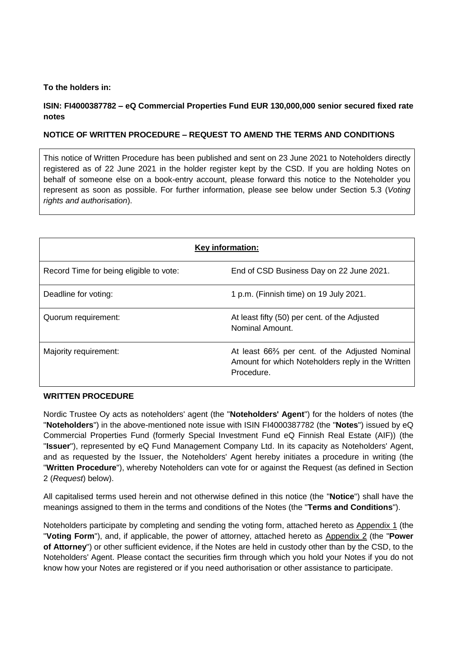### **To the holders in:**

## **ISIN: FI4000387782 – eQ Commercial Properties Fund EUR 130,000,000 senior secured fixed rate notes**

## **NOTICE OF WRITTEN PROCEDURE – REQUEST TO AMEND THE TERMS AND CONDITIONS**

This notice of Written Procedure has been published and sent on 23 June 2021 to Noteholders directly registered as of 22 June 2021 in the holder register kept by the CSD. If you are holding Notes on behalf of someone else on a book-entry account, please forward this notice to the Noteholder you represent as soon as possible. For further information, please see below under Section [5.3](#page-8-0) (*Voting rights and authorisation*).

| <b>Key information:</b>                 |                                                                                                                   |  |
|-----------------------------------------|-------------------------------------------------------------------------------------------------------------------|--|
| Record Time for being eligible to vote: | End of CSD Business Day on 22 June 2021.                                                                          |  |
| Deadline for voting:                    | 1 p.m. (Finnish time) on 19 July 2021.                                                                            |  |
| Quorum requirement:                     | At least fifty (50) per cent. of the Adjusted<br>Nominal Amount.                                                  |  |
| Majority requirement:                   | At least 66% per cent. of the Adjusted Nominal<br>Amount for which Noteholders reply in the Written<br>Procedure. |  |

#### **WRITTEN PROCEDURE**

Nordic Trustee Oy acts as noteholders' agent (the "**Noteholders' Agent**") for the holders of notes (the "**Noteholders**") in the above-mentioned note issue with ISIN FI4000387782 (the "**Notes**") issued by eQ Commercial Properties Fund (formerly Special Investment Fund eQ Finnish Real Estate (AIF)) (the "**Issuer**"), represented by eQ Fund Management Company Ltd. In its capacity as Noteholders' Agent, and as requested by the Issuer, the Noteholders' Agent hereby initiates a procedure in writing (the "**Written Procedure**"), whereby Noteholders can vote for or against the Request (as defined in Section [2](#page-2-0) (*Request*) below).

All capitalised terms used herein and not otherwise defined in this notice (the "**Notice**") shall have the meanings assigned to them in the terms and conditions of the Notes (the "**Terms and Conditions**").

Noteholders participate by completing and sending the voting form, attached hereto as Appendix 1 (the "**Voting Form**"), and, if applicable, the power of attorney, attached hereto as Appendix 2 (the "**Power of Attorney**") or other sufficient evidence, if the Notes are held in custody other than by the CSD, to the Noteholders' Agent. Please contact the securities firm through which you hold your Notes if you do not know how your Notes are registered or if you need authorisation or other assistance to participate.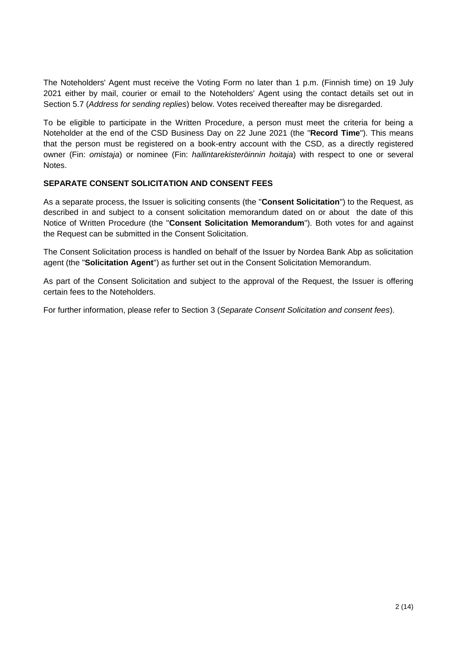The Noteholders' Agent must receive the Voting Form no later than 1 p.m. (Finnish time) on 19 July 2021 either by mail, courier or email to the Noteholders' Agent using the contact details set out in Section [5.7](#page-9-0) (*Address for sending replies*) below. Votes received thereafter may be disregarded.

To be eligible to participate in the Written Procedure, a person must meet the criteria for being a Noteholder at the end of the CSD Business Day on 22 June 2021 (the "**Record Time**"). This means that the person must be registered on a book-entry account with the CSD, as a directly registered owner (Fin: *omistaja*) or nominee (Fin: *hallintarekisteröinnin hoitaja*) with respect to one or several **Notes** 

## **SEPARATE CONSENT SOLICITATION AND CONSENT FEES**

As a separate process, the Issuer is soliciting consents (the "**Consent Solicitation**") to the Request, as described in and subject to a consent solicitation memorandum dated on or about the date of this Notice of Written Procedure (the "**Consent Solicitation Memorandum**"). Both votes for and against the Request can be submitted in the Consent Solicitation.

The Consent Solicitation process is handled on behalf of the Issuer by Nordea Bank Abp as solicitation agent (the "**Solicitation Agent**") as further set out in the Consent Solicitation Memorandum.

As part of the Consent Solicitation and subject to the approval of the Request, the Issuer is offering certain fees to the Noteholders.

For further information, please refer to Section [3](#page-6-0) (*Separate Consent Solicitation and consent fees*).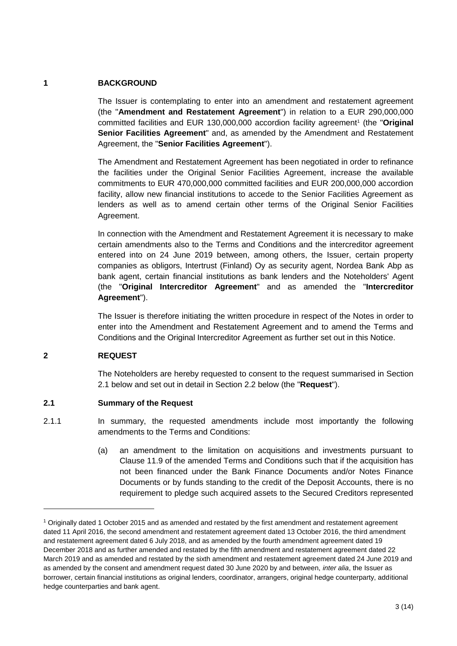## **1 BACKGROUND**

The Issuer is contemplating to enter into an amendment and restatement agreement (the "**Amendment and Restatement Agreement**") in relation to a EUR 290,000,000 committed facilities and EUR 130,000,000 accordion facility agreement<sup>1</sup> (the "Original **Senior Facilities Agreement**" and, as amended by the Amendment and Restatement Agreement, the "**Senior Facilities Agreement**").

The Amendment and Restatement Agreement has been negotiated in order to refinance the facilities under the Original Senior Facilities Agreement, increase the available commitments to EUR 470,000,000 committed facilities and EUR 200,000,000 accordion facility, allow new financial institutions to accede to the Senior Facilities Agreement as lenders as well as to amend certain other terms of the Original Senior Facilities Agreement.

In connection with the Amendment and Restatement Agreement it is necessary to make certain amendments also to the Terms and Conditions and the intercreditor agreement entered into on 24 June 2019 between, among others, the Issuer, certain property companies as obligors, Intertrust (Finland) Oy as security agent, Nordea Bank Abp as bank agent, certain financial institutions as bank lenders and the Noteholders' Agent (the "**Original Intercreditor Agreement**" and as amended the "**Intercreditor Agreement**").

The Issuer is therefore initiating the written procedure in respect of the Notes in order to enter into the Amendment and Restatement Agreement and to amend the Terms and Conditions and the Original Intercreditor Agreement as further set out in this Notice.

## <span id="page-2-0"></span>**2 REQUEST**

1

The Noteholders are hereby requested to consent to the request summarised in Section [2.1](#page-2-1) below and set out in detail in Section [2.2](#page-6-1) below (the "**Request**").

## <span id="page-2-1"></span>**2.1 Summary of the Request**

- <span id="page-2-2"></span>2.1.1 In summary, the requested amendments include most importantly the following amendments to the Terms and Conditions:
	- (a) an amendment to the limitation on acquisitions and investments pursuant to Clause 11.9 of the amended Terms and Conditions such that if the acquisition has not been financed under the Bank Finance Documents and/or Notes Finance Documents or by funds standing to the credit of the Deposit Accounts, there is no requirement to pledge such acquired assets to the Secured Creditors represented

<sup>1</sup> Originally dated 1 October 2015 and as amended and restated by the first amendment and restatement agreement dated 11 April 2016, the second amendment and restatement agreement dated 13 October 2016, the third amendment and restatement agreement dated 6 July 2018, and as amended by the fourth amendment agreement dated 19 December 2018 and as further amended and restated by the fifth amendment and restatement agreement dated 22 March 2019 and as amended and restated by the sixth amendment and restatement agreement dated 24 June 2019 and as amended by the consent and amendment request dated 30 June 2020 by and between, *inter alia*, the Issuer as borrower, certain financial institutions as original lenders, coordinator, arrangers, original hedge counterparty, additional hedge counterparties and bank agent.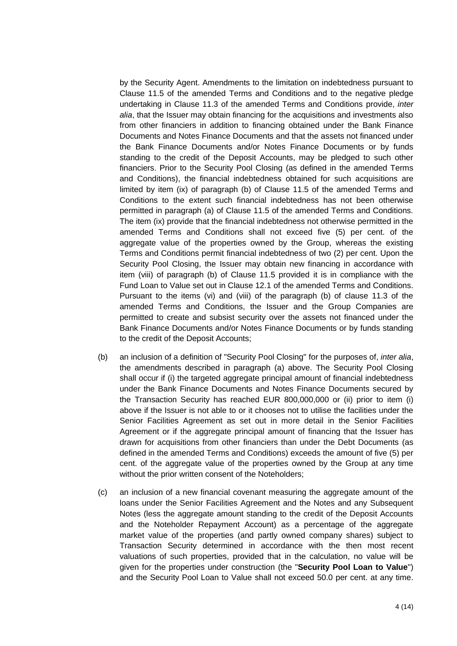by the Security Agent. Amendments to the limitation on indebtedness pursuant to Clause 11.5 of the amended Terms and Conditions and to the negative pledge undertaking in Clause 11.3 of the amended Terms and Conditions provide, *inter alia*, that the Issuer may obtain financing for the acquisitions and investments also from other financiers in addition to financing obtained under the Bank Finance Documents and Notes Finance Documents and that the assets not financed under the Bank Finance Documents and/or Notes Finance Documents or by funds standing to the credit of the Deposit Accounts, may be pledged to such other financiers. Prior to the Security Pool Closing (as defined in the amended Terms and Conditions), the financial indebtedness obtained for such acquisitions are limited by item (ix) of paragraph (b) of Clause 11.5 of the amended Terms and Conditions to the extent such financial indebtedness has not been otherwise permitted in paragraph (a) of Clause 11.5 of the amended Terms and Conditions. The item (ix) provide that the financial indebtedness not otherwise permitted in the amended Terms and Conditions shall not exceed five (5) per cent. of the aggregate value of the properties owned by the Group, whereas the existing Terms and Conditions permit financial indebtedness of two (2) per cent. Upon the Security Pool Closing, the Issuer may obtain new financing in accordance with item (viii) of paragraph (b) of Clause 11.5 provided it is in compliance with the Fund Loan to Value set out in Clause 12.1 of the amended Terms and Conditions. Pursuant to the items (vi) and (viii) of the paragraph (b) of clause 11.3 of the amended Terms and Conditions, the Issuer and the Group Companies are permitted to create and subsist security over the assets not financed under the Bank Finance Documents and/or Notes Finance Documents or by funds standing to the credit of the Deposit Accounts;

- (b) an inclusion of a definition of "Security Pool Closing" for the purposes of, *inter alia*, the amendments described in paragraph [\(a\)](#page-2-2) above. The Security Pool Closing shall occur if (i) the targeted aggregate principal amount of financial indebtedness under the Bank Finance Documents and Notes Finance Documents secured by the Transaction Security has reached EUR 800,000,000 or (ii) prior to item (i) above if the Issuer is not able to or it chooses not to utilise the facilities under the Senior Facilities Agreement as set out in more detail in the Senior Facilities Agreement or if the aggregate principal amount of financing that the Issuer has drawn for acquisitions from other financiers than under the Debt Documents (as defined in the amended Terms and Conditions) exceeds the amount of five (5) per cent. of the aggregate value of the properties owned by the Group at any time without the prior written consent of the Noteholders;
- <span id="page-3-0"></span>(c) an inclusion of a new financial covenant measuring the aggregate amount of the loans under the Senior Facilities Agreement and the Notes and any Subsequent Notes (less the aggregate amount standing to the credit of the Deposit Accounts and the Noteholder Repayment Account) as a percentage of the aggregate market value of the properties (and partly owned company shares) subject to Transaction Security determined in accordance with the then most recent valuations of such properties, provided that in the calculation, no value will be given for the properties under construction (the "**Security Pool Loan to Value**") and the Security Pool Loan to Value shall not exceed 50.0 per cent. at any time.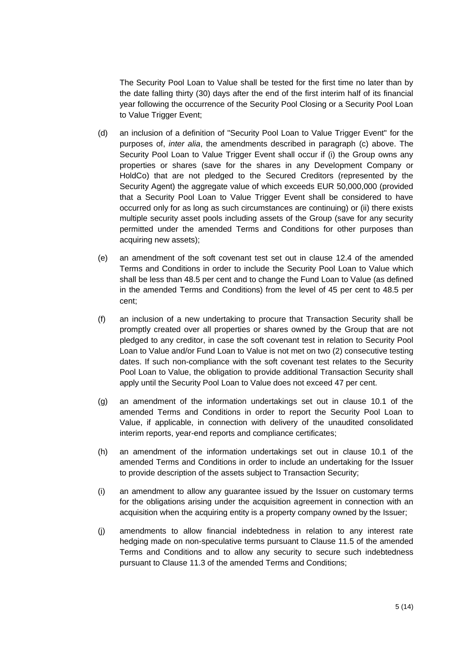The Security Pool Loan to Value shall be tested for the first time no later than by the date falling thirty (30) days after the end of the first interim half of its financial year following the occurrence of the Security Pool Closing or a Security Pool Loan to Value Trigger Event;

- (d) an inclusion of a definition of "Security Pool Loan to Value Trigger Event" for the purposes of, *inter alia*, the amendments described in paragraph [\(c\)](#page-3-0) above. The Security Pool Loan to Value Trigger Event shall occur if (i) the Group owns any properties or shares (save for the shares in any Development Company or HoldCo) that are not pledged to the Secured Creditors (represented by the Security Agent) the aggregate value of which exceeds EUR 50,000,000 (provided that a Security Pool Loan to Value Trigger Event shall be considered to have occurred only for as long as such circumstances are continuing) or (ii) there exists multiple security asset pools including assets of the Group (save for any security permitted under the amended Terms and Conditions for other purposes than acquiring new assets);
- (e) an amendment of the soft covenant test set out in clause 12.4 of the amended Terms and Conditions in order to include the Security Pool Loan to Value which shall be less than 48.5 per cent and to change the Fund Loan to Value (as defined in the amended Terms and Conditions) from the level of 45 per cent to 48.5 per cent;
- (f) an inclusion of a new undertaking to procure that Transaction Security shall be promptly created over all properties or shares owned by the Group that are not pledged to any creditor, in case the soft covenant test in relation to Security Pool Loan to Value and/or Fund Loan to Value is not met on two (2) consecutive testing dates. If such non-compliance with the soft covenant test relates to the Security Pool Loan to Value, the obligation to provide additional Transaction Security shall apply until the Security Pool Loan to Value does not exceed 47 per cent.
- (g) an amendment of the information undertakings set out in clause 10.1 of the amended Terms and Conditions in order to report the Security Pool Loan to Value, if applicable, in connection with delivery of the unaudited consolidated interim reports, year-end reports and compliance certificates;
- (h) an amendment of the information undertakings set out in clause 10.1 of the amended Terms and Conditions in order to include an undertaking for the Issuer to provide description of the assets subject to Transaction Security;
- (i) an amendment to allow any guarantee issued by the Issuer on customary terms for the obligations arising under the acquisition agreement in connection with an acquisition when the acquiring entity is a property company owned by the Issuer;
- (j) amendments to allow financial indebtedness in relation to any interest rate hedging made on non-speculative terms pursuant to Clause 11.5 of the amended Terms and Conditions and to allow any security to secure such indebtedness pursuant to Clause 11.3 of the amended Terms and Conditions;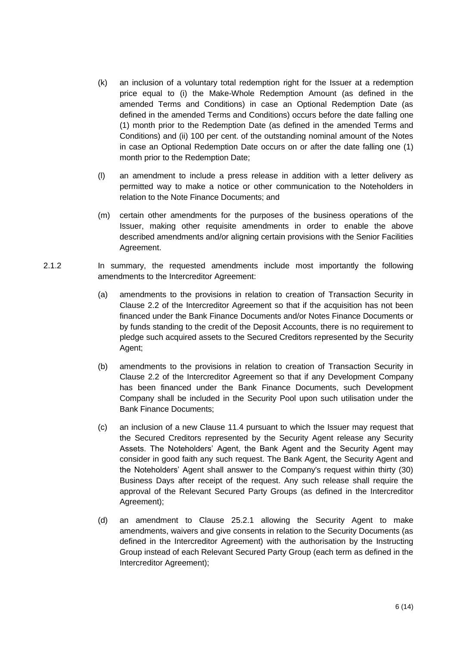- (k) an inclusion of a voluntary total redemption right for the Issuer at a redemption price equal to (i) the Make-Whole Redemption Amount (as defined in the amended Terms and Conditions) in case an Optional Redemption Date (as defined in the amended Terms and Conditions) occurs before the date falling one (1) month prior to the Redemption Date (as defined in the amended Terms and Conditions) and (ii) 100 per cent. of the outstanding nominal amount of the Notes in case an Optional Redemption Date occurs on or after the date falling one (1) month prior to the Redemption Date;
- (l) an amendment to include a press release in addition with a letter delivery as permitted way to make a notice or other communication to the Noteholders in relation to the Note Finance Documents; and
- (m) certain other amendments for the purposes of the business operations of the Issuer, making other requisite amendments in order to enable the above described amendments and/or aligning certain provisions with the Senior Facilities Agreement.
- 2.1.2 In summary, the requested amendments include most importantly the following amendments to the Intercreditor Agreement:
	- (a) amendments to the provisions in relation to creation of Transaction Security in Clause 2.2 of the Intercreditor Agreement so that if the acquisition has not been financed under the Bank Finance Documents and/or Notes Finance Documents or by funds standing to the credit of the Deposit Accounts, there is no requirement to pledge such acquired assets to the Secured Creditors represented by the Security Agent;
	- (b) amendments to the provisions in relation to creation of Transaction Security in Clause 2.2 of the Intercreditor Agreement so that if any Development Company has been financed under the Bank Finance Documents, such Development Company shall be included in the Security Pool upon such utilisation under the Bank Finance Documents;
	- (c) an inclusion of a new Clause 11.4 pursuant to which the Issuer may request that the Secured Creditors represented by the Security Agent release any Security Assets. The Noteholders' Agent, the Bank Agent and the Security Agent may consider in good faith any such request. The Bank Agent, the Security Agent and the Noteholders' Agent shall answer to the Company's request within thirty (30) Business Days after receipt of the request. Any such release shall require the approval of the Relevant Secured Party Groups (as defined in the Intercreditor Agreement):
	- (d) an amendment to Clause 25.2.1 allowing the Security Agent to make amendments, waivers and give consents in relation to the Security Documents (as defined in the Intercreditor Agreement) with the authorisation by the Instructing Group instead of each Relevant Secured Party Group (each term as defined in the Intercreditor Agreement);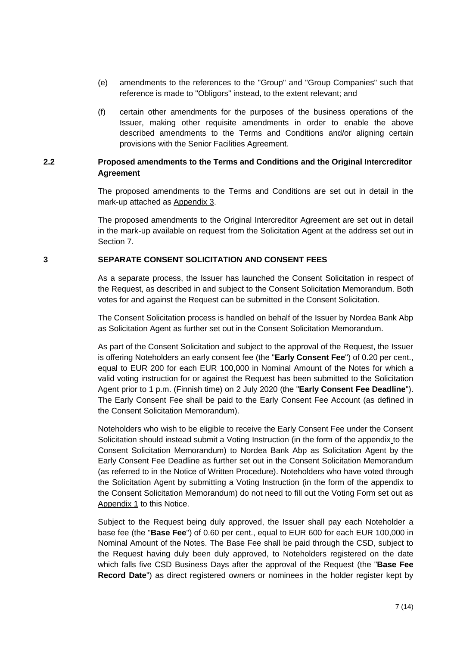- (e) amendments to the references to the "Group" and "Group Companies" such that reference is made to "Obligors" instead, to the extent relevant; and
- (f) certain other amendments for the purposes of the business operations of the Issuer, making other requisite amendments in order to enable the above described amendments to the Terms and Conditions and/or aligning certain provisions with the Senior Facilities Agreement.

## <span id="page-6-1"></span>**2.2 Proposed amendments to the Terms and Conditions and the Original Intercreditor Agreement**

The proposed amendments to the Terms and Conditions are set out in detail in the mark-up attached as Appendix 3.

The proposed amendments to the Original Intercreditor Agreement are set out in detail in the mark-up available on request from the Solicitation Agent at the address set out in Section [7.](#page-9-1)

## <span id="page-6-0"></span>**3 SEPARATE CONSENT SOLICITATION AND CONSENT FEES**

As a separate process, the Issuer has launched the Consent Solicitation in respect of the Request, as described in and subject to the Consent Solicitation Memorandum. Both votes for and against the Request can be submitted in the Consent Solicitation.

The Consent Solicitation process is handled on behalf of the Issuer by Nordea Bank Abp as Solicitation Agent as further set out in the Consent Solicitation Memorandum.

As part of the Consent Solicitation and subject to the approval of the Request, the Issuer is offering Noteholders an early consent fee (the "**Early Consent Fee**") of 0.20 per cent., equal to EUR 200 for each EUR 100,000 in Nominal Amount of the Notes for which a valid voting instruction for or against the Request has been submitted to the Solicitation Agent prior to 1 p.m. (Finnish time) on 2 July 2020 (the "**Early Consent Fee Deadline**"). The Early Consent Fee shall be paid to the Early Consent Fee Account (as defined in the Consent Solicitation Memorandum).

Noteholders who wish to be eligible to receive the Early Consent Fee under the Consent Solicitation should instead submit a Voting Instruction (in the form of the appendix to the Consent Solicitation Memorandum) to Nordea Bank Abp as Solicitation Agent by the Early Consent Fee Deadline as further set out in the Consent Solicitation Memorandum (as referred to in the Notice of Written Procedure). Noteholders who have voted through the Solicitation Agent by submitting a Voting Instruction (in the form of the appendix to the Consent Solicitation Memorandum) do not need to fill out the Voting Form set out as Appendix 1 to this Notice.

Subject to the Request being duly approved, the Issuer shall pay each Noteholder a base fee (the "**Base Fee**") of 0.60 per cent., equal to EUR 600 for each EUR 100,000 in Nominal Amount of the Notes. The Base Fee shall be paid through the CSD, subject to the Request having duly been duly approved, to Noteholders registered on the date which falls five CSD Business Days after the approval of the Request (the "**Base Fee Record Date**") as direct registered owners or nominees in the holder register kept by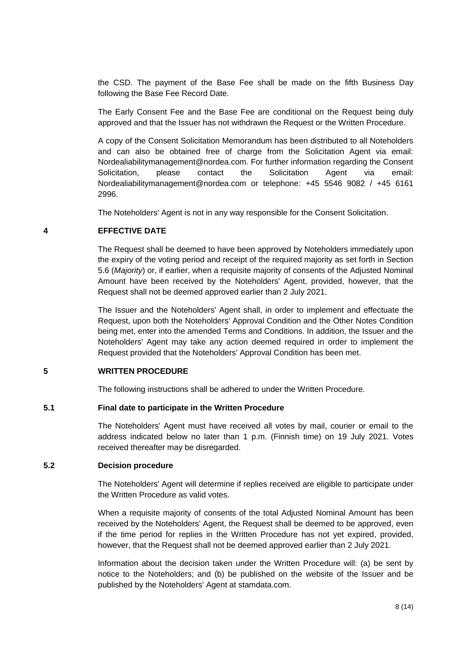the CSD. The payment of the Base Fee shall be made on the fifth Business Day following the Base Fee Record Date.

The Early Consent Fee and the Base Fee are conditional on the Request being duly approved and that the Issuer has not withdrawn the Request or the Written Procedure.

A copy of the Consent Solicitation Memorandum has been distributed to all Noteholders and can also be obtained free of charge from the Solicitation Agent via email: Nordealiabilitymanagement@nordea.com. For further information regarding the Consent Solicitation, please contact the Solicitation Agent via email: Nordealiabilitymanagement@nordea.com or telephone: +45 5546 9082 / +45 6161 2996.

The Noteholders' Agent is not in any way responsible for the Consent Solicitation.

### **4 EFFECTIVE DATE**

The Request shall be deemed to have been approved by Noteholders immediately upon the expiry of the voting period and receipt of the required majority as set forth in Section [5.6](#page-9-2) (*Majority*) or, if earlier, when a requisite majority of consents of the Adjusted Nominal Amount have been received by the Noteholders' Agent, provided, however, that the Request shall not be deemed approved earlier than 2 July 2021.

The Issuer and the Noteholders' Agent shall, in order to implement and effectuate the Request, upon both the Noteholders' Approval Condition and the Other Notes Condition being met, enter into the amended Terms and Conditions. In addition, the Issuer and the Noteholders' Agent may take any action deemed required in order to implement the Request provided that the Noteholders' Approval Condition has been met.

### **5 WRITTEN PROCEDURE**

The following instructions shall be adhered to under the Written Procedure.

#### **5.1 Final date to participate in the Written Procedure**

The Noteholders' Agent must have received all votes by mail, courier or email to the address indicated below no later than 1 p.m. (Finnish time) on 19 July 2021. Votes received thereafter may be disregarded.

#### **5.2 Decision procedure**

The Noteholders' Agent will determine if replies received are eligible to participate under the Written Procedure as valid votes.

When a requisite majority of consents of the total Adjusted Nominal Amount has been received by the Noteholders' Agent, the Request shall be deemed to be approved, even if the time period for replies in the Written Procedure has not yet expired, provided, however, that the Request shall not be deemed approved earlier than 2 July 2021.

Information about the decision taken under the Written Procedure will: (a) be sent by notice to the Noteholders; and (b) be published on the website of the Issuer and be published by the Noteholders' Agent at stamdata.com.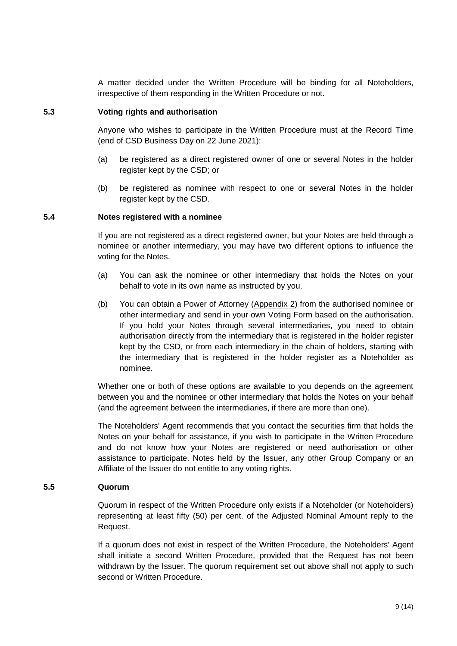A matter decided under the Written Procedure will be binding for all Noteholders, irrespective of them responding in the Written Procedure or not.

#### <span id="page-8-0"></span>**5.3 Voting rights and authorisation**

Anyone who wishes to participate in the Written Procedure must at the Record Time (end of CSD Business Day on 22 June 2021):

- (a) be registered as a direct registered owner of one or several Notes in the holder register kept by the CSD; or
- (b) be registered as nominee with respect to one or several Notes in the holder register kept by the CSD.

#### **5.4 Notes registered with a nominee**

If you are not registered as a direct registered owner, but your Notes are held through a nominee or another intermediary, you may have two different options to influence the voting for the Notes.

- (a) You can ask the nominee or other intermediary that holds the Notes on your behalf to vote in its own name as instructed by you.
- (b) You can obtain a Power of Attorney (Appendix 2) from the authorised nominee or other intermediary and send in your own Voting Form based on the authorisation. If you hold your Notes through several intermediaries, you need to obtain authorisation directly from the intermediary that is registered in the holder register kept by the CSD, or from each intermediary in the chain of holders, starting with the intermediary that is registered in the holder register as a Noteholder as nominee.

Whether one or both of these options are available to you depends on the agreement between you and the nominee or other intermediary that holds the Notes on your behalf (and the agreement between the intermediaries, if there are more than one).

The Noteholders' Agent recommends that you contact the securities firm that holds the Notes on your behalf for assistance, if you wish to participate in the Written Procedure and do not know how your Notes are registered or need authorisation or other assistance to participate. Notes held by the Issuer, any other Group Company or an Affiliate of the Issuer do not entitle to any voting rights.

### **5.5 Quorum**

Quorum in respect of the Written Procedure only exists if a Noteholder (or Noteholders) representing at least fifty (50) per cent. of the Adjusted Nominal Amount reply to the Request.

If a quorum does not exist in respect of the Written Procedure, the Noteholders' Agent shall initiate a second Written Procedure, provided that the Request has not been withdrawn by the Issuer. The quorum requirement set out above shall not apply to such second or Written Procedure.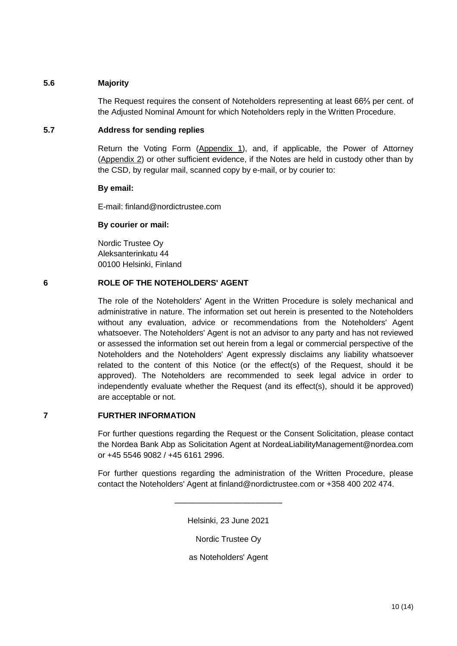### <span id="page-9-2"></span>**5.6 Majority**

The Request requires the consent of Noteholders representing at least 66⅔ per cent. of the Adjusted Nominal Amount for which Noteholders reply in the Written Procedure.

## <span id="page-9-0"></span>**5.7 Address for sending replies**

Return the Voting Form (Appendix 1), and, if applicable, the Power of Attorney (Appendix 2) or other sufficient evidence, if the Notes are held in custody other than by the CSD, by regular mail, scanned copy by e-mail, or by courier to:

## **By email:**

E-mail: finland@nordictrustee.com

## **By courier or mail:**

Nordic Trustee Oy Aleksanterinkatu 44 00100 Helsinki, Finland

## **6 ROLE OF THE NOTEHOLDERS' AGENT**

The role of the Noteholders' Agent in the Written Procedure is solely mechanical and administrative in nature. The information set out herein is presented to the Noteholders without any evaluation, advice or recommendations from the Noteholders' Agent whatsoever. The Noteholders' Agent is not an advisor to any party and has not reviewed or assessed the information set out herein from a legal or commercial perspective of the Noteholders and the Noteholders' Agent expressly disclaims any liability whatsoever related to the content of this Notice (or the effect(s) of the Request, should it be approved). The Noteholders are recommended to seek legal advice in order to independently evaluate whether the Request (and its effect(s), should it be approved) are acceptable or not.

## <span id="page-9-1"></span>**7 FURTHER INFORMATION**

For further questions regarding the Request or the Consent Solicitation, please contact the Nordea Bank Abp as Solicitation Agent at NordeaLiabilityManagement@nordea.com or +45 5546 9082 / +45 6161 2996.

For further questions regarding the administration of the Written Procedure, please contact the Noteholders' Agent at finland@nordictrustee.com or +358 400 202 474.

Helsinki, 23 June 2021

––––––––––––––––––––––––

Nordic Trustee Oy

as Noteholders' Agent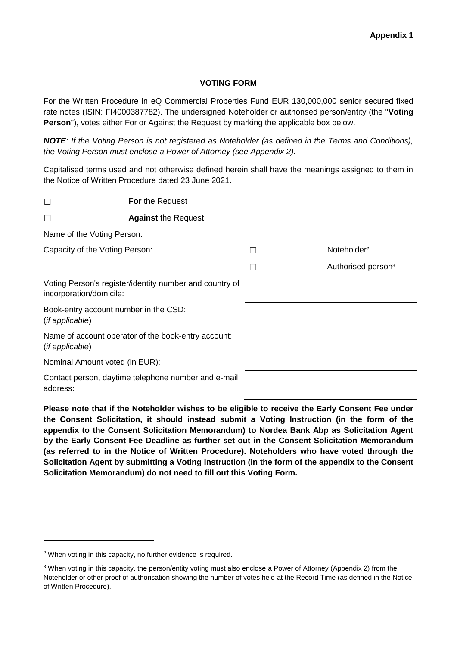#### **VOTING FORM**

For the Written Procedure in eQ Commercial Properties Fund EUR 130,000,000 senior secured fixed rate notes (ISIN: FI4000387782). The undersigned Noteholder or authorised person/entity (the "**Voting Person**"), votes either For or Against the Request by marking the applicable box below.

*NOTE: If the Voting Person is not registered as Noteholder (as defined in the Terms and Conditions), the Voting Person must enclose a Power of Attorney (see Appendix 2).*

Capitalised terms used and not otherwise defined herein shall have the meanings assigned to them in the Notice of Written Procedure dated 23 June 2021.

| $\Box$ | <b>For the Request</b> |
|--------|------------------------|
|--------|------------------------|

☐ **Against** the Request

Name of the Voting Person:

| Capacity of the Voting Person:                                                     | Noteholder <sup>2</sup>        |
|------------------------------------------------------------------------------------|--------------------------------|
|                                                                                    | Authorised person <sup>3</sup> |
| Voting Person's register/identity number and country of<br>incorporation/domicile: |                                |
| Book-entry account number in the CSD:<br>(if applicable)                           |                                |
| Name of account operator of the book-entry account:<br>(if applicable)             |                                |
| Nominal Amount voted (in EUR):                                                     |                                |
| Contact person, daytime telephone number and e-mail<br>address:                    |                                |

**Please note that if the Noteholder wishes to be eligible to receive the Early Consent Fee under the Consent Solicitation, it should instead submit a Voting Instruction (in the form of the appendix to the Consent Solicitation Memorandum) to Nordea Bank Abp as Solicitation Agent by the Early Consent Fee Deadline as further set out in the Consent Solicitation Memorandum (as referred to in the Notice of Written Procedure). Noteholders who have voted through the Solicitation Agent by submitting a Voting Instruction (in the form of the appendix to the Consent Solicitation Memorandum) do not need to fill out this Voting Form.**

1

<sup>2</sup> When voting in this capacity, no further evidence is required.

<sup>3</sup> When voting in this capacity, the person/entity voting must also enclose a Power of Attorney (Appendix 2) from the Noteholder or other proof of authorisation showing the number of votes held at the Record Time (as defined in the Notice of Written Procedure).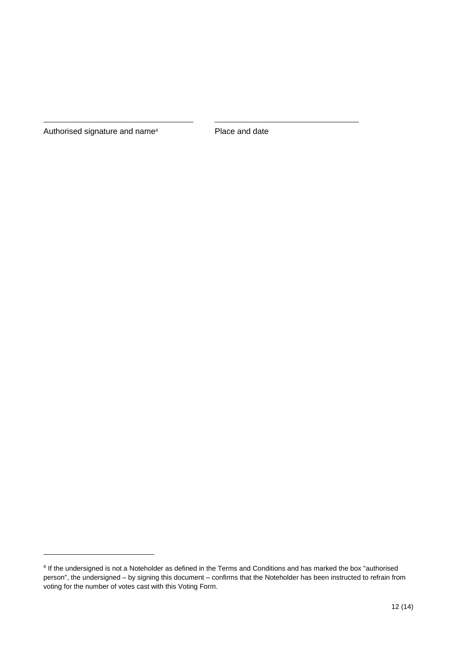Authorised signature and name<sup>4</sup> Place and date

-

<sup>4</sup> If the undersigned is not a Noteholder as defined in the Terms and Conditions and has marked the box "authorised person", the undersigned – by signing this document – confirms that the Noteholder has been instructed to refrain from voting for the number of votes cast with this Voting Form.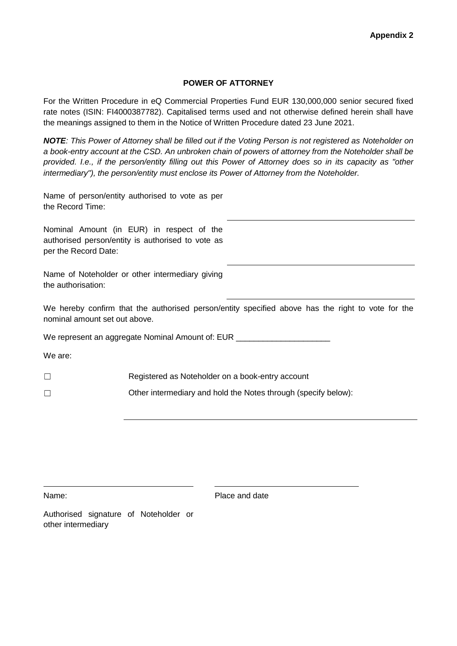## **POWER OF ATTORNEY**

For the Written Procedure in eQ Commercial Properties Fund EUR 130,000,000 senior secured fixed rate notes (ISIN: FI4000387782). Capitalised terms used and not otherwise defined herein shall have the meanings assigned to them in the Notice of Written Procedure dated 23 June 2021.

*NOTE: This Power of Attorney shall be filled out if the Voting Person is not registered as Noteholder on a book-entry account at the CSD. An unbroken chain of powers of attorney from the Noteholder shall be provided. I.e., if the person/entity filling out this Power of Attorney does so in its capacity as "other intermediary"), the person/entity must enclose its Power of Attorney from the Noteholder.*

| the Record Time:              | Name of person/entity authorised to vote as per                                                   |
|-------------------------------|---------------------------------------------------------------------------------------------------|
| per the Record Date:          | Nominal Amount (in EUR) in respect of the<br>authorised person/entity is authorised to vote as    |
| the authorisation:            | Name of Noteholder or other intermediary giving                                                   |
| nominal amount set out above. | We hereby confirm that the authorised person/entity specified above has the right to vote for the |
|                               | We represent an aggregate Nominal Amount of: EUR ______                                           |
| We are:                       |                                                                                                   |
| $\Box$                        | Registered as Noteholder on a book-entry account                                                  |
|                               | Other intermediary and hold the Notes through (specify below):                                    |

Name:

Place and date

Authorised signature of Noteholder or other intermediary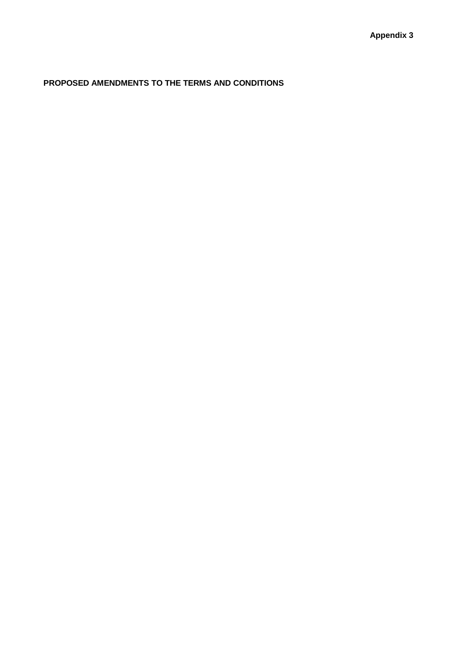## **PROPOSED AMENDMENTS TO THE TERMS AND CONDITIONS**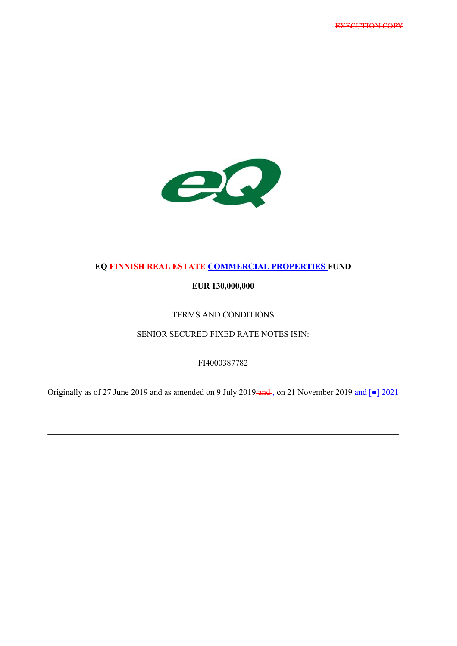

# **EQ FINNISH REAL ESTATE COMMERCIAL PROPERTIES FUND**

## **EUR 130,000,000**

## TERMS AND CONDITIONS

SENIOR SECURED FIXED RATE NOTES ISIN:

FI4000387782

Originally as of 27 June 2019 and as amended on 9 July 2019 and , on 21 November 2019 and [ $\bullet$ ] 2021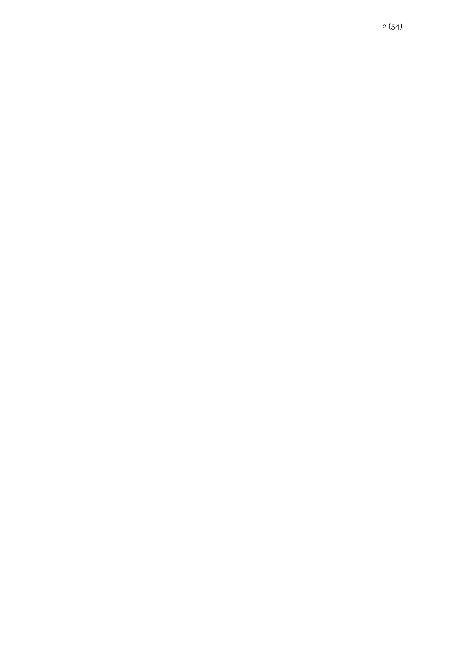$\overline{a}$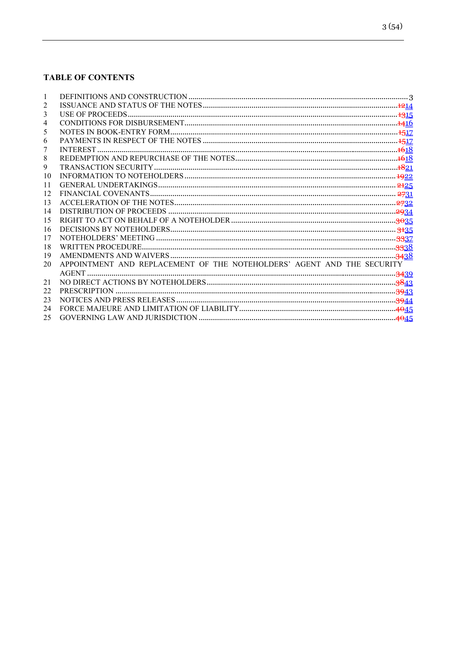## **TABLE OF CONTENTS**

| APPOINTMENT AND REPLACEMENT OF THE NOTEHOLDERS' AGENT AND THE SECURITY |
|------------------------------------------------------------------------|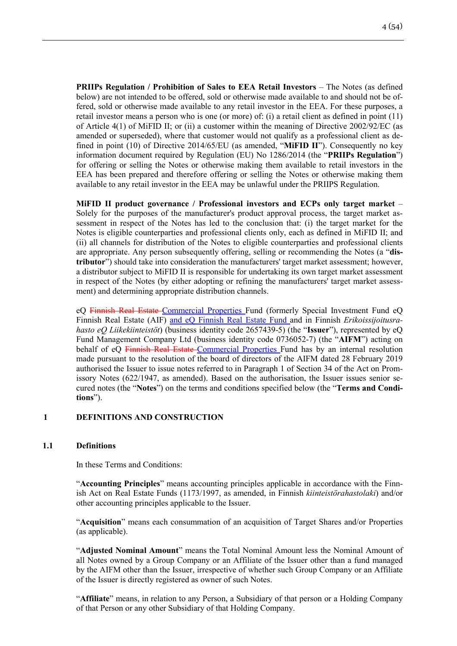**PRIIPs Regulation / Prohibition of Sales to EEA Retail Investors** – The Notes (as defined below) are not intended to be offered, sold or otherwise made available to and should not be offered, sold or otherwise made available to any retail investor in the EEA. For these purposes, a retail investor means a person who is one (or more) of: (i) a retail client as defined in point (11) of Article 4(1) of MiFID II; or (ii) a customer within the meaning of Directive 2002/92/EC (as amended or superseded), where that customer would not qualify as a professional client as defined in point (10) of Directive 2014/65/EU (as amended, "**MiFID II**"). Consequently no key information document required by Regulation (EU) No 1286/2014 (the "**PRIIPs Regulation**") for offering or selling the Notes or otherwise making them available to retail investors in the EEA has been prepared and therefore offering or selling the Notes or otherwise making them available to any retail investor in the EEA may be unlawful under the PRIIPS Regulation.

**MiFID II product governance / Professional investors and ECPs only target market** – Solely for the purposes of the manufacturer's product approval process, the target market assessment in respect of the Notes has led to the conclusion that: (i) the target market for the Notes is eligible counterparties and professional clients only, each as defined in MiFID II; and (ii) all channels for distribution of the Notes to eligible counterparties and professional clients are appropriate. Any person subsequently offering, selling or recommending the Notes (a "**distributor**") should take into consideration the manufacturers' target market assessment; however, a distributor subject to MiFID II is responsible for undertaking its own target market assessment in respect of the Notes (by either adopting or refining the manufacturers' target market assessment) and determining appropriate distribution channels.

eQ Finnish Real Estate Commercial Properties Fund (formerly Special Investment Fund eQ Finnish Real Estate (AIF) and eQ Finnish Real Estate Fund and in Finnish *Erikoissijoitusrahasto eQ Liikekiinteistöt*) (business identity code 2657439-5) (the "**Issuer**"), represented by eQ Fund Management Company Ltd (business identity code 0736052-7) (the "**AIFM**") acting on behalf of eQ Finnish Real Estate Commercial Properties Fund has by an internal resolution made pursuant to the resolution of the board of directors of the AIFM dated 28 February 2019 authorised the Issuer to issue notes referred to in Paragraph 1 of Section 34 of the Act on Promissory Notes (622/1947, as amended). Based on the authorisation, the Issuer issues senior secured notes (the "**Notes**") on the terms and conditions specified below (the "**Terms and Conditions**").

## **1 DEFINITIONS AND CONSTRUCTION**

## **1.1 Definitions**

In these Terms and Conditions:

"**Accounting Principles**" means accounting principles applicable in accordance with the Finnish Act on Real Estate Funds (1173/1997, as amended, in Finnish *kiinteistörahastolaki*) and/or other accounting principles applicable to the Issuer.

"**Acquisition**" means each consummation of an acquisition of Target Shares and/or Properties (as applicable).

"**Adjusted Nominal Amount**" means the Total Nominal Amount less the Nominal Amount of all Notes owned by a Group Company or an Affiliate of the Issuer other than a fund managed by the AIFM other than the Issuer, irrespective of whether such Group Company or an Affiliate of the Issuer is directly registered as owner of such Notes.

"**Affiliate**" means, in relation to any Person, a Subsidiary of that person or a Holding Company of that Person or any other Subsidiary of that Holding Company.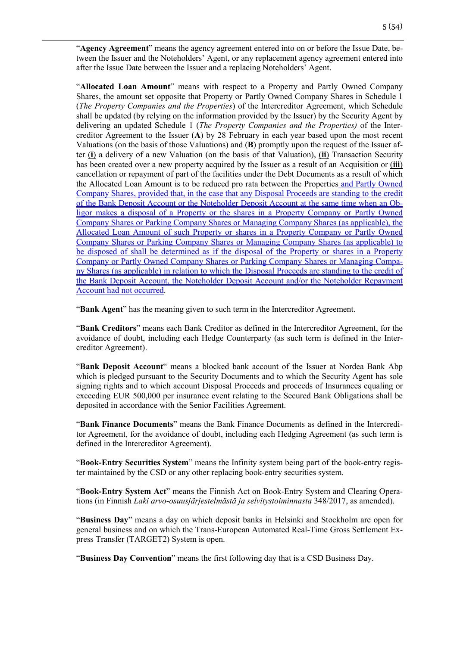"**Agency Agreement**" means the agency agreement entered into on or before the Issue Date, between the Issuer and the Noteholders' Agent, or any replacement agency agreement entered into after the Issue Date between the Issuer and a replacing Noteholders' Agent.

"**Allocated Loan Amount**" means with respect to a Property and Partly Owned Company Shares, the amount set opposite that Property or Partly Owned Company Shares in Schedule 1 (*The Property Companies and the Properties*) of the Intercreditor Agreement, which Schedule shall be updated (by relying on the information provided by the Issuer) by the Security Agent by delivering an updated Schedule 1 (*The Property Companies and the Properties)* of the Intercreditor Agreement to the Issuer (**A**) by 28 February in each year based upon the most recent Valuations (on the basis of those Valuations) and (**B**) promptly upon the request of the Issuer after (**i**) a delivery of a new Valuation (on the basis of that Valuation), (**ii**) Transaction Security has been created over a new property acquired by the Issuer as a result of an Acquisition or (**iii**) cancellation or repayment of part of the facilities under the Debt Documents as a result of which the Allocated Loan Amount is to be reduced pro rata between the Properties and Partly Owned Company Shares, provided that, in the case that any Disposal Proceeds are standing to the credit of the Bank Deposit Account or the Noteholder Deposit Account at the same time when an Obligor makes a disposal of a Property or the shares in a Property Company or Partly Owned Company Shares or Parking Company Shares or Managing Company Shares (as applicable), the Allocated Loan Amount of such Property or shares in a Property Company or Partly Owned Company Shares or Parking Company Shares or Managing Company Shares (as applicable) to be disposed of shall be determined as if the disposal of the Property or shares in a Property Company or Partly Owned Company Shares or Parking Company Shares or Managing Company Shares (as applicable) in relation to which the Disposal Proceeds are standing to the credit of the Bank Deposit Account, the Noteholder Deposit Account and/or the Noteholder Repayment Account had not occurred.

"**Bank Agent**" has the meaning given to such term in the Intercreditor Agreement.

"**Bank Creditors**" means each Bank Creditor as defined in the Intercreditor Agreement, for the avoidance of doubt, including each Hedge Counterparty (as such term is defined in the Intercreditor Agreement).

"**Bank Deposit Account**" means a blocked bank account of the Issuer at Nordea Bank Abp which is pledged pursuant to the Security Documents and to which the Security Agent has sole signing rights and to which account Disposal Proceeds and proceeds of Insurances equaling or exceeding EUR 500,000 per insurance event relating to the Secured Bank Obligations shall be deposited in accordance with the Senior Facilities Agreement.

"**Bank Finance Documents**" means the Bank Finance Documents as defined in the Intercreditor Agreement, for the avoidance of doubt, including each Hedging Agreement (as such term is defined in the Intercreditor Agreement).

"**Book-Entry Securities System**" means the Infinity system being part of the book-entry register maintained by the CSD or any other replacing book-entry securities system.

"**Book-Entry System Act**" means the Finnish Act on Book-Entry System and Clearing Operations (in Finnish *Laki arvo-osuusjärjestelmästä ja selvitystoiminnasta* 348/2017, as amended).

"**Business Day**" means a day on which deposit banks in Helsinki and Stockholm are open for general business and on which the Trans-European Automated Real-Time Gross Settlement Express Transfer (TARGET2) System is open.

"**Business Day Convention**" means the first following day that is a CSD Business Day.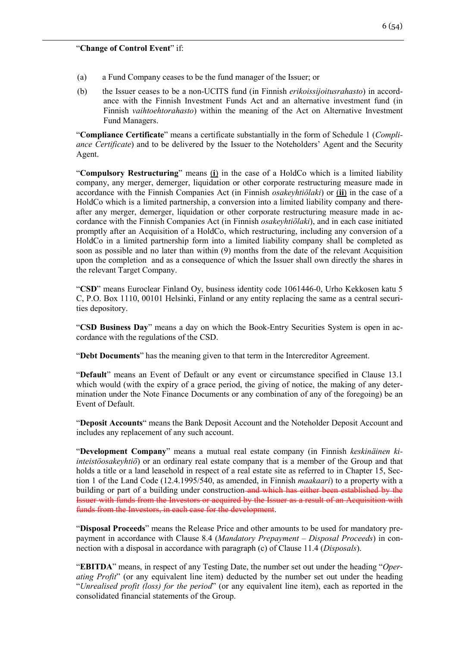## "**Change of Control Event**" if:

- (a) a Fund Company ceases to be the fund manager of the Issuer; or
- (b) the Issuer ceases to be a non-UCITS fund (in Finnish *erikoissijoitusrahasto*) in accordance with the Finnish Investment Funds Act and an alternative investment fund (in Finnish *vaihtoehtorahasto*) within the meaning of the Act on Alternative Investment Fund Managers.

"**Compliance Certificate**" means a certificate substantially in the form of Schedule 1 (*Compliance Certificate*) and to be delivered by the Issuer to the Noteholders' Agent and the Security Agent.

"**Compulsory Restructuring**" means (**i**) in the case of a HoldCo which is a limited liability company, any merger, demerger, liquidation or other corporate restructuring measure made in accordance with the Finnish Companies Act (in Finnish *osakeyhtiölaki*) or (**ii**) in the case of a HoldCo which is a limited partnership, a conversion into a limited liability company and thereafter any merger, demerger, liquidation or other corporate restructuring measure made in accordance with the Finnish Companies Act (in Finnish *osakeyhtiölaki*), and in each case initiated promptly after an Acquisition of a HoldCo, which restructuring, including any conversion of a HoldCo in a limited partnership form into a limited liability company shall be completed as soon as possible and no later than within (9) months from the date of the relevant Acquisition upon the completion and as a consequence of which the Issuer shall own directly the shares in the relevant Target Company.

"**CSD**" means Euroclear Finland Oy, business identity code 1061446-0, Urho Kekkosen katu 5 C, P.O. Box 1110, 00101 Helsinki, Finland or any entity replacing the same as a central securities depository.

"**CSD Business Day**" means a day on which the Book-Entry Securities System is open in accordance with the regulations of the CSD.

"**Debt Documents**" has the meaning given to that term in the Intercreditor Agreement.

"**Default**" means an Event of Default or any event or circumstance specified in Clause 13.1 which would (with the expiry of a grace period, the giving of notice, the making of any determination under the Note Finance Documents or any combination of any of the foregoing) be an Event of Default.

"**Deposit Accounts**" means the Bank Deposit Account and the Noteholder Deposit Account and includes any replacement of any such account.

"**Development Company**" means a mutual real estate company (in Finnish *keskinäinen kiinteistöosakeyhtiö*) or an ordinary real estate company that is a member of the Group and that holds a title or a land leasehold in respect of a real estate site as referred to in Chapter 15, Section 1 of the Land Code (12.4.1995/540, as amended, in Finnish *maakaari*) to a property with a building or part of a building under construction and which has either been established by the Issuer with funds from the Investors or acquired by the Issuer as a result of an Acquisition with funds from the Investors, in each case for the development.

"**Disposal Proceeds**" means the Release Price and other amounts to be used for mandatory prepayment in accordance with Clause 8.4 (*Mandatory Prepayment – Disposal Proceeds*) in connection with a disposal in accordance with paragraph (c) of Clause 11.4 (*Disposals*).

"**EBITDA**" means, in respect of any Testing Date, the number set out under the heading "*Operating Profit*" (or any equivalent line item) deducted by the number set out under the heading "*Unrealised profit (loss) for the period*" (or any equivalent line item), each as reported in the consolidated financial statements of the Group.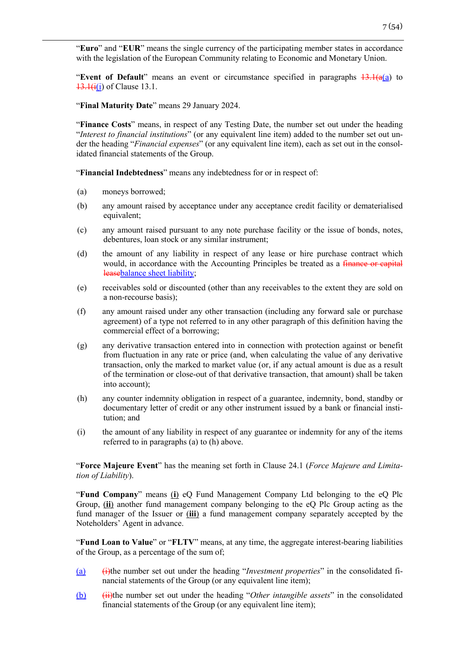"**Euro**" and "**EUR**" means the single currency of the participating member states in accordance with the legislation of the European Community relating to Economic and Monetary Union.

**Event of Default**" means an event or circumstance specified in paragraphs  $\frac{13.1}{a}$  to  $13.1(i)$  of Clause 13.1.

"**Final Maturity Date**" means 29 January 2024.

"**Finance Costs**" means, in respect of any Testing Date, the number set out under the heading "*Interest to financial institutions*" (or any equivalent line item) added to the number set out under the heading "*Financial expenses*" (or any equivalent line item), each as set out in the consolidated financial statements of the Group.

"**Financial Indebtedness**" means any indebtedness for or in respect of:

- (a) moneys borrowed;
- (b) any amount raised by acceptance under any acceptance credit facility or dematerialised equivalent;
- (c) any amount raised pursuant to any note purchase facility or the issue of bonds, notes, debentures, loan stock or any similar instrument;
- (d) the amount of any liability in respect of any lease or hire purchase contract which would, in accordance with the Accounting Principles be treated as a *finance or capital* leasebalance sheet liability;
- (e) receivables sold or discounted (other than any receivables to the extent they are sold on a non-recourse basis);
- (f) any amount raised under any other transaction (including any forward sale or purchase agreement) of a type not referred to in any other paragraph of this definition having the commercial effect of a borrowing;
- (g) any derivative transaction entered into in connection with protection against or benefit from fluctuation in any rate or price (and, when calculating the value of any derivative transaction, only the marked to market value (or, if any actual amount is due as a result of the termination or close-out of that derivative transaction, that amount) shall be taken into account);
- (h) any counter indemnity obligation in respect of a guarantee, indemnity, bond, standby or documentary letter of credit or any other instrument issued by a bank or financial institution; and
- (i) the amount of any liability in respect of any guarantee or indemnity for any of the items referred to in paragraphs (a) to (h) above.

"**Force Majeure Event**" has the meaning set forth in Clause 24.1 (*Force Majeure and Limitation of Liability*).

"**Fund Company**" means (**i**) eQ Fund Management Company Ltd belonging to the eQ Plc Group, (**ii**) another fund management company belonging to the eQ Plc Group acting as the fund manager of the Issuer or (**iii**) a fund management company separately accepted by the Noteholders' Agent in advance.

"**Fund Loan to Value**" or "**FLTV**" means, at any time, the aggregate interest-bearing liabilities of the Group, as a percentage of the sum of;

- (a) (i)the number set out under the heading "*Investment properties*" in the consolidated financial statements of the Group (or any equivalent line item);
- (b) (ii)the number set out under the heading "*Other intangible assets*" in the consolidated financial statements of the Group (or any equivalent line item);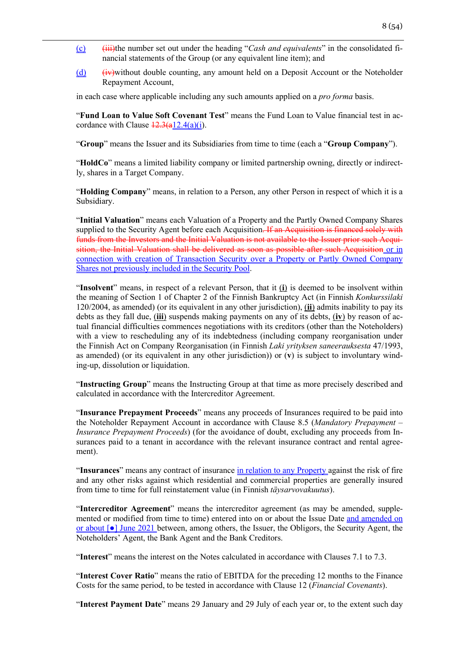- (c) (iii)the number set out under the heading "*Cash and equivalents*" in the consolidated financial statements of the Group (or any equivalent line item); and
- $\overline{(d)}$  (iv)without double counting, any amount held on a Deposit Account or the Noteholder Repayment Account,

in each case where applicable including any such amounts applied on a *pro forma* basis.

"**Fund Loan to Value Soft Covenant Test**" means the Fund Loan to Value financial test in accordance with Clause  $\frac{12.3(a12.4(a)(i))}{2a(2a)(i)}$ .

"**Group**" means the Issuer and its Subsidiaries from time to time (each a "**Group Company**").

"**HoldCo**" means a limited liability company or limited partnership owning, directly or indirectly, shares in a Target Company.

"**Holding Company**" means, in relation to a Person, any other Person in respect of which it is a Subsidiary.

"**Initial Valuation**" means each Valuation of a Property and the Partly Owned Company Shares supplied to the Security Agent before each Acquisition. If an Acquisition is financed solely with funds from the Investors and the Initial Valuation is not available to the Issuer prior such Acquisition, the Initial Valuation shall be delivered as soon as possible after such Acquisition or in connection with creation of Transaction Security over a Property or Partly Owned Company Shares not previously included in the Security Pool.

"**Insolvent**" means, in respect of a relevant Person, that it (**i**) is deemed to be insolvent within the meaning of Section 1 of Chapter 2 of the Finnish Bankruptcy Act (in Finnish *Konkurssilaki* 120/2004, as amended) (or its equivalent in any other jurisdiction), (**ii**) admits inability to pay its debts as they fall due, (**iii**) suspends making payments on any of its debts, (**iv**) by reason of actual financial difficulties commences negotiations with its creditors (other than the Noteholders) with a view to rescheduling any of its indebtedness (including company reorganisation under the Finnish Act on Company Reorganisation (in Finnish *Laki yrityksen saneerauksesta* 47/1993, as amended) (or its equivalent in any other jurisdiction)) or (**v**) is subject to involuntary winding-up, dissolution or liquidation.

"**Instructing Group**" means the Instructing Group at that time as more precisely described and calculated in accordance with the Intercreditor Agreement.

"**Insurance Prepayment Proceeds**" means any proceeds of Insurances required to be paid into the Noteholder Repayment Account in accordance with Clause 8.5 (*Mandatory Prepayment – Insurance Prepayment Proceeds*) (for the avoidance of doubt, excluding any proceeds from Insurances paid to a tenant in accordance with the relevant insurance contract and rental agreement).

"**Insurances**" means any contract of insurance in relation to any Property against the risk of fire and any other risks against which residential and commercial properties are generally insured from time to time for full reinstatement value (in Finnish *täysarvovakuutus*).

"**Intercreditor Agreement**" means the intercreditor agreement (as may be amended, supplemented or modified from time to time) entered into on or about the Issue Date and amended on or about [●] June 2021 between, among others, the Issuer, the Obligors, the Security Agent, the Noteholders' Agent, the Bank Agent and the Bank Creditors.

"**Interest**" means the interest on the Notes calculated in accordance with Clauses 7.1 to 7.3.

"**Interest Cover Ratio**" means the ratio of EBITDA for the preceding 12 months to the Finance Costs for the same period, to be tested in accordance with Clause 12 (*Financial Covenants*).

"**Interest Payment Date**" means 29 January and 29 July of each year or, to the extent such day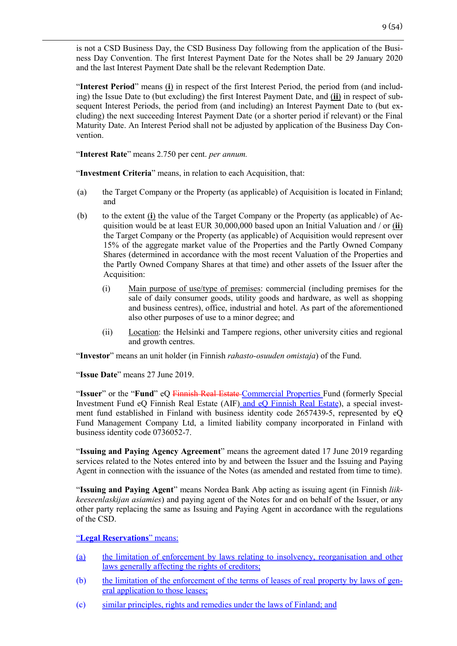is not a CSD Business Day, the CSD Business Day following from the application of the Business Day Convention. The first Interest Payment Date for the Notes shall be 29 January 2020 and the last Interest Payment Date shall be the relevant Redemption Date.

"**Interest Period**" means (**i**) in respect of the first Interest Period, the period from (and including) the Issue Date to (but excluding) the first Interest Payment Date, and (**ii**) in respect of subsequent Interest Periods, the period from (and including) an Interest Payment Date to (but excluding) the next succeeding Interest Payment Date (or a shorter period if relevant) or the Final Maturity Date. An Interest Period shall not be adjusted by application of the Business Day Convention.

"**Interest Rate**" means 2.750 per cent. *per annum.*

"**Investment Criteria**" means, in relation to each Acquisition, that:

- (a) the Target Company or the Property (as applicable) of Acquisition is located in Finland; and
- (b) to the extent (**i**) the value of the Target Company or the Property (as applicable) of Acquisition would be at least EUR 30,000,000 based upon an Initial Valuation and / or (**ii**) the Target Company or the Property (as applicable) of Acquisition would represent over 15% of the aggregate market value of the Properties and the Partly Owned Company Shares (determined in accordance with the most recent Valuation of the Properties and the Partly Owned Company Shares at that time) and other assets of the Issuer after the Acquisition:
	- (i) Main purpose of use/type of premises: commercial (including premises for the sale of daily consumer goods, utility goods and hardware, as well as shopping and business centres), office, industrial and hotel. As part of the aforementioned also other purposes of use to a minor degree; and
	- (ii) Location: the Helsinki and Tampere regions, other university cities and regional and growth centres.

"**Investor**" means an unit holder (in Finnish *rahasto-osuuden omistaja*) of the Fund.

"**Issue Date**" means 27 June 2019.

"**Issuer**" or the "**Fund**" eQ Finnish Real Estate Commercial Properties Fund (formerly Special Investment Fund eQ Finnish Real Estate (AIF) and eQ Finnish Real Estate), a special investment fund established in Finland with business identity code 2657439-5, represented by eQ Fund Management Company Ltd, a limited liability company incorporated in Finland with business identity code 0736052-7.

"**Issuing and Paying Agency Agreement**" means the agreement dated 17 June 2019 regarding services related to the Notes entered into by and between the Issuer and the Issuing and Paying Agent in connection with the issuance of the Notes (as amended and restated from time to time).

"**Issuing and Paying Agent**" means Nordea Bank Abp acting as issuing agent (in Finnish *liikkeeseenlaskijan asiamies*) and paying agent of the Notes for and on behalf of the Issuer, or any other party replacing the same as Issuing and Paying Agent in accordance with the regulations of the CSD.

### "**Legal Reservations**" means:

- (a) the limitation of enforcement by laws relating to insolvency, reorganisation and other laws generally affecting the rights of creditors;
- (b) the limitation of the enforcement of the terms of leases of real property by laws of general application to those leases;
- (c) similar principles, rights and remedies under the laws of Finland; and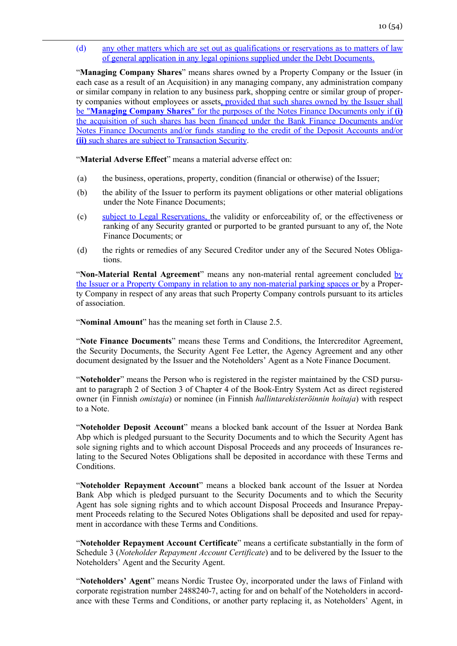(d) any other matters which are set out as qualifications or reservations as to matters of law of general application in any legal opinions supplied under the Debt Documents.

"**Managing Company Shares**" means shares owned by a Property Company or the Issuer (in each case as a result of an Acquisition) in any managing company, any administration company or similar company in relation to any business park, shopping centre or similar group of property companies without employees or assets, provided that such shares owned by the Issuer shall be "**Managing Company Shares**" for the purposes of the Notes Finance Documents only if **(i)** the acquisition of such shares has been financed under the Bank Finance Documents and/or Notes Finance Documents and/or funds standing to the credit of the Deposit Accounts and/or **(ii)** such shares are subject to Transaction Security.

"**Material Adverse Effect**" means a material adverse effect on:

- (a) the business, operations, property, condition (financial or otherwise) of the Issuer;
- (b) the ability of the Issuer to perform its payment obligations or other material obligations under the Note Finance Documents;
- (c) subject to Legal Reservations, the validity or enforceability of, or the effectiveness or ranking of any Security granted or purported to be granted pursuant to any of, the Note Finance Documents; or
- (d) the rights or remedies of any Secured Creditor under any of the Secured Notes Obligations.

"**Non-Material Rental Agreement**" means any non-material rental agreement concluded by the Issuer or a Property Company in relation to any non-material parking spaces or by a Property Company in respect of any areas that such Property Company controls pursuant to its articles of association.

"**Nominal Amount**" has the meaning set forth in Clause 2.5.

"**Note Finance Documents**" means these Terms and Conditions, the Intercreditor Agreement, the Security Documents, the Security Agent Fee Letter, the Agency Agreement and any other document designated by the Issuer and the Noteholders' Agent as a Note Finance Document.

"**Noteholder**" means the Person who is registered in the register maintained by the CSD pursuant to paragraph 2 of Section 3 of Chapter 4 of the Book-Entry System Act as direct registered owner (in Finnish *omistaja*) or nominee (in Finnish *hallintarekisteröinnin hoitaja*) with respect to a Note.

"**Noteholder Deposit Account**" means a blocked bank account of the Issuer at Nordea Bank Abp which is pledged pursuant to the Security Documents and to which the Security Agent has sole signing rights and to which account Disposal Proceeds and any proceeds of Insurances relating to the Secured Notes Obligations shall be deposited in accordance with these Terms and Conditions.

"**Noteholder Repayment Account**" means a blocked bank account of the Issuer at Nordea Bank Abp which is pledged pursuant to the Security Documents and to which the Security Agent has sole signing rights and to which account Disposal Proceeds and Insurance Prepayment Proceeds relating to the Secured Notes Obligations shall be deposited and used for repayment in accordance with these Terms and Conditions.

"**Noteholder Repayment Account Certificate**" means a certificate substantially in the form of Schedule 3 (*Noteholder Repayment Account Certificate*) and to be delivered by the Issuer to the Noteholders' Agent and the Security Agent.

"**Noteholders' Agent**" means Nordic Trustee Oy, incorporated under the laws of Finland with corporate registration number 2488240-7, acting for and on behalf of the Noteholders in accordance with these Terms and Conditions, or another party replacing it, as Noteholders' Agent, in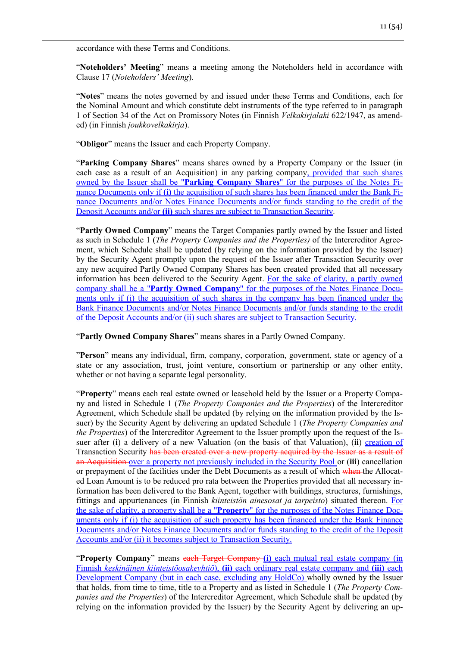accordance with these Terms and Conditions.

"**Noteholders' Meeting**" means a meeting among the Noteholders held in accordance with Clause 17 (*Noteholders' Meeting*).

"**Notes**" means the notes governed by and issued under these Terms and Conditions, each for the Nominal Amount and which constitute debt instruments of the type referred to in paragraph 1 of Section 34 of the Act on Promissory Notes (in Finnish *Velkakirjalaki* 622/1947, as amended) (in Finnish *joukkovelkakirja*).

"**Obligor**" means the Issuer and each Property Company.

"**Parking Company Shares**" means shares owned by a Property Company or the Issuer (in each case as a result of an Acquisition) in any parking company, provided that such shares owned by the Issuer shall be "**Parking Company Shares**" for the purposes of the Notes Finance Documents only if **(i)** the acquisition of such shares has been financed under the Bank Finance Documents and/or Notes Finance Documents and/or funds standing to the credit of the Deposit Accounts and/or **(ii)** such shares are subject to Transaction Security.

"**Partly Owned Company**" means the Target Companies partly owned by the Issuer and listed as such in Schedule 1 (*The Property Companies and the Properties)* of the Intercreditor Agreement, which Schedule shall be updated (by relying on the information provided by the Issuer) by the Security Agent promptly upon the request of the Issuer after Transaction Security over any new acquired Partly Owned Company Shares has been created provided that all necessary information has been delivered to the Security Agent. For the sake of clarity, a partly owned company shall be a "**Partly Owned Company**" for the purposes of the Notes Finance Documents only if (i) the acquisition of such shares in the company has been financed under the Bank Finance Documents and/or Notes Finance Documents and/or funds standing to the credit of the Deposit Accounts and/or (ii) such shares are subject to Transaction Security.

"**Partly Owned Company Shares**" means shares in a Partly Owned Company.

"**Person**" means any individual, firm, company, corporation, government, state or agency of a state or any association, trust, joint venture, consortium or partnership or any other entity, whether or not having a separate legal personality.

"**Property**" means each real estate owned or leasehold held by the Issuer or a Property Company and listed in Schedule 1 (*The Property Companies and the Properties*) of the Intercreditor Agreement, which Schedule shall be updated (by relying on the information provided by the Issuer) by the Security Agent by delivering an updated Schedule 1 (*The Property Companies and the Properties*) of the Intercreditor Agreement to the Issuer promptly upon the request of the Issuer after (**i**) a delivery of a new Valuation (on the basis of that Valuation), (**ii**) creation of Transaction Security has been created over a new property acquired by the Issuer as a result of an Acquisition over a property not previously included in the Security Pool or (**iii**) cancellation or prepayment of the facilities under the Debt Documents as a result of which when the Allocated Loan Amount is to be reduced pro rata between the Properties provided that all necessary information has been delivered to the Bank Agent, together with buildings, structures, furnishings, fittings and appurtenances (in Finnish *kiinteistön ainesosat ja tarpeisto*) situated thereon. For the sake of clarity, a property shall be a "**Property**" for the purposes of the Notes Finance Documents only if (i) the acquisition of such property has been financed under the Bank Finance Documents and/or Notes Finance Documents and/or funds standing to the credit of the Deposit Accounts and/or (ii) it becomes subject to Transaction Security.

"**Property Company**" means each Target Company **(i)** each mutual real estate company (in Finnish *keskinäinen kiinteistöosakeyhtiö*), **(ii)** each ordinary real estate company and **(iii)** each Development Company (but in each case, excluding any HoldCo) wholly owned by the Issuer that holds, from time to time, title to a Property and as listed in Schedule 1 (*The Property Companies and the Properties*) of the Intercreditor Agreement, which Schedule shall be updated (by relying on the information provided by the Issuer) by the Security Agent by delivering an up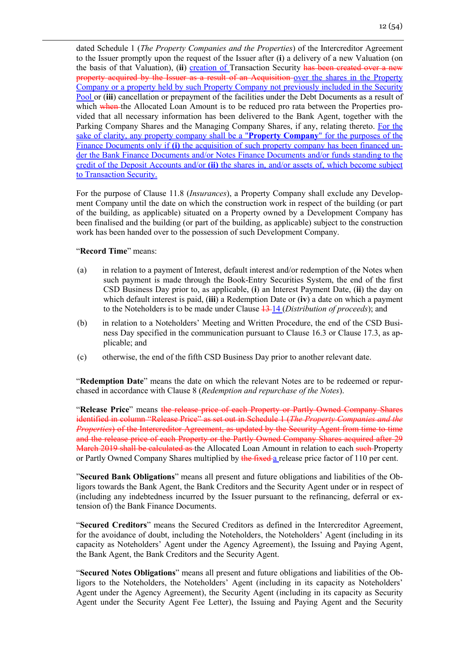dated Schedule 1 (*The Property Companies and the Properties*) of the Intercreditor Agreement to the Issuer promptly upon the request of the Issuer after (**i**) a delivery of a new Valuation (on the basis of that Valuation), (ii) creation of Transaction Security has been created over a new property acquired by the Issuer as a result of an Acquisition over the shares in the Property Company or a property held by such Property Company not previously included in the Security Pool or (**iii**) cancellation or prepayment of the facilities under the Debt Documents as a result of which when the Allocated Loan Amount is to be reduced pro rata between the Properties provided that all necessary information has been delivered to the Bank Agent, together with the Parking Company Shares and the Managing Company Shares, if any, relating thereto. For the sake of clarity, any property company shall be a "**Property Company**" for the purposes of the Finance Documents only if **(i)** the acquisition of such property company has been financed under the Bank Finance Documents and/or Notes Finance Documents and/or funds standing to the credit of the Deposit Accounts and/or **(ii)** the shares in, and/or assets of, which become subject to Transaction Security.

For the purpose of Clause 11.8 (*Insurances*), a Property Company shall exclude any Development Company until the date on which the construction work in respect of the building (or part of the building, as applicable) situated on a Property owned by a Development Company has been finalised and the building (or part of the building, as applicable) subject to the construction work has been handed over to the possession of such Development Company.

### "**Record Time**" means:

- (a) in relation to a payment of Interest, default interest and/or redemption of the Notes when such payment is made through the Book-Entry Securities System, the end of the first CSD Business Day prior to, as applicable, (**i**) an Interest Payment Date, (**ii**) the day on which default interest is paid, (**iii**) a Redemption Date or (**iv**) a date on which a payment to the Noteholders is to be made under Clause 13 14 (*Distribution of proceeds*); and
- (b) in relation to a Noteholders' Meeting and Written Procedure, the end of the CSD Business Day specified in the communication pursuant to Clause 16.3 or Clause 17.3, as applicable; and
- (c) otherwise, the end of the fifth CSD Business Day prior to another relevant date.

"**Redemption Date**" means the date on which the relevant Notes are to be redeemed or repurchased in accordance with Clause 8 (*Redemption and repurchase of the Notes*).

"**Release Price**" means the release price of each Property or Partly Owned Company Shares identified in column "Release Price" as set out in Schedule 1 (*The Property Companies and the Properties*) of the Intercreditor Agreement, as updated by the Security Agent from time to time and the release price of each Property or the Partly Owned Company Shares acquired after 29 March 2019 shall be calculated as the Allocated Loan Amount in relation to each such Property or Partly Owned Company Shares multiplied by the fixed a release price factor of 110 per cent.

"**Secured Bank Obligations**" means all present and future obligations and liabilities of the Obligors towards the Bank Agent, the Bank Creditors and the Security Agent under or in respect of (including any indebtedness incurred by the Issuer pursuant to the refinancing, deferral or extension of) the Bank Finance Documents.

"**Secured Creditors**" means the Secured Creditors as defined in the Intercreditor Agreement, for the avoidance of doubt, including the Noteholders, the Noteholders' Agent (including in its capacity as Noteholders' Agent under the Agency Agreement), the Issuing and Paying Agent, the Bank Agent, the Bank Creditors and the Security Agent.

"**Secured Notes Obligations**" means all present and future obligations and liabilities of the Obligors to the Noteholders, the Noteholders' Agent (including in its capacity as Noteholders' Agent under the Agency Agreement), the Security Agent (including in its capacity as Security Agent under the Security Agent Fee Letter), the Issuing and Paying Agent and the Security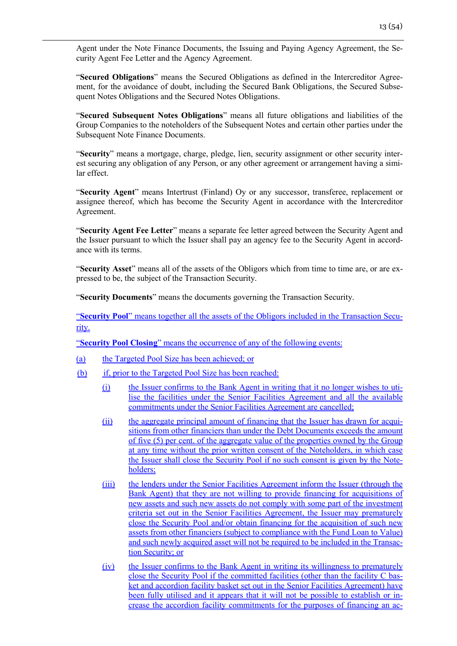Agent under the Note Finance Documents, the Issuing and Paying Agency Agreement, the Security Agent Fee Letter and the Agency Agreement.

"**Secured Obligations**" means the Secured Obligations as defined in the Intercreditor Agreement, for the avoidance of doubt, including the Secured Bank Obligations, the Secured Subsequent Notes Obligations and the Secured Notes Obligations.

"**Secured Subsequent Notes Obligations**" means all future obligations and liabilities of the Group Companies to the noteholders of the Subsequent Notes and certain other parties under the Subsequent Note Finance Documents.

"**Security**" means a mortgage, charge, pledge, lien, security assignment or other security interest securing any obligation of any Person, or any other agreement or arrangement having a similar effect.

"**Security Agent**" means Intertrust (Finland) Oy or any successor, transferee, replacement or assignee thereof, which has become the Security Agent in accordance with the Intercreditor Agreement.

"**Security Agent Fee Letter**" means a separate fee letter agreed between the Security Agent and the Issuer pursuant to which the Issuer shall pay an agency fee to the Security Agent in accordance with its terms.

"**Security Asset**" means all of the assets of the Obligors which from time to time are, or are expressed to be, the subject of the Transaction Security.

"**Security Documents**" means the documents governing the Transaction Security.

"**Security Pool**" means together all the assets of the Obligors included in the Transaction Security.

"**Security Pool Closing**" means the occurrence of any of the following events:

- (a) the Targeted Pool Size has been achieved; or
- (b) if, prior to the Targeted Pool Size has been reached:
	- (i) the Issuer confirms to the Bank Agent in writing that it no longer wishes to utilise the facilities under the Senior Facilities Agreement and all the available commitments under the Senior Facilities Agreement are cancelled;
	- (ii) the aggregate principal amount of financing that the Issuer has drawn for acquisitions from other financiers than under the Debt Documents exceeds the amount of five (5) per cent. of the aggregate value of the properties owned by the Group at any time without the prior written consent of the Noteholders, in which case the Issuer shall close the Security Pool if no such consent is given by the Noteholders;
	- (iii) the lenders under the Senior Facilities Agreement inform the Issuer (through the Bank Agent) that they are not willing to provide financing for acquisitions of new assets and such new assets do not comply with some part of the investment criteria set out in the Senior Facilities Agreement, the Issuer may prematurely close the Security Pool and/or obtain financing for the acquisition of such new assets from other financiers (subject to compliance with the Fund Loan to Value) and such newly acquired asset will not be required to be included in the Transaction Security; or
	- (iv) the Issuer confirms to the Bank Agent in writing its willingness to prematurely close the Security Pool if the committed facilities (other than the facility C basket and accordion facility basket set out in the Senior Facilities Agreement) have been fully utilised and it appears that it will not be possible to establish or increase the accordion facility commitments for the purposes of financing an ac-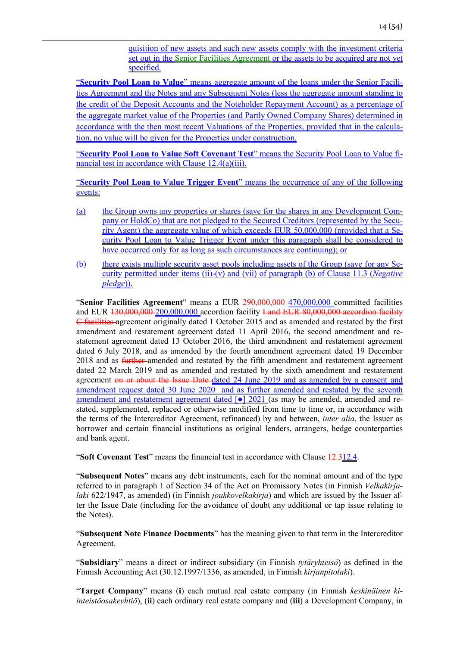quisition of new assets and such new assets comply with the investment criteria set out in the Senior Facilities Agreement or the assets to be acquired are not yet specified.

"**Security Pool Loan to Value**" means aggregate amount of the loans under the Senior Facilities Agreement and the Notes and any Subsequent Notes (less the aggregate amount standing to the credit of the Deposit Accounts and the Noteholder Repayment Account) as a percentage of the aggregate market value of the Properties (and Partly Owned Company Shares) determined in accordance with the then most recent Valuations of the Properties, provided that in the calculation, no value will be given for the Properties under construction.

"**Security Pool Loan to Value Soft Covenant Test**" means the Security Pool Loan to Value financial test in accordance with Clause 12.4(a)(iii).

"**Security Pool Loan to Value Trigger Event**" means the occurrence of any of the following events:

- (a) the Group owns any properties or shares (save for the shares in any Development Company or HoldCo) that are not pledged to the Secured Creditors (represented by the Security Agent) the aggregate value of which exceeds EUR 50,000,000 (provided that a Security Pool Loan to Value Trigger Event under this paragraph shall be considered to have occurred only for as long as such circumstances are continuing); or
- (b) there exists multiple security asset pools including assets of the Group (save for any Security permitted under items (ii)-(v) and (vii) of paragraph (b) of Clause 11.3 (*Negative pledge*)).

"**Senior Facilities Agreement**" means a EUR 290,000,000 470,000,000 committed facilities and EUR 130,000,000-200,000,000 accordion facility I and EUR 80,000,000 accordion facility C facilities agreement originally dated 1 October 2015 and as amended and restated by the first amendment and restatement agreement dated 11 April 2016, the second amendment and restatement agreement dated 13 October 2016, the third amendment and restatement agreement dated 6 July 2018, and as amended by the fourth amendment agreement dated 19 December 2018 and as **further**-amended and restated by the fifth amendment and restatement agreement dated 22 March 2019 and as amended and restated by the sixth amendment and restatement agreement on or about the Issue Date dated 24 June 2019 and as amended by a consent and amendment request dated 30 June 2020 and as further amended and restated by the seventh amendment and restatement agreement dated [ $\bullet$ ] 2021 (as may be amended, amended and restated, supplemented, replaced or otherwise modified from time to time or, in accordance with the terms of the Intercreditor Agreement, refinanced) by and between, *inter alia*, the Issuer as borrower and certain financial institutions as original lenders, arrangers, hedge counterparties and bank agent.

"**Soft Covenant Test**" means the financial test in accordance with Clause 12.312.4.

"**Subsequent Notes**" means any debt instruments, each for the nominal amount and of the type referred to in paragraph 1 of Section 34 of the Act on Promissory Notes (in Finnish *Velkakirjalaki* 622/1947, as amended) (in Finnish *joukkovelkakirja*) and which are issued by the Issuer after the Issue Date (including for the avoidance of doubt any additional or tap issue relating to the Notes).

"**Subsequent Note Finance Documents**" has the meaning given to that term in the Intercreditor Agreement.

"**Subsidiary**" means a direct or indirect subsidiary (in Finnish *tytäryhteisö*) as defined in the Finnish Accounting Act (30.12.1997/1336, as amended, in Finnish *kirjanpitolaki*).

"**Target Company**" means (**i**) each mutual real estate company (in Finnish *keskinäinen kiinteistöosakeyhtiö*), (**ii**) each ordinary real estate company and (**iii**) a Development Company, in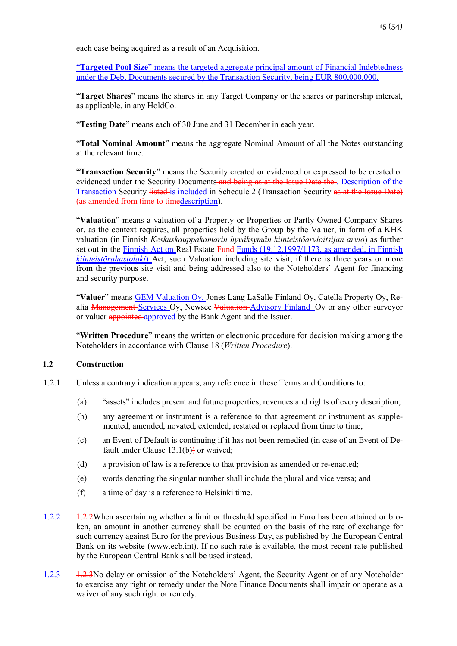each case being acquired as a result of an Acquisition.

"**Targeted Pool Size**" means the targeted aggregate principal amount of Financial Indebtedness under the Debt Documents secured by the Transaction Security, being EUR 800,000,000.

"**Target Shares**" means the shares in any Target Company or the shares or partnership interest, as applicable, in any HoldCo.

"**Testing Date**" means each of 30 June and 31 December in each year.

"**Total Nominal Amount**" means the aggregate Nominal Amount of all the Notes outstanding at the relevant time.

"**Transaction Security**" means the Security created or evidenced or expressed to be created or evidenced under the Security Documents and being as at the Issue Date the. Description of the Transaction Security listed is included in Schedule 2 (Transaction Security as at the Issue Date) (as amended from time to timedescription).

"**Valuation**" means a valuation of a Property or Properties or Partly Owned Company Shares or, as the context requires, all properties held by the Group by the Valuer, in form of a KHK valuation (in Finnish *Keskuskauppakamarin hyväksymän kiinteistöarvioitsijan arvio*) as further set out in the Finnish Act on Real Estate Fund Funds (19.12.1997/1173, as amended, in Finnish *kiinteistörahastolaki*) Act, such Valuation including site visit, if there is three years or more from the previous site visit and being addressed also to the Noteholders' Agent for financing and security purpose.

"**Valuer**" means GEM Valuation Oy, Jones Lang LaSalle Finland Oy, Catella Property Oy, Realia Management Services Oy, Newsec Valuation Advisory Finland Oy or any other surveyor or valuer appointed approved by the Bank Agent and the Issuer.

"**Written Procedure**" means the written or electronic procedure for decision making among the Noteholders in accordance with Clause 18 (*Written Procedure*).

### **1.2 Construction**

- 1.2.1 Unless a contrary indication appears, any reference in these Terms and Conditions to:
	- (a) "assets" includes present and future properties, revenues and rights of every description;
	- (b) any agreement or instrument is a reference to that agreement or instrument as supplemented, amended, novated, extended, restated or replaced from time to time;
	- (c) an Event of Default is continuing if it has not been remedied (in case of an Event of Default under Clause  $13.1(b)$ ) or waived;
	- (d) a provision of law is a reference to that provision as amended or re-enacted;
	- (e) words denoting the singular number shall include the plural and vice versa; and
	- (f) a time of day is a reference to Helsinki time.
- $1.2.2$  1.2.2When ascertaining whether a limit or threshold specified in Euro has been attained or broken, an amount in another currency shall be counted on the basis of the rate of exchange for such currency against Euro for the previous Business Day, as published by the European Central Bank on its website (www.ecb.int). If no such rate is available, the most recent rate published by the European Central Bank shall be used instead.
- 1.2.3 1.2.3No delay or omission of the Noteholders' Agent, the Security Agent or of any Noteholder to exercise any right or remedy under the Note Finance Documents shall impair or operate as a waiver of any such right or remedy.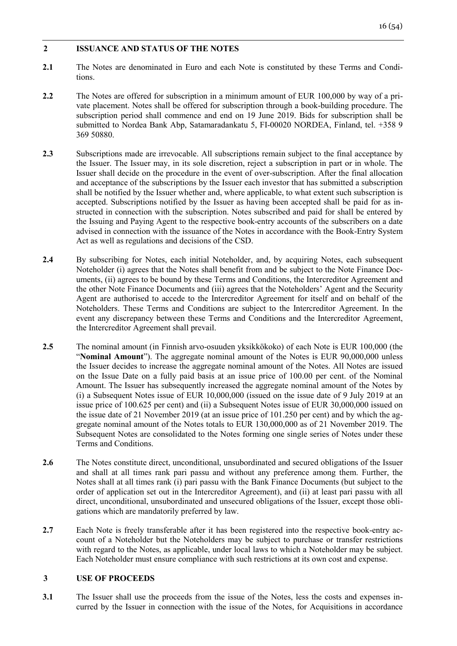## **2 ISSUANCE AND STATUS OF THE NOTES**

- **2.1** The Notes are denominated in Euro and each Note is constituted by these Terms and Conditions.
- **2.2** The Notes are offered for subscription in a minimum amount of EUR 100,000 by way of a private placement. Notes shall be offered for subscription through a book-building procedure. The subscription period shall commence and end on 19 June 2019. Bids for subscription shall be submitted to Nordea Bank Abp, Satamaradankatu 5, FI-00020 NORDEA, Finland, tel. +358 9 369 50880.
- **2.3** Subscriptions made are irrevocable. All subscriptions remain subject to the final acceptance by the Issuer. The Issuer may, in its sole discretion, reject a subscription in part or in whole. The Issuer shall decide on the procedure in the event of over-subscription. After the final allocation and acceptance of the subscriptions by the Issuer each investor that has submitted a subscription shall be notified by the Issuer whether and, where applicable, to what extent such subscription is accepted. Subscriptions notified by the Issuer as having been accepted shall be paid for as instructed in connection with the subscription. Notes subscribed and paid for shall be entered by the Issuing and Paying Agent to the respective book-entry accounts of the subscribers on a date advised in connection with the issuance of the Notes in accordance with the Book-Entry System Act as well as regulations and decisions of the CSD.
- **2.4** By subscribing for Notes, each initial Noteholder, and, by acquiring Notes, each subsequent Noteholder (i) agrees that the Notes shall benefit from and be subject to the Note Finance Documents, (ii) agrees to be bound by these Terms and Conditions, the Intercreditor Agreement and the other Note Finance Documents and (iii) agrees that the Noteholders' Agent and the Security Agent are authorised to accede to the Intercreditor Agreement for itself and on behalf of the Noteholders. These Terms and Conditions are subject to the Intercreditor Agreement. In the event any discrepancy between these Terms and Conditions and the Intercreditor Agreement, the Intercreditor Agreement shall prevail.
- **2.5** The nominal amount (in Finnish arvo-osuuden yksikkökoko) of each Note is EUR 100,000 (the "**Nominal Amount**"). The aggregate nominal amount of the Notes is EUR 90,000,000 unless the Issuer decides to increase the aggregate nominal amount of the Notes. All Notes are issued on the Issue Date on a fully paid basis at an issue price of 100.00 per cent. of the Nominal Amount. The Issuer has subsequently increased the aggregate nominal amount of the Notes by (i) a Subsequent Notes issue of EUR 10,000,000 (issued on the issue date of 9 July 2019 at an issue price of 100.625 per cent) and (ii) a Subsequent Notes issue of EUR 30,000,000 issued on the issue date of 21 November 2019 (at an issue price of 101.250 per cent) and by which the aggregate nominal amount of the Notes totals to EUR 130,000,000 as of 21 November 2019. The Subsequent Notes are consolidated to the Notes forming one single series of Notes under these Terms and Conditions.
- **2.6** The Notes constitute direct, unconditional, unsubordinated and secured obligations of the Issuer and shall at all times rank pari passu and without any preference among them. Further, the Notes shall at all times rank (i) pari passu with the Bank Finance Documents (but subject to the order of application set out in the Intercreditor Agreement), and (ii) at least pari passu with all direct, unconditional, unsubordinated and unsecured obligations of the Issuer, except those obligations which are mandatorily preferred by law.
- **2.7** Each Note is freely transferable after it has been registered into the respective book-entry account of a Noteholder but the Noteholders may be subject to purchase or transfer restrictions with regard to the Notes, as applicable, under local laws to which a Noteholder may be subject. Each Noteholder must ensure compliance with such restrictions at its own cost and expense.

## **3 USE OF PROCEEDS**

**3.1** The Issuer shall use the proceeds from the issue of the Notes, less the costs and expenses incurred by the Issuer in connection with the issue of the Notes, for Acquisitions in accordance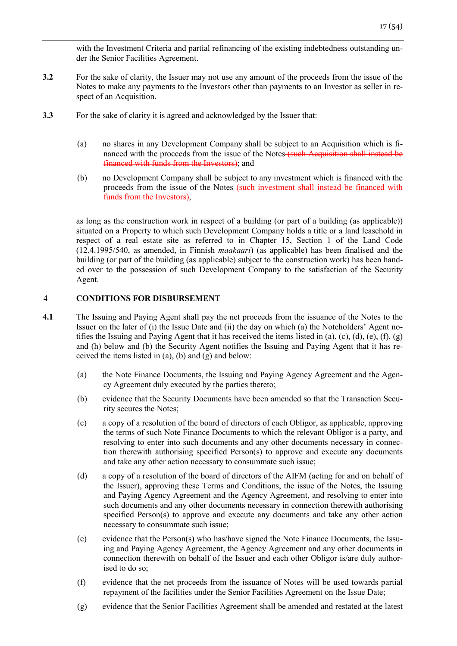with the Investment Criteria and partial refinancing of the existing indebtedness outstanding under the Senior Facilities Agreement.

- **3.2** For the sake of clarity, the Issuer may not use any amount of the proceeds from the issue of the Notes to make any payments to the Investors other than payments to an Investor as seller in respect of an Acquisition.
- **3.3** For the sake of clarity it is agreed and acknowledged by the Issuer that:
	- (a) no shares in any Development Company shall be subject to an Acquisition which is financed with the proceeds from the issue of the Notes (such Acquisition shall instead be financed with funds from the Investors); and
	- (b) no Development Company shall be subject to any investment which is financed with the proceeds from the issue of the Notes (such investment shall instead be financed with funds from the Investors),

as long as the construction work in respect of a building (or part of a building (as applicable)) situated on a Property to which such Development Company holds a title or a land leasehold in respect of a real estate site as referred to in Chapter 15, Section 1 of the Land Code (12.4.1995/540, as amended, in Finnish *maakaari*) (as applicable) has been finalised and the building (or part of the building (as applicable) subject to the construction work) has been handed over to the possession of such Development Company to the satisfaction of the Security Agent.

## **4 CONDITIONS FOR DISBURSEMENT**

- **4.1** The Issuing and Paying Agent shall pay the net proceeds from the issuance of the Notes to the Issuer on the later of (i) the Issue Date and (ii) the day on which (a) the Noteholders' Agent notifies the Issuing and Paying Agent that it has received the items listed in (a), (c), (d), (e), (f), (g) and (h) below and (b) the Security Agent notifies the Issuing and Paying Agent that it has received the items listed in (a), (b) and (g) and below:
	- (a) the Note Finance Documents, the Issuing and Paying Agency Agreement and the Agency Agreement duly executed by the parties thereto;
	- (b) evidence that the Security Documents have been amended so that the Transaction Security secures the Notes;
	- (c) a copy of a resolution of the board of directors of each Obligor, as applicable, approving the terms of such Note Finance Documents to which the relevant Obligor is a party, and resolving to enter into such documents and any other documents necessary in connection therewith authorising specified Person(s) to approve and execute any documents and take any other action necessary to consummate such issue;
	- (d) a copy of a resolution of the board of directors of the AIFM (acting for and on behalf of the Issuer), approving these Terms and Conditions, the issue of the Notes, the Issuing and Paying Agency Agreement and the Agency Agreement, and resolving to enter into such documents and any other documents necessary in connection therewith authorising specified Person(s) to approve and execute any documents and take any other action necessary to consummate such issue;
	- (e) evidence that the Person(s) who has/have signed the Note Finance Documents, the Issuing and Paying Agency Agreement, the Agency Agreement and any other documents in connection therewith on behalf of the Issuer and each other Obligor is/are duly authorised to do so;
	- (f) evidence that the net proceeds from the issuance of Notes will be used towards partial repayment of the facilities under the Senior Facilities Agreement on the Issue Date;
	- (g) evidence that the Senior Facilities Agreement shall be amended and restated at the latest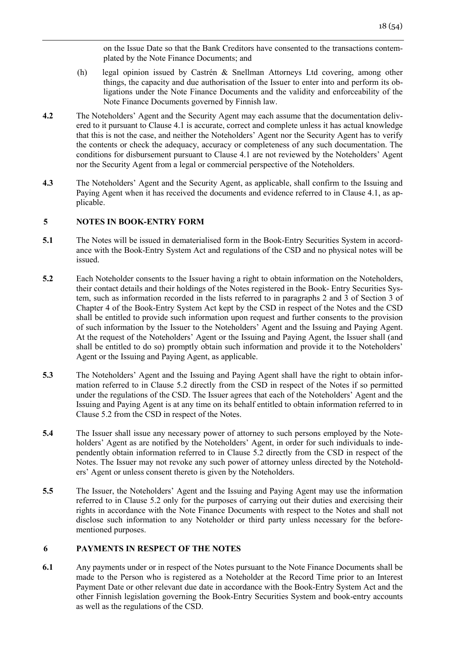on the Issue Date so that the Bank Creditors have consented to the transactions contemplated by the Note Finance Documents; and

- (h) legal opinion issued by Castrén & Snellman Attorneys Ltd covering, among other things, the capacity and due authorisation of the Issuer to enter into and perform its obligations under the Note Finance Documents and the validity and enforceability of the Note Finance Documents governed by Finnish law.
- **4.2** The Noteholders' Agent and the Security Agent may each assume that the documentation delivered to it pursuant to Clause 4.1 is accurate, correct and complete unless it has actual knowledge that this is not the case, and neither the Noteholders' Agent nor the Security Agent has to verify the contents or check the adequacy, accuracy or completeness of any such documentation. The conditions for disbursement pursuant to Clause 4.1 are not reviewed by the Noteholders' Agent nor the Security Agent from a legal or commercial perspective of the Noteholders.
- **4.3** The Noteholders' Agent and the Security Agent, as applicable, shall confirm to the Issuing and Paying Agent when it has received the documents and evidence referred to in Clause 4.1, as applicable.

## **5 NOTES IN BOOK-ENTRY FORM**

- **5.1** The Notes will be issued in dematerialised form in the Book-Entry Securities System in accordance with the Book-Entry System Act and regulations of the CSD and no physical notes will be issued.
- **5.2** Each Noteholder consents to the Issuer having a right to obtain information on the Noteholders, their contact details and their holdings of the Notes registered in the Book- Entry Securities System, such as information recorded in the lists referred to in paragraphs 2 and 3 of Section 3 of Chapter 4 of the Book-Entry System Act kept by the CSD in respect of the Notes and the CSD shall be entitled to provide such information upon request and further consents to the provision of such information by the Issuer to the Noteholders' Agent and the Issuing and Paying Agent. At the request of the Noteholders' Agent or the Issuing and Paying Agent, the Issuer shall (and shall be entitled to do so) promptly obtain such information and provide it to the Noteholders' Agent or the Issuing and Paying Agent, as applicable.
- **5.3** The Noteholders' Agent and the Issuing and Paying Agent shall have the right to obtain information referred to in Clause 5.2 directly from the CSD in respect of the Notes if so permitted under the regulations of the CSD. The Issuer agrees that each of the Noteholders' Agent and the Issuing and Paying Agent is at any time on its behalf entitled to obtain information referred to in Clause 5.2 from the CSD in respect of the Notes.
- **5.4** The Issuer shall issue any necessary power of attorney to such persons employed by the Noteholders' Agent as are notified by the Noteholders' Agent, in order for such individuals to independently obtain information referred to in Clause 5.2 directly from the CSD in respect of the Notes. The Issuer may not revoke any such power of attorney unless directed by the Noteholders' Agent or unless consent thereto is given by the Noteholders.
- **5.5** The Issuer, the Noteholders' Agent and the Issuing and Paying Agent may use the information referred to in Clause 5.2 only for the purposes of carrying out their duties and exercising their rights in accordance with the Note Finance Documents with respect to the Notes and shall not disclose such information to any Noteholder or third party unless necessary for the beforementioned purposes.

## **6 PAYMENTS IN RESPECT OF THE NOTES**

**6.1** Any payments under or in respect of the Notes pursuant to the Note Finance Documents shall be made to the Person who is registered as a Noteholder at the Record Time prior to an Interest Payment Date or other relevant due date in accordance with the Book-Entry System Act and the other Finnish legislation governing the Book-Entry Securities System and book-entry accounts as well as the regulations of the CSD.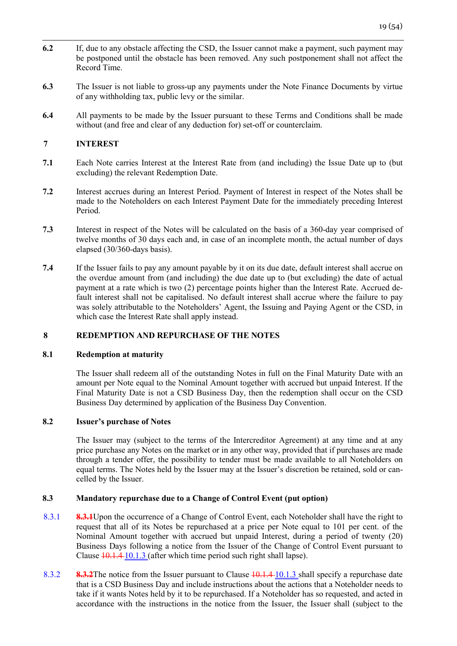- **6.2** If, due to any obstacle affecting the CSD, the Issuer cannot make a payment, such payment may be postponed until the obstacle has been removed. Any such postponement shall not affect the Record Time.
- **6.3** The Issuer is not liable to gross-up any payments under the Note Finance Documents by virtue of any withholding tax, public levy or the similar.
- **6.4** All payments to be made by the Issuer pursuant to these Terms and Conditions shall be made without (and free and clear of any deduction for) set-off or counterclaim.

## **7 INTEREST**

- **7.1** Each Note carries Interest at the Interest Rate from (and including) the Issue Date up to (but excluding) the relevant Redemption Date.
- **7.2** Interest accrues during an Interest Period. Payment of Interest in respect of the Notes shall be made to the Noteholders on each Interest Payment Date for the immediately preceding Interest Period.
- **7.3** Interest in respect of the Notes will be calculated on the basis of a 360-day year comprised of twelve months of 30 days each and, in case of an incomplete month, the actual number of days elapsed (30/360-days basis).
- **7.4** If the Issuer fails to pay any amount payable by it on its due date, default interest shall accrue on the overdue amount from (and including) the due date up to (but excluding) the date of actual payment at a rate which is two (2) percentage points higher than the Interest Rate. Accrued default interest shall not be capitalised. No default interest shall accrue where the failure to pay was solely attributable to the Noteholders' Agent, the Issuing and Paying Agent or the CSD, in which case the Interest Rate shall apply instead.

## **8 REDEMPTION AND REPURCHASE OF THE NOTES**

### **8.1 Redemption at maturity**

The Issuer shall redeem all of the outstanding Notes in full on the Final Maturity Date with an amount per Note equal to the Nominal Amount together with accrued but unpaid Interest. If the Final Maturity Date is not a CSD Business Day, then the redemption shall occur on the CSD Business Day determined by application of the Business Day Convention.

### **8.2 Issuer's purchase of Notes**

The Issuer may (subject to the terms of the Intercreditor Agreement) at any time and at any price purchase any Notes on the market or in any other way, provided that if purchases are made through a tender offer, the possibility to tender must be made available to all Noteholders on equal terms. The Notes held by the Issuer may at the Issuer's discretion be retained, sold or cancelled by the Issuer.

### **8.3 Mandatory repurchase due to a Change of Control Event (put option)**

- 8.3.1 **8.3.1**Upon the occurrence of a Change of Control Event, each Noteholder shall have the right to request that all of its Notes be repurchased at a price per Note equal to 101 per cent. of the Nominal Amount together with accrued but unpaid Interest, during a period of twenty (20) Business Days following a notice from the Issuer of the Change of Control Event pursuant to Clause 10.1.4 10.1.3 (after which time period such right shall lapse).
- 8.3.2 **8.3.2** The notice from the Issuer pursuant to Clause  $\frac{10.1.4 \cdot 10.1.3}{10.1.3}$  shall specify a repurchase date that is a CSD Business Day and include instructions about the actions that a Noteholder needs to take if it wants Notes held by it to be repurchased. If a Noteholder has so requested, and acted in accordance with the instructions in the notice from the Issuer, the Issuer shall (subject to the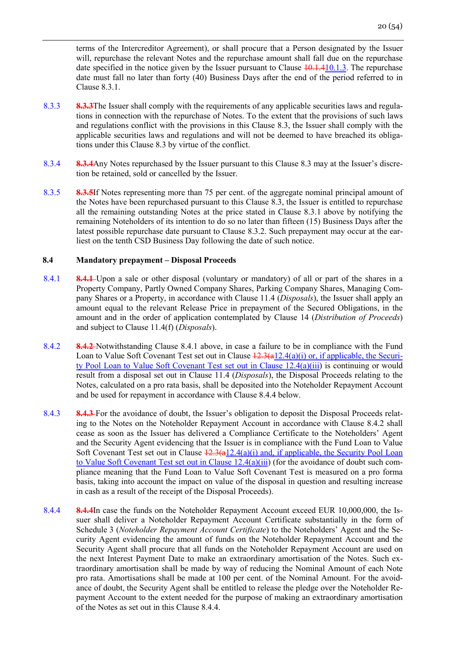terms of the Intercreditor Agreement), or shall procure that a Person designated by the Issuer will, repurchase the relevant Notes and the repurchase amount shall fall due on the repurchase date specified in the notice given by the Issuer pursuant to Clause  $\frac{10.11 \cdot 10.11 \cdot 3}{10.11 \cdot 3}$ . The repurchase date must fall no later than forty (40) Business Days after the end of the period referred to in Clause 8.3.1.

- 8.3.3 **8.3.3**The Issuer shall comply with the requirements of any applicable securities laws and regulations in connection with the repurchase of Notes. To the extent that the provisions of such laws and regulations conflict with the provisions in this Clause 8.3, the Issuer shall comply with the applicable securities laws and regulations and will not be deemed to have breached its obligations under this Clause 8.3 by virtue of the conflict.
- 8.3.4 **8.3.4**Any Notes repurchased by the Issuer pursuant to this Clause 8.3 may at the Issuer's discretion be retained, sold or cancelled by the Issuer.
- 8.3.5 **8.3.5**If Notes representing more than 75 per cent. of the aggregate nominal principal amount of the Notes have been repurchased pursuant to this Clause 8.3, the Issuer is entitled to repurchase all the remaining outstanding Notes at the price stated in Clause 8.3.1 above by notifying the remaining Noteholders of its intention to do so no later than fifteen (15) Business Days after the latest possible repurchase date pursuant to Clause 8.3.2. Such prepayment may occur at the earliest on the tenth CSD Business Day following the date of such notice.

### **8.4 Mandatory prepayment – Disposal Proceeds**

- 8.4.1 **8.4.1** Upon a sale or other disposal (voluntary or mandatory) of all or part of the shares in a Property Company, Partly Owned Company Shares, Parking Company Shares, Managing Company Shares or a Property, in accordance with Clause 11.4 (*Disposals*), the Issuer shall apply an amount equal to the relevant Release Price in prepayment of the Secured Obligations, in the amount and in the order of application contemplated by Clause 14 (*Distribution of Proceeds*) and subject to Clause 11.4(f) (*Disposals*).
- 8.4.2 **8.4.2** Notwithstanding Clause 8.4.1 above, in case a failure to be in compliance with the Fund Loan to Value Soft Covenant Test set out in Clause  $\frac{12.3(a|2.4(a)(i))}{2}$  or, if applicable, the Security Pool Loan to Value Soft Covenant Test set out in Clause 12.4(a)(iii) is continuing or would result from a disposal set out in Clause 11.4 (*Disposals*), the Disposal Proceeds relating to the Notes, calculated on a pro rata basis, shall be deposited into the Noteholder Repayment Account and be used for repayment in accordance with Clause 8.4.4 below.
- 8.4.3 **8.4.3** For the avoidance of doubt, the Issuer's obligation to deposit the Disposal Proceeds relating to the Notes on the Noteholder Repayment Account in accordance with Clause 8.4.2 shall cease as soon as the Issuer has delivered a Compliance Certificate to the Noteholders' Agent and the Security Agent evidencing that the Issuer is in compliance with the Fund Loan to Value Soft Covenant Test set out in Clause  $\frac{12.3(a)(i)}{12.4(a)(i)}$  and, if applicable, the Security Pool Loan to Value Soft Covenant Test set out in Clause 12.4(a)(iii) (for the avoidance of doubt such compliance meaning that the Fund Loan to Value Soft Covenant Test is measured on a pro forma basis, taking into account the impact on value of the disposal in question and resulting increase in cash as a result of the receipt of the Disposal Proceeds).
- 8.4.4 **8.4.4**In case the funds on the Noteholder Repayment Account exceed EUR 10,000,000, the Issuer shall deliver a Noteholder Repayment Account Certificate substantially in the form of Schedule 3 (*Noteholder Repayment Account Certificate*) to the Noteholders' Agent and the Security Agent evidencing the amount of funds on the Noteholder Repayment Account and the Security Agent shall procure that all funds on the Noteholder Repayment Account are used on the next Interest Payment Date to make an extraordinary amortisation of the Notes. Such extraordinary amortisation shall be made by way of reducing the Nominal Amount of each Note pro rata. Amortisations shall be made at 100 per cent. of the Nominal Amount. For the avoidance of doubt, the Security Agent shall be entitled to release the pledge over the Noteholder Repayment Account to the extent needed for the purpose of making an extraordinary amortisation of the Notes as set out in this Clause 8.4.4.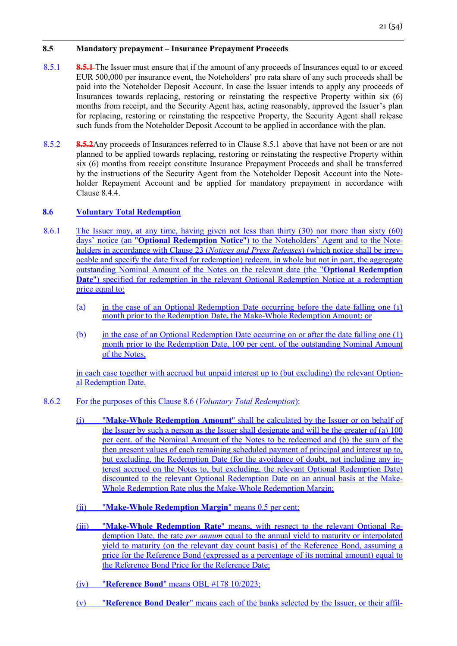## **8.5 Mandatory prepayment – Insurance Prepayment Proceeds**

- 8.5.1 **8.5.1** The Issuer must ensure that if the amount of any proceeds of Insurances equal to or exceed EUR 500,000 per insurance event, the Noteholders' pro rata share of any such proceeds shall be paid into the Noteholder Deposit Account. In case the Issuer intends to apply any proceeds of Insurances towards replacing, restoring or reinstating the respective Property within six (6) months from receipt, and the Security Agent has, acting reasonably, approved the Issuer's plan for replacing, restoring or reinstating the respective Property, the Security Agent shall release such funds from the Noteholder Deposit Account to be applied in accordance with the plan.
- 8.5.2 **8.5.2**Any proceeds of Insurances referred to in Clause 8.5.1 above that have not been or are not planned to be applied towards replacing, restoring or reinstating the respective Property within six (6) months from receipt constitute Insurance Prepayment Proceeds and shall be transferred by the instructions of the Security Agent from the Noteholder Deposit Account into the Noteholder Repayment Account and be applied for mandatory prepayment in accordance with  $Cl<sub>ause</sub> 8.4.4.4$

## **8.6 Voluntary Total Redemption**

- 8.6.1 The Issuer may, at any time, having given not less than thirty (30) nor more than sixty (60) days' notice (an "**Optional Redemption Notice**") to the Noteholders' Agent and to the Noteholders in accordance with Clause 23 (*Notices and Press Releases*) (which notice shall be irrevocable and specify the date fixed for redemption) redeem, in whole but not in part, the aggregate outstanding Nominal Amount of the Notes on the relevant date (the "**Optional Redemption Date**") specified for redemption in the relevant Optional Redemption Notice at a redemption price equal to:
	- (a) in the case of an Optional Redemption Date occurring before the date falling one (1) month prior to the Redemption Date, the Make-Whole Redemption Amount; or
	- (b) in the case of an Optional Redemption Date occurring on or after the date falling one (1) month prior to the Redemption Date, 100 per cent. of the outstanding Nominal Amount of the Notes,

in each case together with accrued but unpaid interest up to (but excluding) the relevant Optional Redemption Date.

- 8.6.2 For the purposes of this Clause 8.6 (*Voluntary Total Redemption*):
	- (i) "**Make-Whole Redemption Amount**" shall be calculated by the Issuer or on behalf of the Issuer by such a person as the Issuer shall designate and will be the greater of (a) 100 per cent. of the Nominal Amount of the Notes to be redeemed and (b) the sum of the then present values of each remaining scheduled payment of principal and interest up to, but excluding, the Redemption Date (for the avoidance of doubt, not including any interest accrued on the Notes to, but excluding, the relevant Optional Redemption Date) discounted to the relevant Optional Redemption Date on an annual basis at the Make-Whole Redemption Rate plus the Make-Whole Redemption Margin;
	- (ii) "**Make-Whole Redemption Margin**" means 0.5 per cent;
	- (iii) "**Make-Whole Redemption Rate**" means, with respect to the relevant Optional Redemption Date, the rate *per annum* equal to the annual yield to maturity or interpolated yield to maturity (on the relevant day count basis) of the Reference Bond, assuming a price for the Reference Bond (expressed as a percentage of its nominal amount) equal to the Reference Bond Price for the Reference Date;
	- (iv) "**Reference Bond**" means OBL #178 10/2023;
	- (v) "**Reference Bond Dealer**" means each of the banks selected by the Issuer, or their affil-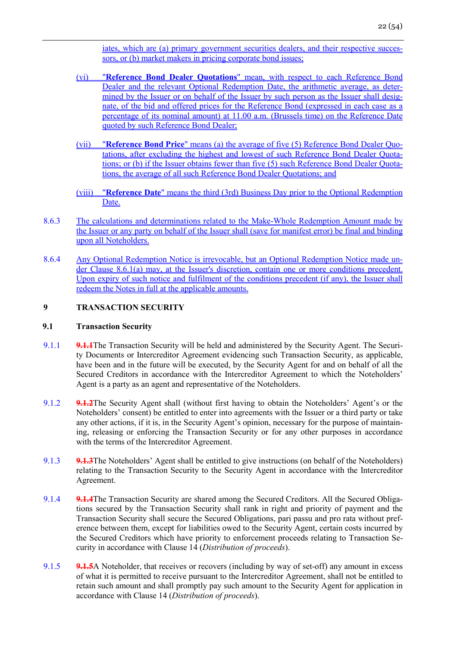iates, which are (a) primary government securities dealers, and their respective successors, or (b) market makers in pricing corporate bond issues:

- (vi) "**Reference Bond Dealer Quotations**" mean, with respect to each Reference Bond Dealer and the relevant Optional Redemption Date, the arithmetic average, as determined by the Issuer or on behalf of the Issuer by such person as the Issuer shall designate, of the bid and offered prices for the Reference Bond (expressed in each case as a percentage of its nominal amount) at 11.00 a.m. (Brussels time) on the Reference Date quoted by such Reference Bond Dealer;
- (vii) "**Reference Bond Price**" means (a) the average of five (5) Reference Bond Dealer Quotations, after excluding the highest and lowest of such Reference Bond Dealer Quotations; or (b) if the Issuer obtains fewer than five (5) such Reference Bond Dealer Quotations, the average of all such Reference Bond Dealer Quotations; and
- (viii) "**Reference Date**" means the third (3rd) Business Day prior to the Optional Redemption Date.
- 8.6.3 The calculations and determinations related to the Make-Whole Redemption Amount made by the Issuer or any party on behalf of the Issuer shall (save for manifest error) be final and binding upon all Noteholders.
- 8.6.4 Any Optional Redemption Notice is irrevocable, but an Optional Redemption Notice made under Clause 8.6.1(a) may, at the Issuer's discretion, contain one or more conditions precedent. Upon expiry of such notice and fulfilment of the conditions precedent (if any), the Issuer shall redeem the Notes in full at the applicable amounts.

## **9 TRANSACTION SECURITY**

#### **9.1 Transaction Security**

- 9.1.1 **9.1.1**The Transaction Security will be held and administered by the Security Agent. The Security Documents or Intercreditor Agreement evidencing such Transaction Security, as applicable, have been and in the future will be executed, by the Security Agent for and on behalf of all the Secured Creditors in accordance with the Intercreditor Agreement to which the Noteholders' Agent is a party as an agent and representative of the Noteholders.
- 9.1.2 **9.1.2**The Security Agent shall (without first having to obtain the Noteholders' Agent's or the Noteholders' consent) be entitled to enter into agreements with the Issuer or a third party or take any other actions, if it is, in the Security Agent's opinion, necessary for the purpose of maintaining, releasing or enforcing the Transaction Security or for any other purposes in accordance with the terms of the Intercreditor Agreement.
- 9.1.3 **9.1.3**The Noteholders' Agent shall be entitled to give instructions (on behalf of the Noteholders) relating to the Transaction Security to the Security Agent in accordance with the Intercreditor Agreement.
- 9.1.4 **9.1.4**The Transaction Security are shared among the Secured Creditors. All the Secured Obligations secured by the Transaction Security shall rank in right and priority of payment and the Transaction Security shall secure the Secured Obligations, pari passu and pro rata without preference between them, except for liabilities owed to the Security Agent, certain costs incurred by the Secured Creditors which have priority to enforcement proceeds relating to Transaction Security in accordance with Clause 14 (*Distribution of proceeds*).
- 9.1.5 **9.1.5**A Noteholder, that receives or recovers (including by way of set-off) any amount in excess of what it is permitted to receive pursuant to the Intercreditor Agreement, shall not be entitled to retain such amount and shall promptly pay such amount to the Security Agent for application in accordance with Clause 14 (*Distribution of proceeds*).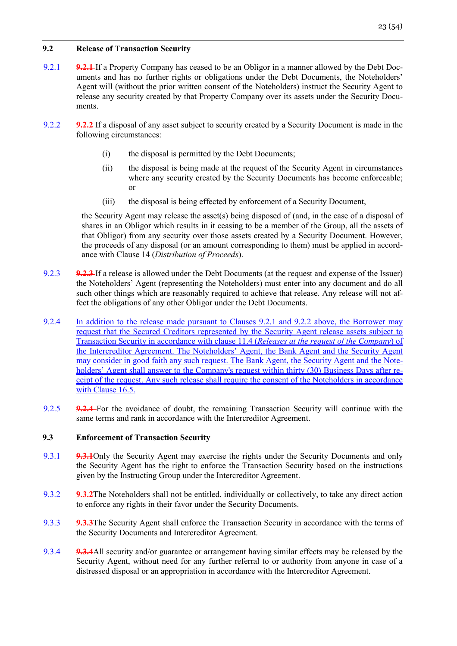## **9.2 Release of Transaction Security**

- 9.2.1 **9.2.1** If a Property Company has ceased to be an Obligor in a manner allowed by the Debt Documents and has no further rights or obligations under the Debt Documents, the Noteholders' Agent will (without the prior written consent of the Noteholders) instruct the Security Agent to release any security created by that Property Company over its assets under the Security Documents.
- 9.2.2 **9.2.2** If a disposal of any asset subject to security created by a Security Document is made in the following circumstances:
	- (i) the disposal is permitted by the Debt Documents;
	- (ii) the disposal is being made at the request of the Security Agent in circumstances where any security created by the Security Documents has become enforceable; or
	- (iii) the disposal is being effected by enforcement of a Security Document,

the Security Agent may release the asset(s) being disposed of (and, in the case of a disposal of shares in an Obligor which results in it ceasing to be a member of the Group, all the assets of that Obligor) from any security over those assets created by a Security Document. However, the proceeds of any disposal (or an amount corresponding to them) must be applied in accordance with Clause 14 (*Distribution of Proceeds*).

- 9.2.3 **9.2.3** If a release is allowed under the Debt Documents (at the request and expense of the Issuer) the Noteholders' Agent (representing the Noteholders) must enter into any document and do all such other things which are reasonably required to achieve that release. Any release will not affect the obligations of any other Obligor under the Debt Documents.
- 9.2.4 In addition to the release made pursuant to Clauses 9.2.1 and 9.2.2 above, the Borrower may request that the Secured Creditors represented by the Security Agent release assets subject to Transaction Security in accordance with clause 11.4 (*Releases at the request of the Company*) of the Intercreditor Agreement. The Noteholders' Agent, the Bank Agent and the Security Agent may consider in good faith any such request. The Bank Agent, the Security Agent and the Noteholders' Agent shall answer to the Company's request within thirty (30) Business Days after receipt of the request. Any such release shall require the consent of the Noteholders in accordance with Clause 16.5.
- 9.2.5 **9.2.4** For the avoidance of doubt, the remaining Transaction Security will continue with the same terms and rank in accordance with the Intercreditor Agreement.

### **9.3 Enforcement of Transaction Security**

- 9.3.1 **9.3.1**Only the Security Agent may exercise the rights under the Security Documents and only the Security Agent has the right to enforce the Transaction Security based on the instructions given by the Instructing Group under the Intercreditor Agreement.
- 9.3.2 **9.3.2**The Noteholders shall not be entitled, individually or collectively, to take any direct action to enforce any rights in their favor under the Security Documents.
- 9.3.3 **9.3.3**The Security Agent shall enforce the Transaction Security in accordance with the terms of the Security Documents and Intercreditor Agreement.
- 9.3.4 **9.3.4**All security and/or guarantee or arrangement having similar effects may be released by the Security Agent, without need for any further referral to or authority from anyone in case of a distressed disposal or an appropriation in accordance with the Intercreditor Agreement.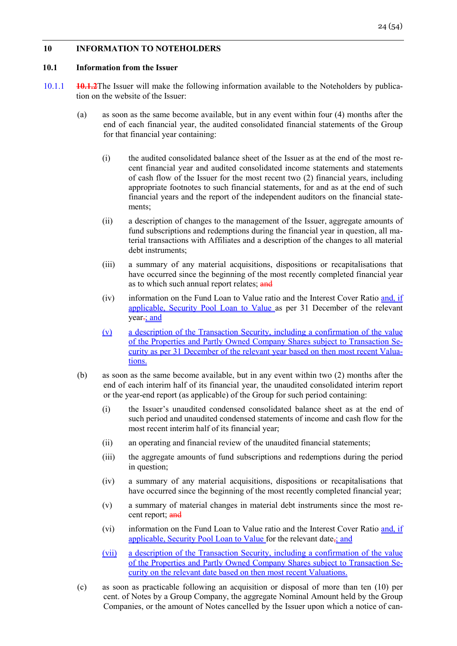## **10 INFORMATION TO NOTEHOLDERS**

#### **10.1 Information from the Issuer**

- 10.1.1 **10.1.2**The Issuer will make the following information available to the Noteholders by publication on the website of the Issuer:
	- (a) as soon as the same become available, but in any event within four (4) months after the end of each financial year, the audited consolidated financial statements of the Group for that financial year containing:
		- (i) the audited consolidated balance sheet of the Issuer as at the end of the most recent financial year and audited consolidated income statements and statements of cash flow of the Issuer for the most recent two (2) financial years, including appropriate footnotes to such financial statements, for and as at the end of such financial years and the report of the independent auditors on the financial statements;
		- (ii) a description of changes to the management of the Issuer, aggregate amounts of fund subscriptions and redemptions during the financial year in question, all material transactions with Affiliates and a description of the changes to all material debt instruments;
		- (iii) a summary of any material acquisitions, dispositions or recapitalisations that have occurred since the beginning of the most recently completed financial year as to which such annual report relates; and
		- (iv) information on the Fund Loan to Value ratio and the Interest Cover Ratio and, if applicable, Security Pool Loan to Value as per 31 December of the relevant year-; and
		- (v) a description of the Transaction Security, including a confirmation of the value of the Properties and Partly Owned Company Shares subject to Transaction Security as per 31 December of the relevant year based on then most recent Valuations.
	- (b) as soon as the same become available, but in any event within two (2) months after the end of each interim half of its financial year, the unaudited consolidated interim report or the year-end report (as applicable) of the Group for such period containing:
		- (i) the Issuer's unaudited condensed consolidated balance sheet as at the end of such period and unaudited condensed statements of income and cash flow for the most recent interim half of its financial year;
		- (ii) an operating and financial review of the unaudited financial statements;
		- (iii) the aggregate amounts of fund subscriptions and redemptions during the period in question;
		- (iv) a summary of any material acquisitions, dispositions or recapitalisations that have occurred since the beginning of the most recently completed financial year;
		- (v) a summary of material changes in material debt instruments since the most recent report; and
		- (vi) information on the Fund Loan to Value ratio and the Interest Cover Ratio and, if applicable, Security Pool Loan to Value for the relevant date,; and
		- (vii) a description of the Transaction Security, including a confirmation of the value of the Properties and Partly Owned Company Shares subject to Transaction Security on the relevant date based on then most recent Valuations.
	- (c) as soon as practicable following an acquisition or disposal of more than ten (10) per cent. of Notes by a Group Company, the aggregate Nominal Amount held by the Group Companies, or the amount of Notes cancelled by the Issuer upon which a notice of can-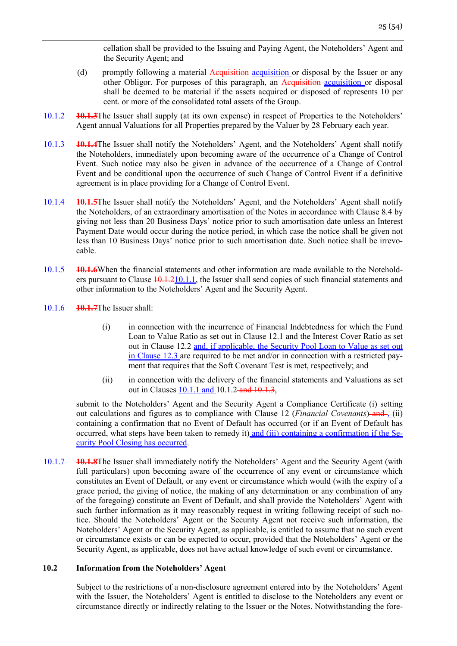cellation shall be provided to the Issuing and Paying Agent, the Noteholders' Agent and the Security Agent; and

- (d) promptly following a material Acquisition acquisition or disposal by the Issuer or any other Obligor. For purposes of this paragraph, an Acquisition acquisition or disposal shall be deemed to be material if the assets acquired or disposed of represents 10 per cent. or more of the consolidated total assets of the Group.
- 10.1.2 **10.1.3**The Issuer shall supply (at its own expense) in respect of Properties to the Noteholders' Agent annual Valuations for all Properties prepared by the Valuer by 28 February each year.
- 10.1.3 **10.1.4**The Issuer shall notify the Noteholders' Agent, and the Noteholders' Agent shall notify the Noteholders, immediately upon becoming aware of the occurrence of a Change of Control Event. Such notice may also be given in advance of the occurrence of a Change of Control Event and be conditional upon the occurrence of such Change of Control Event if a definitive agreement is in place providing for a Change of Control Event.
- 10.1.4 **10.1.5**The Issuer shall notify the Noteholders' Agent, and the Noteholders' Agent shall notify the Noteholders, of an extraordinary amortisation of the Notes in accordance with Clause 8.4 by giving not less than 20 Business Days' notice prior to such amortisation date unless an Interest Payment Date would occur during the notice period, in which case the notice shall be given not less than 10 Business Days' notice prior to such amortisation date. Such notice shall be irrevocable.
- 10.1.5 **10.1.6**When the financial statements and other information are made available to the Noteholders pursuant to Clause  $10.1.210.1.1$ , the Issuer shall send copies of such financial statements and other information to the Noteholders' Agent and the Security Agent.
- 10.1.6 **10.1.7**The Issuer shall:
	- (i) in connection with the incurrence of Financial Indebtedness for which the Fund Loan to Value Ratio as set out in Clause 12.1 and the Interest Cover Ratio as set out in Clause 12.2 and, if applicable, the Security Pool Loan to Value as set out in Clause 12.3 are required to be met and/or in connection with a restricted payment that requires that the Soft Covenant Test is met, respectively; and
	- (ii) in connection with the delivery of the financial statements and Valuations as set out in Clauses 10.1.1 and 10.1.2 and 10.1.3,

submit to the Noteholders' Agent and the Security Agent a Compliance Certificate (i) setting out calculations and figures as to compliance with Clause 12 (*Financial Covenants*) and <sub>1</sub>(ii) containing a confirmation that no Event of Default has occurred (or if an Event of Default has occurred, what steps have been taken to remedy it) and (iii) containing a confirmation if the Security Pool Closing has occurred.

10.1.7 **10.1.8**The Issuer shall immediately notify the Noteholders' Agent and the Security Agent (with full particulars) upon becoming aware of the occurrence of any event or circumstance which constitutes an Event of Default, or any event or circumstance which would (with the expiry of a grace period, the giving of notice, the making of any determination or any combination of any of the foregoing) constitute an Event of Default, and shall provide the Noteholders' Agent with such further information as it may reasonably request in writing following receipt of such notice. Should the Noteholders' Agent or the Security Agent not receive such information, the Noteholders' Agent or the Security Agent, as applicable, is entitled to assume that no such event or circumstance exists or can be expected to occur, provided that the Noteholders' Agent or the Security Agent, as applicable, does not have actual knowledge of such event or circumstance.

#### **10.2 Information from the Noteholders' Agent**

Subject to the restrictions of a non-disclosure agreement entered into by the Noteholders' Agent with the Issuer, the Noteholders' Agent is entitled to disclose to the Noteholders any event or circumstance directly or indirectly relating to the Issuer or the Notes. Notwithstanding the fore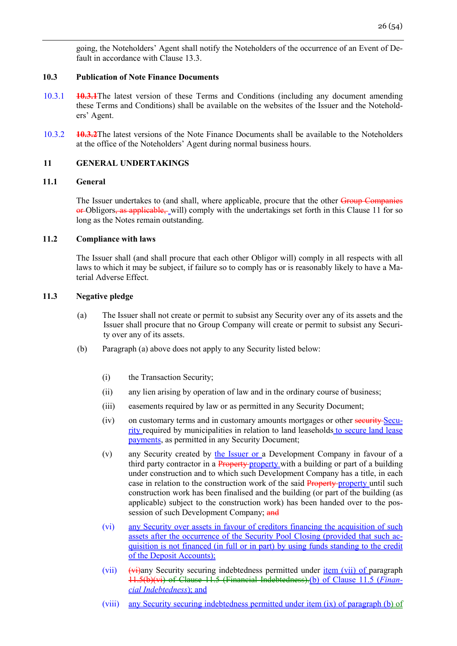going, the Noteholders' Agent shall notify the Noteholders of the occurrence of an Event of Default in accordance with Clause 13.3.

### **10.3 Publication of Note Finance Documents**

- 10.3.1 **10.3.1**The latest version of these Terms and Conditions (including any document amending these Terms and Conditions) shall be available on the websites of the Issuer and the Noteholders' Agent.
- 10.3.2 **10.3.2**The latest versions of the Note Finance Documents shall be available to the Noteholders at the office of the Noteholders' Agent during normal business hours.

#### **11 GENERAL UNDERTAKINGS**

#### **11.1 General**

The Issuer undertakes to (and shall, where applicable, procure that the other Group Companies or Obligors, as applicable, will) comply with the undertakings set forth in this Clause 11 for so long as the Notes remain outstanding.

#### **11.2 Compliance with laws**

The Issuer shall (and shall procure that each other Obligor will) comply in all respects with all laws to which it may be subject, if failure so to comply has or is reasonably likely to have a Material Adverse Effect.

#### **11.3 Negative pledge**

- (a) The Issuer shall not create or permit to subsist any Security over any of its assets and the Issuer shall procure that no Group Company will create or permit to subsist any Security over any of its assets.
- (b) Paragraph (a) above does not apply to any Security listed below:
	- (i) the Transaction Security;
	- (ii) any lien arising by operation of law and in the ordinary course of business;
	- (iii) easements required by law or as permitted in any Security Document;
	- (iv) on customary terms and in customary amounts mortgages or other security Security required by municipalities in relation to land leaseholds to secure land lease payments, as permitted in any Security Document;
	- (v) any Security created by the Issuer or a Development Company in favour of a third party contractor in a Property property with a building or part of a building under construction and to which such Development Company has a title, in each case in relation to the construction work of the said Property property until such construction work has been finalised and the building (or part of the building (as applicable) subject to the construction work) has been handed over to the possession of such Development Company; and
	- (vi) any Security over assets in favour of creditors financing the acquisition of such assets after the occurrence of the Security Pool Closing (provided that such acquisition is not financed (in full or in part) by using funds standing to the credit of the Deposit Accounts);
	- (vii)  $(vii)$   $(viii)$  Security securing indebtedness permitted under item (vii) of paragraph 11.5(b)(vi) of Clause 11.5 (Financial Indebtedness).(b) of Clause 11.5 (*Financial Indebtedness*); and
	- (viii) any Security securing indebtedness permitted under item (ix) of paragraph (b) of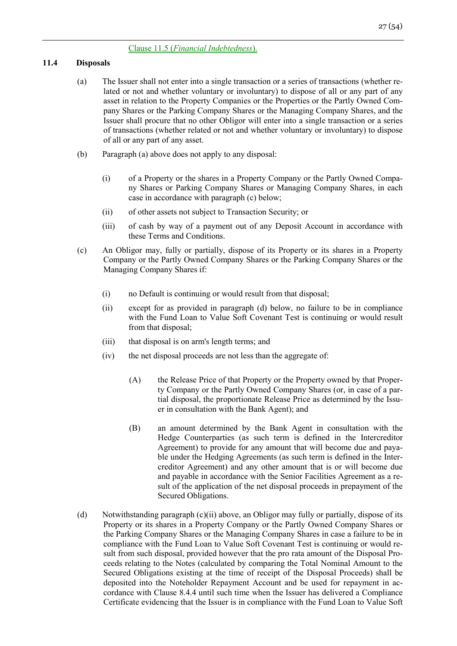## Clause 11.5 (*Financial Indebtedness*).

### **11.4 Disposals**

- (a) The Issuer shall not enter into a single transaction or a series of transactions (whether related or not and whether voluntary or involuntary) to dispose of all or any part of any asset in relation to the Property Companies or the Properties or the Partly Owned Company Shares or the Parking Company Shares or the Managing Company Shares, and the Issuer shall procure that no other Obligor will enter into a single transaction or a series of transactions (whether related or not and whether voluntary or involuntary) to dispose of all or any part of any asset.
- (b) Paragraph (a) above does not apply to any disposal:
	- (i) of a Property or the shares in a Property Company or the Partly Owned Company Shares or Parking Company Shares or Managing Company Shares, in each case in accordance with paragraph (c) below;
	- (ii) of other assets not subject to Transaction Security; or
	- (iii) of cash by way of a payment out of any Deposit Account in accordance with these Terms and Conditions.
- (c) An Obligor may, fully or partially, dispose of its Property or its shares in a Property Company or the Partly Owned Company Shares or the Parking Company Shares or the Managing Company Shares if:
	- (i) no Default is continuing or would result from that disposal;
	- (ii) except for as provided in paragraph (d) below, no failure to be in compliance with the Fund Loan to Value Soft Covenant Test is continuing or would result from that disposal;
	- (iii) that disposal is on arm's length terms; and
	- (iv) the net disposal proceeds are not less than the aggregate of:
		- (A) the Release Price of that Property or the Property owned by that Property Company or the Partly Owned Company Shares (or, in case of a partial disposal, the proportionate Release Price as determined by the Issuer in consultation with the Bank Agent); and
		- (B) an amount determined by the Bank Agent in consultation with the Hedge Counterparties (as such term is defined in the Intercreditor Agreement) to provide for any amount that will become due and payable under the Hedging Agreements (as such term is defined in the Intercreditor Agreement) and any other amount that is or will become due and payable in accordance with the Senior Facilities Agreement as a result of the application of the net disposal proceeds in prepayment of the Secured Obligations.
- (d) Notwithstanding paragraph (c)(ii) above, an Obligor may fully or partially, dispose of its Property or its shares in a Property Company or the Partly Owned Company Shares or the Parking Company Shares or the Managing Company Shares in case a failure to be in compliance with the Fund Loan to Value Soft Covenant Test is continuing or would result from such disposal, provided however that the pro rata amount of the Disposal Proceeds relating to the Notes (calculated by comparing the Total Nominal Amount to the Secured Obligations existing at the time of receipt of the Disposal Proceeds) shall be deposited into the Noteholder Repayment Account and be used for repayment in accordance with Clause 8.4.4 until such time when the Issuer has delivered a Compliance Certificate evidencing that the Issuer is in compliance with the Fund Loan to Value Soft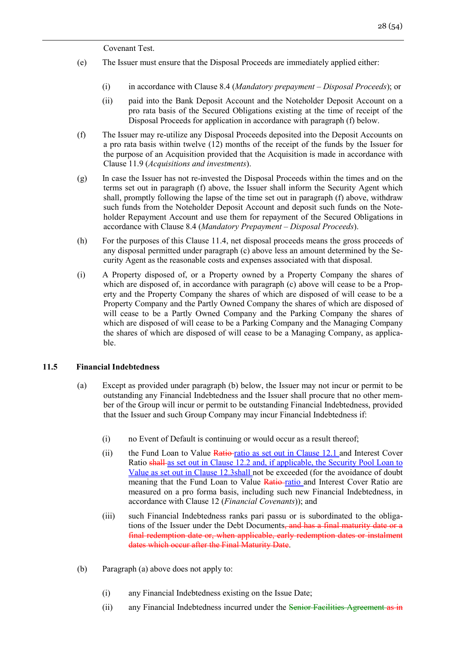Covenant Test.

- (e) The Issuer must ensure that the Disposal Proceeds are immediately applied either:
	- (i) in accordance with Clause 8.4 (*Mandatory prepayment Disposal Proceeds*); or
	- (ii) paid into the Bank Deposit Account and the Noteholder Deposit Account on a pro rata basis of the Secured Obligations existing at the time of receipt of the Disposal Proceeds for application in accordance with paragraph (f) below.
- (f) The Issuer may re-utilize any Disposal Proceeds deposited into the Deposit Accounts on a pro rata basis within twelve (12) months of the receipt of the funds by the Issuer for the purpose of an Acquisition provided that the Acquisition is made in accordance with Clause 11.9 (*Acquisitions and investments*).
- (g) In case the Issuer has not re-invested the Disposal Proceeds within the times and on the terms set out in paragraph (f) above, the Issuer shall inform the Security Agent which shall, promptly following the lapse of the time set out in paragraph (f) above, withdraw such funds from the Noteholder Deposit Account and deposit such funds on the Noteholder Repayment Account and use them for repayment of the Secured Obligations in accordance with Clause 8.4 (*Mandatory Prepayment – Disposal Proceeds*).
- (h) For the purposes of this Clause 11.4, net disposal proceeds means the gross proceeds of any disposal permitted under paragraph (c) above less an amount determined by the Security Agent as the reasonable costs and expenses associated with that disposal.
- (i) A Property disposed of, or a Property owned by a Property Company the shares of which are disposed of, in accordance with paragraph (c) above will cease to be a Property and the Property Company the shares of which are disposed of will cease to be a Property Company and the Partly Owned Company the shares of which are disposed of will cease to be a Partly Owned Company and the Parking Company the shares of which are disposed of will cease to be a Parking Company and the Managing Company the shares of which are disposed of will cease to be a Managing Company, as applicable.

## **11.5 Financial Indebtedness**

- (a) Except as provided under paragraph (b) below, the Issuer may not incur or permit to be outstanding any Financial Indebtedness and the Issuer shall procure that no other member of the Group will incur or permit to be outstanding Financial Indebtedness, provided that the Issuer and such Group Company may incur Financial Indebtedness if:
	- (i) no Event of Default is continuing or would occur as a result thereof;
	- (ii) the Fund Loan to Value  $\frac{Ratio ratio}{ratio}$  as set out in Clause 12.1 and Interest Cover Ratio shall as set out in Clause 12.2 and, if applicable, the Security Pool Loan to Value as set out in Clause 12.3shall not be exceeded (for the avoidance of doubt meaning that the Fund Loan to Value Ratio-ratio and Interest Cover Ratio are measured on a pro forma basis, including such new Financial Indebtedness, in accordance with Clause 12 (*Financial Covenants*)); and
	- (iii) such Financial Indebtedness ranks pari passu or is subordinated to the obligations of the Issuer under the Debt Documents, and has a final maturity date or a final redemption date or, when applicable, early redemption dates or instalment dates which occur after the Final Maturity Date.
- (b) Paragraph (a) above does not apply to:
	- (i) any Financial Indebtedness existing on the Issue Date;
	- (ii) any Financial Indebtedness incurred under the Senior Facilities Agreement as in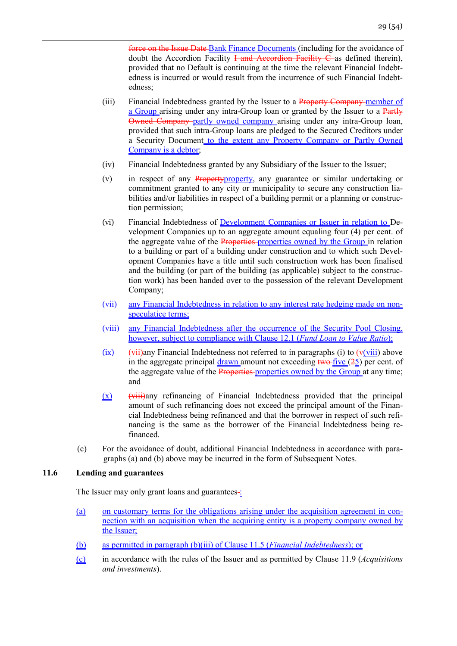force on the Issue Date Bank Finance Documents (including for the avoidance of doubt the Accordion Facility I and Accordion Facility C as defined therein), provided that no Default is continuing at the time the relevant Financial Indebtedness is incurred or would result from the incurrence of such Financial Indebtedness;

- (iii) Financial Indebtedness granted by the Issuer to a Property Company member of a Group arising under any intra-Group loan or granted by the Issuer to a Partly Owned Company partly owned company arising under any intra-Group loan, provided that such intra-Group loans are pledged to the Secured Creditors under a Security Document to the extent any Property Company or Partly Owned Company is a debtor;
- (iv) Financial Indebtedness granted by any Subsidiary of the Issuer to the Issuer;
- (v) in respect of any Propertyproperty, any guarantee or similar undertaking or commitment granted to any city or municipality to secure any construction liabilities and/or liabilities in respect of a building permit or a planning or construction permission;
- (vi) Financial Indebtedness of <u>Development Companies or Issuer in relation to D</u>evelopment Companies up to an aggregate amount equaling four (4) per cent. of the aggregate value of the Properties-properties owned by the Group in relation to a building or part of a building under construction and to which such Development Companies have a title until such construction work has been finalised and the building (or part of the building (as applicable) subject to the construction work) has been handed over to the possession of the relevant Development Company;
- (vii) any Financial Indebtedness in relation to any interest rate hedging made on nonspeculatice terms;
- (viii) any Financial Indebtedness after the occurrence of the Security Pool Closing, however, subject to compliance with Clause 12.1 (*Fund Loan to Value Ratio*);
- (ix)  $(vii)$  (vii)any Financial Indebtedness not referred to in paragraphs (i) to  $(v(iii)$  above in the aggregate principal  $\frac{d$ rawn amount not exceeding two five (25) per cent. of the aggregate value of the Properties properties owned by the Group at any time; and
- $(x)$  (viii)any refinancing of Financial Indebtedness provided that the principal amount of such refinancing does not exceed the principal amount of the Financial Indebtedness being refinanced and that the borrower in respect of such refinancing is the same as the borrower of the Financial Indebtedness being refinanced.
- (c) For the avoidance of doubt, additional Financial Indebtedness in accordance with paragraphs (a) and (b) above may be incurred in the form of Subsequent Notes.

### **11.6 Lending and guarantees**

The Issuer may only grant loans and guarantees-:

- (a) on customary terms for the obligations arising under the acquisition agreement in connection with an acquisition when the acquiring entity is a property company owned by the Issuer;
- (b) as permitted in paragraph (b)(iii) of Clause 11.5 (*Financial Indebtedness*); or
- (c) in accordance with the rules of the Issuer and as permitted by Clause 11.9 (*Acquisitions and investments*).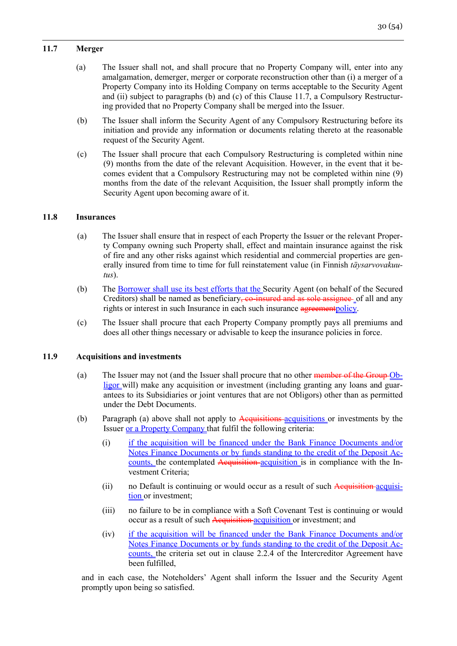## **11.7 Merger**

- (a) The Issuer shall not, and shall procure that no Property Company will, enter into any amalgamation, demerger, merger or corporate reconstruction other than (i) a merger of a Property Company into its Holding Company on terms acceptable to the Security Agent and (ii) subject to paragraphs (b) and (c) of this Clause 11.7, a Compulsory Restructuring provided that no Property Company shall be merged into the Issuer.
- (b) The Issuer shall inform the Security Agent of any Compulsory Restructuring before its initiation and provide any information or documents relating thereto at the reasonable request of the Security Agent.
- (c) The Issuer shall procure that each Compulsory Restructuring is completed within nine (9) months from the date of the relevant Acquisition. However, in the event that it becomes evident that a Compulsory Restructuring may not be completed within nine (9) months from the date of the relevant Acquisition, the Issuer shall promptly inform the Security Agent upon becoming aware of it.

## **11.8 Insurances**

- (a) The Issuer shall ensure that in respect of each Property the Issuer or the relevant Property Company owning such Property shall, effect and maintain insurance against the risk of fire and any other risks against which residential and commercial properties are generally insured from time to time for full reinstatement value (in Finnish *täysarvovakuutus*).
- (b) The Borrower shall use its best efforts that the Security Agent (on behalf of the Secured Creditors) shall be named as beneficiary<del>, co-insured and as sole assignee</del> of all and any rights or interest in such Insurance in each such insurance agreement policy.
- (c) The Issuer shall procure that each Property Company promptly pays all premiums and does all other things necessary or advisable to keep the insurance policies in force.

## **11.9 Acquisitions and investments**

- (a) The Issuer may not (and the Issuer shall procure that no other member of the Group Obligor will) make any acquisition or investment (including granting any loans and guarantees to its Subsidiaries or joint ventures that are not Obligors) other than as permitted under the Debt Documents.
- (b) Paragraph (a) above shall not apply to Acquisitions acquisitions or investments by the Issuer or a Property Company that fulfil the following criteria:
	- (i) if the acquisition will be financed under the Bank Finance Documents and/or Notes Finance Documents or by funds standing to the credit of the Deposit Accounts, the contemplated Acquisition acquisition is in compliance with the Investment Criteria;
	- (ii) no Default is continuing or would occur as a result of such Acquisition acquisition or investment;
	- (iii) no failure to be in compliance with a Soft Covenant Test is continuing or would occur as a result of such Acquisition acquisition or investment; and
	- (iv) if the acquisition will be financed under the Bank Finance Documents and/or Notes Finance Documents or by funds standing to the credit of the Deposit Accounts, the criteria set out in clause 2.2.4 of the Intercreditor Agreement have been fulfilled,

and in each case, the Noteholders' Agent shall inform the Issuer and the Security Agent promptly upon being so satisfied.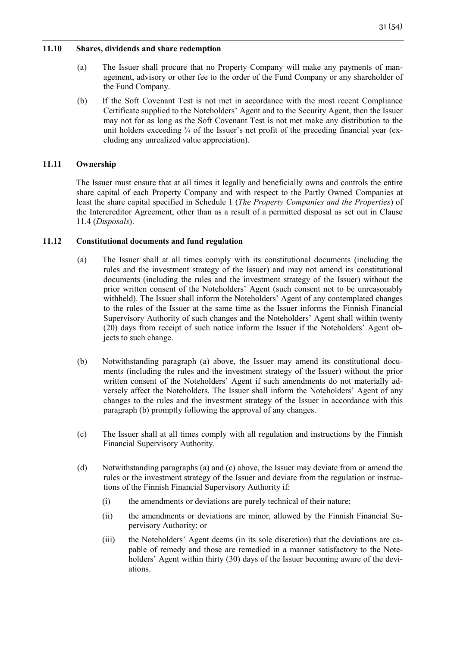## **11.10 Shares, dividends and share redemption**

- (a) The Issuer shall procure that no Property Company will make any payments of management, advisory or other fee to the order of the Fund Company or any shareholder of the Fund Company.
- (b) If the Soft Covenant Test is not met in accordance with the most recent Compliance Certificate supplied to the Noteholders' Agent and to the Security Agent, then the Issuer may not for as long as the Soft Covenant Test is not met make any distribution to the unit holders exceeding  $\frac{3}{4}$  of the Issuer's net profit of the preceding financial year (excluding any unrealized value appreciation).

## **11.11 Ownership**

The Issuer must ensure that at all times it legally and beneficially owns and controls the entire share capital of each Property Company and with respect to the Partly Owned Companies at least the share capital specified in Schedule 1 (*The Property Companies and the Properties*) of the Intercreditor Agreement, other than as a result of a permitted disposal as set out in Clause 11.4 (*Disposals*).

## **11.12 Constitutional documents and fund regulation**

- (a) The Issuer shall at all times comply with its constitutional documents (including the rules and the investment strategy of the Issuer) and may not amend its constitutional documents (including the rules and the investment strategy of the Issuer) without the prior written consent of the Noteholders' Agent (such consent not to be unreasonably withheld). The Issuer shall inform the Noteholders' Agent of any contemplated changes to the rules of the Issuer at the same time as the Issuer informs the Finnish Financial Supervisory Authority of such changes and the Noteholders' Agent shall within twenty (20) days from receipt of such notice inform the Issuer if the Noteholders' Agent objects to such change.
- (b) Notwithstanding paragraph (a) above, the Issuer may amend its constitutional documents (including the rules and the investment strategy of the Issuer) without the prior written consent of the Noteholders' Agent if such amendments do not materially adversely affect the Noteholders. The Issuer shall inform the Noteholders' Agent of any changes to the rules and the investment strategy of the Issuer in accordance with this paragraph (b) promptly following the approval of any changes.
- (c) The Issuer shall at all times comply with all regulation and instructions by the Finnish Financial Supervisory Authority.
- (d) Notwithstanding paragraphs (a) and (c) above, the Issuer may deviate from or amend the rules or the investment strategy of the Issuer and deviate from the regulation or instructions of the Finnish Financial Supervisory Authority if:
	- (i) the amendments or deviations are purely technical of their nature;
	- (ii) the amendments or deviations are minor, allowed by the Finnish Financial Supervisory Authority; or
	- (iii) the Noteholders' Agent deems (in its sole discretion) that the deviations are capable of remedy and those are remedied in a manner satisfactory to the Noteholders' Agent within thirty (30) days of the Issuer becoming aware of the deviations.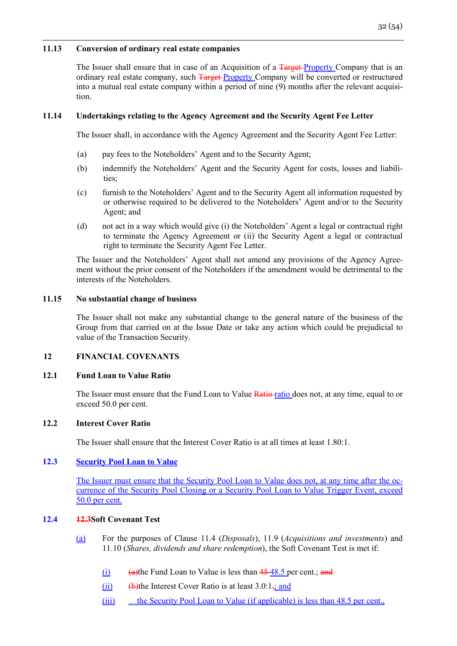## **11.13 Conversion of ordinary real estate companies**

The Issuer shall ensure that in case of an Acquisition of a Target-Property Company that is an ordinary real estate company, such Target-Property Company will be converted or restructured into a mutual real estate company within a period of nine (9) months after the relevant acquisition.

## **11.14 Undertakings relating to the Agency Agreement and the Security Agent Fee Letter**

The Issuer shall, in accordance with the Agency Agreement and the Security Agent Fee Letter:

- (a) pay fees to the Noteholders' Agent and to the Security Agent;
- (b) indemnify the Noteholders' Agent and the Security Agent for costs, losses and liabilities;
- (c) furnish to the Noteholders' Agent and to the Security Agent all information requested by or otherwise required to be delivered to the Noteholders' Agent and/or to the Security Agent; and
- (d) not act in a way which would give (i) the Noteholders' Agent a legal or contractual right to terminate the Agency Agreement or (ii) the Security Agent a legal or contractual right to terminate the Security Agent Fee Letter.

The Issuer and the Noteholders' Agent shall not amend any provisions of the Agency Agreement without the prior consent of the Noteholders if the amendment would be detrimental to the interests of the Noteholders.

### **11.15 No substantial change of business**

The Issuer shall not make any substantial change to the general nature of the business of the Group from that carried on at the Issue Date or take any action which could be prejudicial to value of the Transaction Security.

### **12 FINANCIAL COVENANTS**

### **12.1 Fund Loan to Value Ratio**

The Issuer must ensure that the Fund Loan to Value Ratio-ratio does not, at any time, equal to or exceed 50.0 per cent.

## **12.2 Interest Cover Ratio**

The Issuer shall ensure that the Interest Cover Ratio is at all times at least 1.80:1.

## **12.3 Security Pool Loan to Value**

The Issuer must ensure that the Security Pool Loan to Value does not, at any time after the occurrence of the Security Pool Closing or a Security Pool Loan to Value Trigger Event, exceed 50.0 per cent.

## **12.4 12.3Soft Covenant Test**

- (a) For the purposes of Clause 11.4 (*Disposals*), 11.9 (*Acquisitions and investments*) and 11.10 (*Shares, dividends and share redemption*), the Soft Covenant Test is met if:
	- $(i)$  (a)the Fund Loan to Value is less than  $45-48.5$  per cent.; and
	- (ii) (b)the Interest Cover Ratio is at least  $3.0:1$ , and
	- (iii) the Security Pool Loan to Value (if applicable) is less than 48.5 per cent.,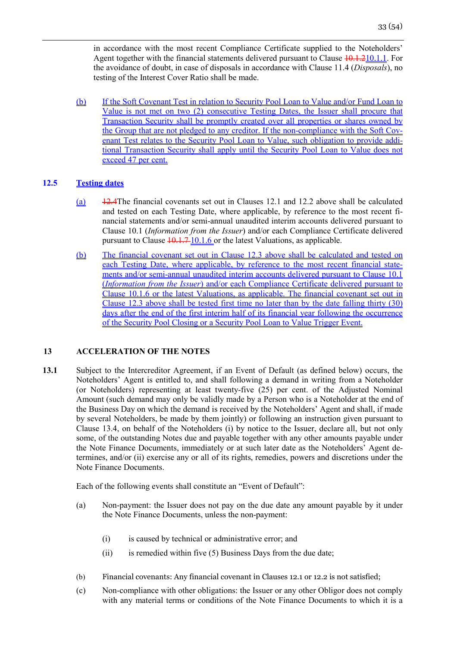in accordance with the most recent Compliance Certificate supplied to the Noteholders' Agent together with the financial statements delivered pursuant to Clause  $\frac{10.1.21011}{10.1.1}$ . For the avoidance of doubt, in case of disposals in accordance with Clause 11.4 (*Disposals*), no testing of the Interest Cover Ratio shall be made.

(b) If the Soft Covenant Test in relation to Security Pool Loan to Value and/or Fund Loan to Value is not met on two (2) consecutive Testing Dates, the Issuer shall procure that Transaction Security shall be promptly created over all properties or shares owned by the Group that are not pledged to any creditor. If the non-compliance with the Soft Covenant Test relates to the Security Pool Loan to Value, such obligation to provide additional Transaction Security shall apply until the Security Pool Loan to Value does not exceed 47 per cent.

## **12.5 Testing dates**

- (a) 12.4The financial covenants set out in Clauses 12.1 and 12.2 above shall be calculated and tested on each Testing Date, where applicable, by reference to the most recent financial statements and/or semi-annual unaudited interim accounts delivered pursuant to Clause 10.1 (*Information from the Issuer*) and/or each Compliance Certificate delivered pursuant to Clause  $10.1.710.1.6$  or the latest Valuations, as applicable.
- (b) The financial covenant set out in Clause 12.3 above shall be calculated and tested on each Testing Date, where applicable, by reference to the most recent financial statements and/or semi-annual unaudited interim accounts delivered pursuant to Clause 10.1 (*Information from the Issuer*) and/or each Compliance Certificate delivered pursuant to Clause 10.1.6 or the latest Valuations, as applicable. The financial covenant set out in Clause 12.3 above shall be tested first time no later than by the date falling thirty (30) days after the end of the first interim half of its financial year following the occurrence of the Security Pool Closing or a Security Pool Loan to Value Trigger Event.

### **13 ACCELERATION OF THE NOTES**

**13.1** Subject to the Intercreditor Agreement, if an Event of Default (as defined below) occurs, the Noteholders' Agent is entitled to, and shall following a demand in writing from a Noteholder (or Noteholders) representing at least twenty-five (25) per cent. of the Adjusted Nominal Amount (such demand may only be validly made by a Person who is a Noteholder at the end of the Business Day on which the demand is received by the Noteholders' Agent and shall, if made by several Noteholders, be made by them jointly) or following an instruction given pursuant to Clause 13.4, on behalf of the Noteholders (i) by notice to the Issuer, declare all, but not only some, of the outstanding Notes due and payable together with any other amounts payable under the Note Finance Documents, immediately or at such later date as the Noteholders' Agent determines, and/or (ii) exercise any or all of its rights, remedies, powers and discretions under the Note Finance Documents.

Each of the following events shall constitute an "Event of Default":

- (a) Non-payment: the Issuer does not pay on the due date any amount payable by it under the Note Finance Documents, unless the non-payment:
	- (i) is caused by technical or administrative error; and
	- $(ii)$  is remedied within five (5) Business Days from the due date;
- (b) Financial covenants: Any financial covenant in Clauses 12.1 or 12.2 is not satisfied;
- (c) Non-compliance with other obligations: the Issuer or any other Obligor does not comply with any material terms or conditions of the Note Finance Documents to which it is a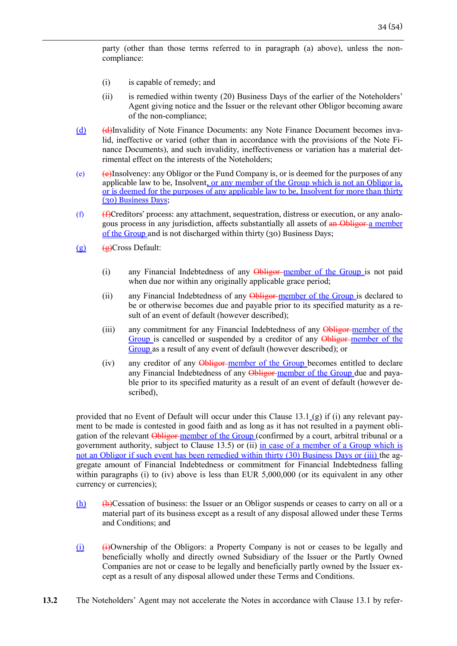party (other than those terms referred to in paragraph (a) above), unless the noncompliance:

- (i) is capable of remedy; and
- (ii) is remedied within twenty (20) Business Days of the earlier of the Noteholders' Agent giving notice and the Issuer or the relevant other Obligor becoming aware of the non-compliance;
- (d) (d) (d) Invalidity of Note Finance Documents: any Note Finance Document becomes invalid, ineffective or varied (other than in accordance with the provisions of the Note Finance Documents), and such invalidity, ineffectiveness or variation has a material detrimental effect on the interests of the Noteholders;
- (e)  $\leftrightarrow$ Insolvency: any Obligor or the Fund Company is, or is deemed for the purposes of any applicable law to be, Insolvent, or any member of the Group which is not an Obligor is, or is deemed for the purposes of any applicable law to be, Insolvent for more than thirty (30) Business Days;
- $(f)$  (f) (f)Creditors' process: any attachment, sequestration, distress or execution, or any analogous process in any jurisdiction, affects substantially all assets of an Obligor a member of the Group and is not discharged within thirty (30) Business Days;
- $(g)$   $(g)$ Cross Default:
	- (i) any Financial Indebtedness of any Obligor member of the Group is not paid when due nor within any originally applicable grace period;
	- (ii) any Financial Indebtedness of any Obligor-member of the Group is declared to be or otherwise becomes due and payable prior to its specified maturity as a result of an event of default (however described);
	- (iii) any commitment for any Financial Indebtedness of any Obligor member of the Group is cancelled or suspended by a creditor of any Obligor-member of the Group as a result of any event of default (however described); or
	- (iv) any creditor of any Obligor member of the Group becomes entitled to declare any Financial Indebtedness of any Obligor member of the Group due and payable prior to its specified maturity as a result of an event of default (however described),

provided that no Event of Default will occur under this Clause 13.1 (g) if (i) any relevant payment to be made is contested in good faith and as long as it has not resulted in a payment obligation of the relevant Obligor member of the Group (confirmed by a court, arbitral tribunal or a government authority, subject to Clause 13.5) or (ii) in case of a member of a Group which is not an Obligor if such event has been remedied within thirty (30) Business Days or (iii) the aggregate amount of Financial Indebtedness or commitment for Financial Indebtedness falling within paragraphs (i) to (iv) above is less than EUR  $5,000,000$  (or its equivalent in any other currency or currencies);

- $(h)$  (h) (h) (h) (h) (h)Cessation of business: the Issuer or an Obligor suspends or ceases to carry on all or a material part of its business except as a result of any disposal allowed under these Terms and Conditions; and
- (i)  $\leftrightarrow$  Ownership of the Obligors: a Property Company is not or ceases to be legally and beneficially wholly and directly owned Subsidiary of the Issuer or the Partly Owned Companies are not or cease to be legally and beneficially partly owned by the Issuer except as a result of any disposal allowed under these Terms and Conditions.
- **13.2** The Noteholders' Agent may not accelerate the Notes in accordance with Clause 13.1 by refer-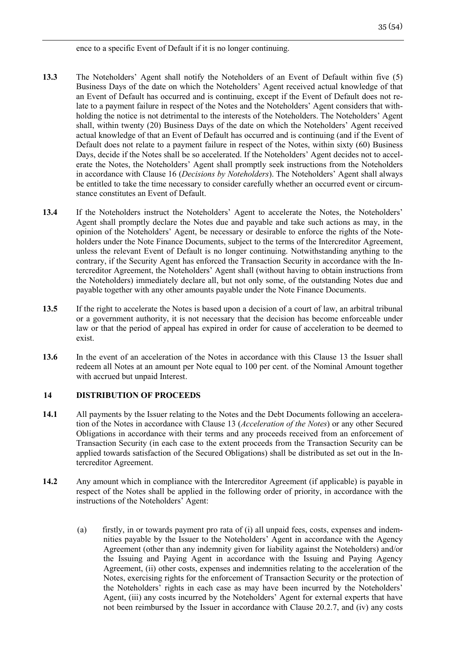ence to a specific Event of Default if it is no longer continuing.

- **13.3** The Noteholders' Agent shall notify the Noteholders of an Event of Default within five (5) Business Days of the date on which the Noteholders' Agent received actual knowledge of that an Event of Default has occurred and is continuing, except if the Event of Default does not relate to a payment failure in respect of the Notes and the Noteholders' Agent considers that withholding the notice is not detrimental to the interests of the Noteholders. The Noteholders' Agent shall, within twenty (20) Business Days of the date on which the Noteholders' Agent received actual knowledge of that an Event of Default has occurred and is continuing (and if the Event of Default does not relate to a payment failure in respect of the Notes, within sixty (60) Business Days, decide if the Notes shall be so accelerated. If the Noteholders' Agent decides not to accelerate the Notes, the Noteholders' Agent shall promptly seek instructions from the Noteholders in accordance with Clause 16 (*Decisions by Noteholders*). The Noteholders' Agent shall always be entitled to take the time necessary to consider carefully whether an occurred event or circumstance constitutes an Event of Default.
- **13.4** If the Noteholders instruct the Noteholders' Agent to accelerate the Notes, the Noteholders' Agent shall promptly declare the Notes due and payable and take such actions as may, in the opinion of the Noteholders' Agent, be necessary or desirable to enforce the rights of the Noteholders under the Note Finance Documents, subject to the terms of the Intercreditor Agreement, unless the relevant Event of Default is no longer continuing. Notwithstanding anything to the contrary, if the Security Agent has enforced the Transaction Security in accordance with the Intercreditor Agreement, the Noteholders' Agent shall (without having to obtain instructions from the Noteholders) immediately declare all, but not only some, of the outstanding Notes due and payable together with any other amounts payable under the Note Finance Documents.
- **13.5** If the right to accelerate the Notes is based upon a decision of a court of law, an arbitral tribunal or a government authority, it is not necessary that the decision has become enforceable under law or that the period of appeal has expired in order for cause of acceleration to be deemed to exist.
- 13.6 In the event of an acceleration of the Notes in accordance with this Clause 13 the Issuer shall redeem all Notes at an amount per Note equal to 100 per cent. of the Nominal Amount together with accrued but unpaid Interest.

### **14 DISTRIBUTION OF PROCEEDS**

- **14.1** All payments by the Issuer relating to the Notes and the Debt Documents following an acceleration of the Notes in accordance with Clause 13 (*Acceleration of the Notes*) or any other Secured Obligations in accordance with their terms and any proceeds received from an enforcement of Transaction Security (in each case to the extent proceeds from the Transaction Security can be applied towards satisfaction of the Secured Obligations) shall be distributed as set out in the Intercreditor Agreement.
- **14.2** Any amount which in compliance with the Intercreditor Agreement (if applicable) is payable in respect of the Notes shall be applied in the following order of priority, in accordance with the instructions of the Noteholders' Agent:
	- (a) firstly, in or towards payment pro rata of (i) all unpaid fees, costs, expenses and indemnities payable by the Issuer to the Noteholders' Agent in accordance with the Agency Agreement (other than any indemnity given for liability against the Noteholders) and/or the Issuing and Paying Agent in accordance with the Issuing and Paying Agency Agreement, (ii) other costs, expenses and indemnities relating to the acceleration of the Notes, exercising rights for the enforcement of Transaction Security or the protection of the Noteholders' rights in each case as may have been incurred by the Noteholders' Agent, (iii) any costs incurred by the Noteholders' Agent for external experts that have not been reimbursed by the Issuer in accordance with Clause 20.2.7, and (iv) any costs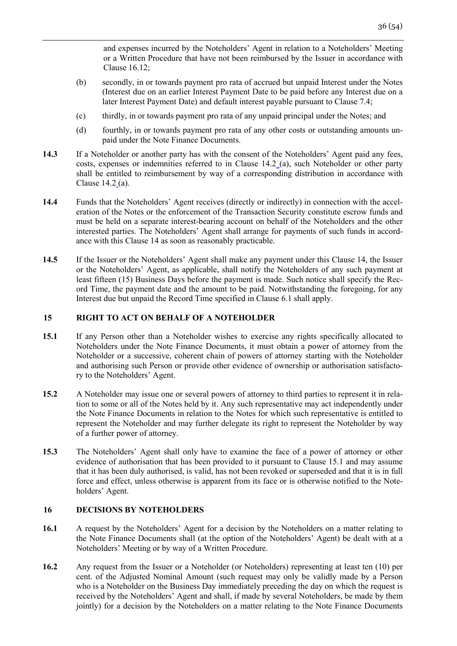and expenses incurred by the Noteholders' Agent in relation to a Noteholders' Meeting or a Written Procedure that have not been reimbursed by the Issuer in accordance with Clause 16.12;

- (b) secondly, in or towards payment pro rata of accrued but unpaid Interest under the Notes (Interest due on an earlier Interest Payment Date to be paid before any Interest due on a later Interest Payment Date) and default interest payable pursuant to Clause 7.4;
- (c) thirdly, in or towards payment pro rata of any unpaid principal under the Notes; and
- (d) fourthly, in or towards payment pro rata of any other costs or outstanding amounts unpaid under the Note Finance Documents.
- **14.3** If a Noteholder or another party has with the consent of the Noteholders' Agent paid any fees, costs, expenses or indemnities referred to in Clause 14.2 (a), such Noteholder or other party shall be entitled to reimbursement by way of a corresponding distribution in accordance with Clause 14.2 (a).
- **14.4** Funds that the Noteholders' Agent receives (directly or indirectly) in connection with the acceleration of the Notes or the enforcement of the Transaction Security constitute escrow funds and must be held on a separate interest-bearing account on behalf of the Noteholders and the other interested parties. The Noteholders' Agent shall arrange for payments of such funds in accordance with this Clause 14 as soon as reasonably practicable.
- **14.5** If the Issuer or the Noteholders' Agent shall make any payment under this Clause 14, the Issuer or the Noteholders' Agent, as applicable, shall notify the Noteholders of any such payment at least fifteen (15) Business Days before the payment is made. Such notice shall specify the Record Time, the payment date and the amount to be paid. Notwithstanding the foregoing, for any Interest due but unpaid the Record Time specified in Clause 6.1 shall apply.

#### **15 RIGHT TO ACT ON BEHALF OF A NOTEHOLDER**

- **15.1** If any Person other than a Noteholder wishes to exercise any rights specifically allocated to Noteholders under the Note Finance Documents, it must obtain a power of attorney from the Noteholder or a successive, coherent chain of powers of attorney starting with the Noteholder and authorising such Person or provide other evidence of ownership or authorisation satisfactory to the Noteholders' Agent.
- **15.2** A Noteholder may issue one or several powers of attorney to third parties to represent it in relation to some or all of the Notes held by it. Any such representative may act independently under the Note Finance Documents in relation to the Notes for which such representative is entitled to represent the Noteholder and may further delegate its right to represent the Noteholder by way of a further power of attorney.
- **15.3** The Noteholders' Agent shall only have to examine the face of a power of attorney or other evidence of authorisation that has been provided to it pursuant to Clause 15.1 and may assume that it has been duly authorised, is valid, has not been revoked or superseded and that it is in full force and effect, unless otherwise is apparent from its face or is otherwise notified to the Noteholders' Agent.

### **16 DECISIONS BY NOTEHOLDERS**

- **16.1** A request by the Noteholders' Agent for a decision by the Noteholders on a matter relating to the Note Finance Documents shall (at the option of the Noteholders' Agent) be dealt with at a Noteholders' Meeting or by way of a Written Procedure.
- **16.2** Any request from the Issuer or a Noteholder (or Noteholders) representing at least ten (10) per cent. of the Adjusted Nominal Amount (such request may only be validly made by a Person who is a Noteholder on the Business Day immediately preceding the day on which the request is received by the Noteholders' Agent and shall, if made by several Noteholders, be made by them jointly) for a decision by the Noteholders on a matter relating to the Note Finance Documents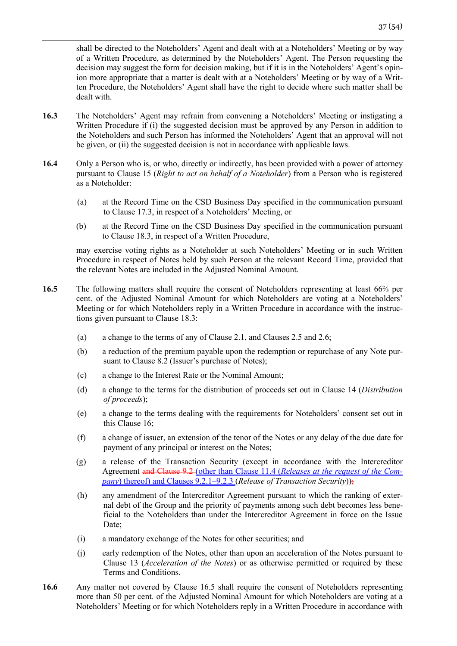shall be directed to the Noteholders' Agent and dealt with at a Noteholders' Meeting or by way of a Written Procedure, as determined by the Noteholders' Agent. The Person requesting the decision may suggest the form for decision making, but if it is in the Noteholders' Agent's opinion more appropriate that a matter is dealt with at a Noteholders' Meeting or by way of a Written Procedure, the Noteholders' Agent shall have the right to decide where such matter shall be dealt with.

- **16.3** The Noteholders' Agent may refrain from convening a Noteholders' Meeting or instigating a Written Procedure if (i) the suggested decision must be approved by any Person in addition to the Noteholders and such Person has informed the Noteholders' Agent that an approval will not be given, or (ii) the suggested decision is not in accordance with applicable laws.
- **16.4** Only a Person who is, or who, directly or indirectly, has been provided with a power of attorney pursuant to Clause 15 (*Right to act on behalf of a Noteholder*) from a Person who is registered as a Noteholder:
	- (a) at the Record Time on the CSD Business Day specified in the communication pursuant to Clause 17.3, in respect of a Noteholders' Meeting, or
	- (b) at the Record Time on the CSD Business Day specified in the communication pursuant to Clause 18.3, in respect of a Written Procedure,

may exercise voting rights as a Noteholder at such Noteholders' Meeting or in such Written Procedure in respect of Notes held by such Person at the relevant Record Time, provided that the relevant Notes are included in the Adjusted Nominal Amount.

- **16.5** The following matters shall require the consent of Noteholders representing at least 66⅔ per cent. of the Adjusted Nominal Amount for which Noteholders are voting at a Noteholders' Meeting or for which Noteholders reply in a Written Procedure in accordance with the instructions given pursuant to Clause 18.3:
	- (a) a change to the terms of any of Clause 2.1, and Clauses 2.5 and 2.6;
	- (b) a reduction of the premium payable upon the redemption or repurchase of any Note pursuant to Clause 8.2 (Issuer's purchase of Notes);
	- (c) a change to the Interest Rate or the Nominal Amount;
	- (d) a change to the terms for the distribution of proceeds set out in Clause 14 (*Distribution of proceeds*);
	- (e) a change to the terms dealing with the requirements for Noteholders' consent set out in this Clause 16;
	- (f) a change of issuer, an extension of the tenor of the Notes or any delay of the due date for payment of any principal or interest on the Notes;
	- (g) a release of the Transaction Security (except in accordance with the Intercreditor Agreement and Clause 9.2 (other than Clause 11.4 (*Releases at the request of the Company*) thereof) and Clauses 9.2.1–9.2.3 (*Release of Transaction Security*));
	- (h) any amendment of the Intercreditor Agreement pursuant to which the ranking of external debt of the Group and the priority of payments among such debt becomes less beneficial to the Noteholders than under the Intercreditor Agreement in force on the Issue Date;
	- (i) a mandatory exchange of the Notes for other securities; and
	- (j) early redemption of the Notes, other than upon an acceleration of the Notes pursuant to Clause 13 (*Acceleration of the Notes*) or as otherwise permitted or required by these Terms and Conditions.
- **16.6** Any matter not covered by Clause 16.5 shall require the consent of Noteholders representing more than 50 per cent. of the Adjusted Nominal Amount for which Noteholders are voting at a Noteholders' Meeting or for which Noteholders reply in a Written Procedure in accordance with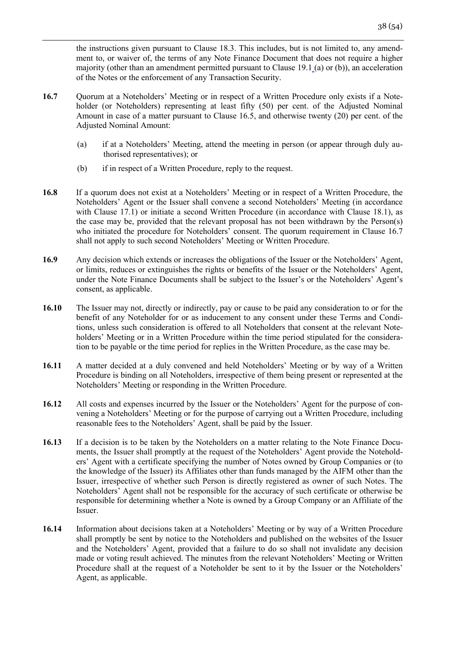the instructions given pursuant to Clause 18.3. This includes, but is not limited to, any amendment to, or waiver of, the terms of any Note Finance Document that does not require a higher majority (other than an amendment permitted pursuant to Clause 19.1 (a) or (b)), an acceleration of the Notes or the enforcement of any Transaction Security.

- **16.7** Quorum at a Noteholders' Meeting or in respect of a Written Procedure only exists if a Noteholder (or Noteholders) representing at least fifty (50) per cent. of the Adjusted Nominal Amount in case of a matter pursuant to Clause 16.5, and otherwise twenty (20) per cent. of the Adjusted Nominal Amount:
	- (a) if at a Noteholders' Meeting, attend the meeting in person (or appear through duly authorised representatives); or
	- (b) if in respect of a Written Procedure, reply to the request.
- **16.8** If a quorum does not exist at a Noteholders' Meeting or in respect of a Written Procedure, the Noteholders' Agent or the Issuer shall convene a second Noteholders' Meeting (in accordance with Clause 17.1) or initiate a second Written Procedure (in accordance with Clause 18.1), as the case may be, provided that the relevant proposal has not been withdrawn by the Person(s) who initiated the procedure for Noteholders' consent. The quorum requirement in Clause 16.7 shall not apply to such second Noteholders' Meeting or Written Procedure.
- **16.9** Any decision which extends or increases the obligations of the Issuer or the Noteholders' Agent, or limits, reduces or extinguishes the rights or benefits of the Issuer or the Noteholders' Agent, under the Note Finance Documents shall be subject to the Issuer's or the Noteholders' Agent's consent, as applicable.
- **16.10** The Issuer may not, directly or indirectly, pay or cause to be paid any consideration to or for the benefit of any Noteholder for or as inducement to any consent under these Terms and Conditions, unless such consideration is offered to all Noteholders that consent at the relevant Noteholders' Meeting or in a Written Procedure within the time period stipulated for the consideration to be payable or the time period for replies in the Written Procedure, as the case may be.
- **16.11** A matter decided at a duly convened and held Noteholders' Meeting or by way of a Written Procedure is binding on all Noteholders, irrespective of them being present or represented at the Noteholders' Meeting or responding in the Written Procedure.
- **16.12** All costs and expenses incurred by the Issuer or the Noteholders' Agent for the purpose of convening a Noteholders' Meeting or for the purpose of carrying out a Written Procedure, including reasonable fees to the Noteholders' Agent, shall be paid by the Issuer.
- **16.13** If a decision is to be taken by the Noteholders on a matter relating to the Note Finance Documents, the Issuer shall promptly at the request of the Noteholders' Agent provide the Noteholders' Agent with a certificate specifying the number of Notes owned by Group Companies or (to the knowledge of the Issuer) its Affiliates other than funds managed by the AIFM other than the Issuer, irrespective of whether such Person is directly registered as owner of such Notes. The Noteholders' Agent shall not be responsible for the accuracy of such certificate or otherwise be responsible for determining whether a Note is owned by a Group Company or an Affiliate of the Issuer.
- **16.14** Information about decisions taken at a Noteholders' Meeting or by way of a Written Procedure shall promptly be sent by notice to the Noteholders and published on the websites of the Issuer and the Noteholders' Agent, provided that a failure to do so shall not invalidate any decision made or voting result achieved. The minutes from the relevant Noteholders' Meeting or Written Procedure shall at the request of a Noteholder be sent to it by the Issuer or the Noteholders' Agent, as applicable.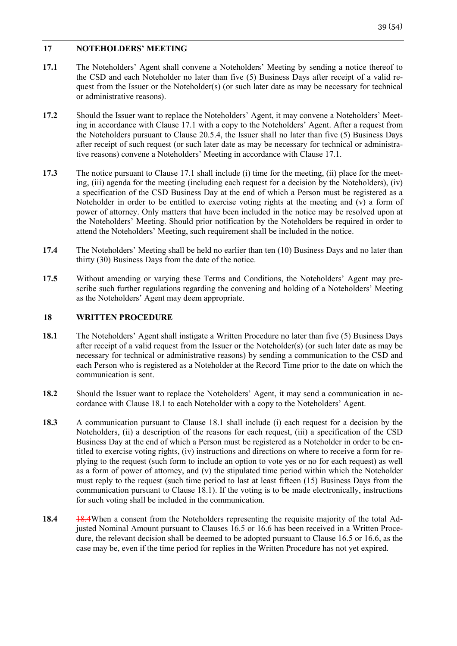## **17 NOTEHOLDERS' MEETING**

- **17.1** The Noteholders' Agent shall convene a Noteholders' Meeting by sending a notice thereof to the CSD and each Noteholder no later than five (5) Business Days after receipt of a valid request from the Issuer or the Noteholder(s) (or such later date as may be necessary for technical or administrative reasons).
- **17.2** Should the Issuer want to replace the Noteholders' Agent, it may convene a Noteholders' Meeting in accordance with Clause 17.1 with a copy to the Noteholders' Agent. After a request from the Noteholders pursuant to Clause 20.5.4, the Issuer shall no later than five (5) Business Days after receipt of such request (or such later date as may be necessary for technical or administrative reasons) convene a Noteholders' Meeting in accordance with Clause 17.1.
- **17.3** The notice pursuant to Clause 17.1 shall include (i) time for the meeting, (ii) place for the meeting, (iii) agenda for the meeting (including each request for a decision by the Noteholders), (iv) a specification of the CSD Business Day at the end of which a Person must be registered as a Noteholder in order to be entitled to exercise voting rights at the meeting and (v) a form of power of attorney. Only matters that have been included in the notice may be resolved upon at the Noteholders' Meeting. Should prior notification by the Noteholders be required in order to attend the Noteholders' Meeting, such requirement shall be included in the notice.
- **17.4** The Noteholders' Meeting shall be held no earlier than ten (10) Business Days and no later than thirty (30) Business Days from the date of the notice.
- **17.5** Without amending or varying these Terms and Conditions, the Noteholders' Agent may prescribe such further regulations regarding the convening and holding of a Noteholders' Meeting as the Noteholders' Agent may deem appropriate.

## **18 WRITTEN PROCEDURE**

- **18.1** The Noteholders' Agent shall instigate a Written Procedure no later than five (5) Business Days after receipt of a valid request from the Issuer or the Noteholder(s) (or such later date as may be necessary for technical or administrative reasons) by sending a communication to the CSD and each Person who is registered as a Noteholder at the Record Time prior to the date on which the communication is sent.
- **18.2** Should the Issuer want to replace the Noteholders' Agent, it may send a communication in accordance with Clause 18.1 to each Noteholder with a copy to the Noteholders' Agent.
- **18.3** A communication pursuant to Clause 18.1 shall include (i) each request for a decision by the Noteholders, (ii) a description of the reasons for each request, (iii) a specification of the CSD Business Day at the end of which a Person must be registered as a Noteholder in order to be entitled to exercise voting rights, (iv) instructions and directions on where to receive a form for replying to the request (such form to include an option to vote yes or no for each request) as well as a form of power of attorney, and (v) the stipulated time period within which the Noteholder must reply to the request (such time period to last at least fifteen (15) Business Days from the communication pursuant to Clause 18.1). If the voting is to be made electronically, instructions for such voting shall be included in the communication.
- **18.4** 18.4When a consent from the Noteholders representing the requisite majority of the total Adjusted Nominal Amount pursuant to Clauses 16.5 or 16.6 has been received in a Written Procedure, the relevant decision shall be deemed to be adopted pursuant to Clause 16.5 or 16.6, as the case may be, even if the time period for replies in the Written Procedure has not yet expired.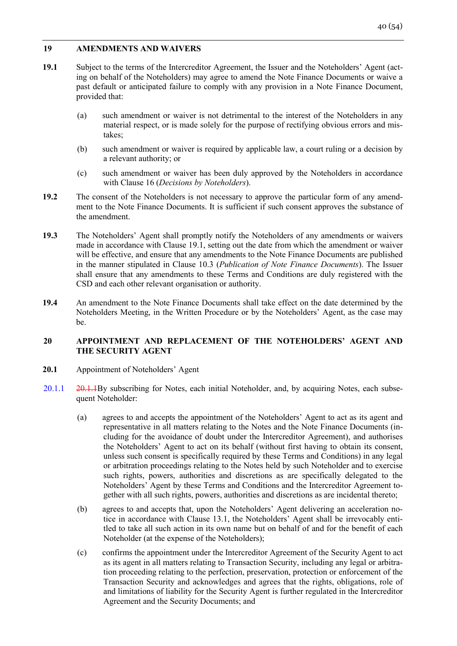## **19 AMENDMENTS AND WAIVERS**

- **19.1** Subject to the terms of the Intercreditor Agreement, the Issuer and the Noteholders' Agent (acting on behalf of the Noteholders) may agree to amend the Note Finance Documents or waive a past default or anticipated failure to comply with any provision in a Note Finance Document, provided that:
	- (a) such amendment or waiver is not detrimental to the interest of the Noteholders in any material respect, or is made solely for the purpose of rectifying obvious errors and mistakes;
	- (b) such amendment or waiver is required by applicable law, a court ruling or a decision by a relevant authority; or
	- (c) such amendment or waiver has been duly approved by the Noteholders in accordance with Clause 16 (*Decisions by Noteholders*).
- **19.2** The consent of the Noteholders is not necessary to approve the particular form of any amendment to the Note Finance Documents. It is sufficient if such consent approves the substance of the amendment.
- **19.3** The Noteholders' Agent shall promptly notify the Noteholders of any amendments or waivers made in accordance with Clause 19.1, setting out the date from which the amendment or waiver will be effective, and ensure that any amendments to the Note Finance Documents are published in the manner stipulated in Clause 10.3 (*Publication of Note Finance Documents*). The Issuer shall ensure that any amendments to these Terms and Conditions are duly registered with the CSD and each other relevant organisation or authority.
- **19.4** An amendment to the Note Finance Documents shall take effect on the date determined by the Noteholders Meeting, in the Written Procedure or by the Noteholders' Agent, as the case may be.

## **20 APPOINTMENT AND REPLACEMENT OF THE NOTEHOLDERS' AGENT AND THE SECURITY AGENT**

- **20.1** Appointment of Noteholders' Agent
- 20.1.1 20.1.1By subscribing for Notes, each initial Noteholder, and, by acquiring Notes, each subsequent Noteholder:
	- (a) agrees to and accepts the appointment of the Noteholders' Agent to act as its agent and representative in all matters relating to the Notes and the Note Finance Documents (including for the avoidance of doubt under the Intercreditor Agreement), and authorises the Noteholders' Agent to act on its behalf (without first having to obtain its consent, unless such consent is specifically required by these Terms and Conditions) in any legal or arbitration proceedings relating to the Notes held by such Noteholder and to exercise such rights, powers, authorities and discretions as are specifically delegated to the Noteholders' Agent by these Terms and Conditions and the Intercreditor Agreement together with all such rights, powers, authorities and discretions as are incidental thereto;
	- (b) agrees to and accepts that, upon the Noteholders' Agent delivering an acceleration notice in accordance with Clause 13.1, the Noteholders' Agent shall be irrevocably entitled to take all such action in its own name but on behalf of and for the benefit of each Noteholder (at the expense of the Noteholders);
	- (c) confirms the appointment under the Intercreditor Agreement of the Security Agent to act as its agent in all matters relating to Transaction Security, including any legal or arbitration proceeding relating to the perfection, preservation, protection or enforcement of the Transaction Security and acknowledges and agrees that the rights, obligations, role of and limitations of liability for the Security Agent is further regulated in the Intercreditor Agreement and the Security Documents; and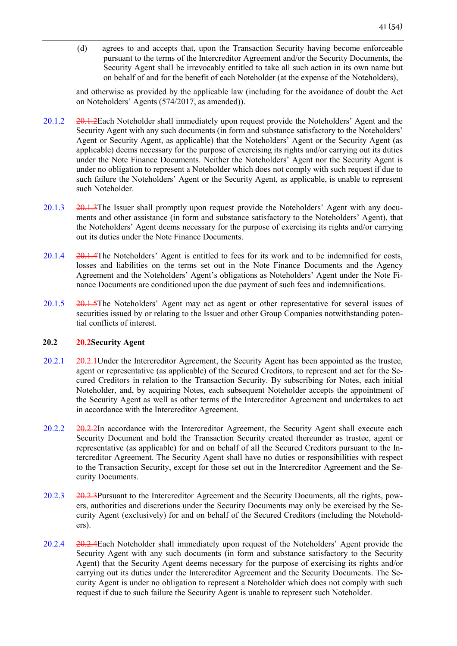(d) agrees to and accepts that, upon the Transaction Security having become enforceable pursuant to the terms of the Intercreditor Agreement and/or the Security Documents, the Security Agent shall be irrevocably entitled to take all such action in its own name but on behalf of and for the benefit of each Noteholder (at the expense of the Noteholders),

and otherwise as provided by the applicable law (including for the avoidance of doubt the Act on Noteholders' Agents (574/2017, as amended)).

- 20.1.2 20.1.2Each Noteholder shall immediately upon request provide the Noteholders' Agent and the Security Agent with any such documents (in form and substance satisfactory to the Noteholders' Agent or Security Agent, as applicable) that the Noteholders' Agent or the Security Agent (as applicable) deems necessary for the purpose of exercising its rights and/or carrying out its duties under the Note Finance Documents. Neither the Noteholders' Agent nor the Security Agent is under no obligation to represent a Noteholder which does not comply with such request if due to such failure the Noteholders' Agent or the Security Agent, as applicable, is unable to represent such Noteholder.
- 20.1.3 20.1.3The Issuer shall promptly upon request provide the Noteholders' Agent with any documents and other assistance (in form and substance satisfactory to the Noteholders' Agent), that the Noteholders' Agent deems necessary for the purpose of exercising its rights and/or carrying out its duties under the Note Finance Documents.
- 20.1.4 20.1.4The Noteholders' Agent is entitled to fees for its work and to be indemnified for costs, losses and liabilities on the terms set out in the Note Finance Documents and the Agency Agreement and the Noteholders' Agent's obligations as Noteholders' Agent under the Note Finance Documents are conditioned upon the due payment of such fees and indemnifications.
- 20.1.5 20.1.5The Noteholders' Agent may act as agent or other representative for several issues of securities issued by or relating to the Issuer and other Group Companies notwithstanding potential conflicts of interest.

### **20.2 20.2Security Agent**

- 20.2.1 20.2.1 Under the Intercreditor Agreement, the Security Agent has been appointed as the trustee, agent or representative (as applicable) of the Secured Creditors, to represent and act for the Secured Creditors in relation to the Transaction Security. By subscribing for Notes, each initial Noteholder, and, by acquiring Notes, each subsequent Noteholder accepts the appointment of the Security Agent as well as other terms of the Intercreditor Agreement and undertakes to act in accordance with the Intercreditor Agreement.
- 20.2.2 20.2.2In accordance with the Intercreditor Agreement, the Security Agent shall execute each Security Document and hold the Transaction Security created thereunder as trustee, agent or representative (as applicable) for and on behalf of all the Secured Creditors pursuant to the Intercreditor Agreement. The Security Agent shall have no duties or responsibilities with respect to the Transaction Security, except for those set out in the Intercreditor Agreement and the Security Documents.
- 20.2.3 20.2.3Pursuant to the Intercreditor Agreement and the Security Documents, all the rights, powers, authorities and discretions under the Security Documents may only be exercised by the Security Agent (exclusively) for and on behalf of the Secured Creditors (including the Noteholders).
- 20.2.4 20.2.4Each Noteholder shall immediately upon request of the Noteholders' Agent provide the Security Agent with any such documents (in form and substance satisfactory to the Security Agent) that the Security Agent deems necessary for the purpose of exercising its rights and/or carrying out its duties under the Intercreditor Agreement and the Security Documents. The Security Agent is under no obligation to represent a Noteholder which does not comply with such request if due to such failure the Security Agent is unable to represent such Noteholder.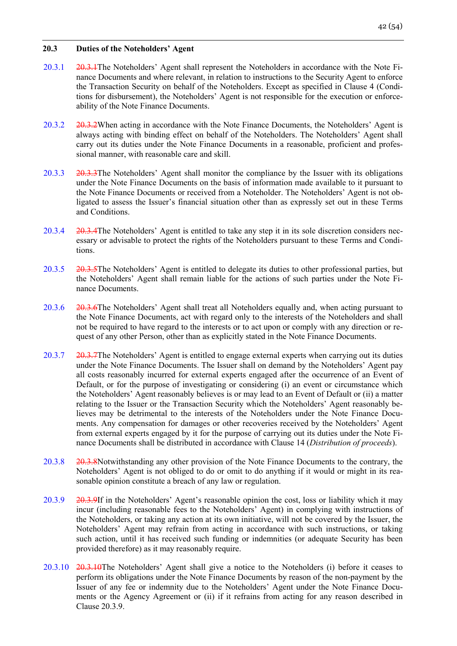### **20.3 Duties of the Noteholders' Agent**

- 20.3.1 20.3.1The Noteholders' Agent shall represent the Noteholders in accordance with the Note Finance Documents and where relevant, in relation to instructions to the Security Agent to enforce the Transaction Security on behalf of the Noteholders. Except as specified in Clause 4 (Conditions for disbursement), the Noteholders' Agent is not responsible for the execution or enforceability of the Note Finance Documents.
- 20.3.2 20.3.2When acting in accordance with the Note Finance Documents, the Noteholders' Agent is always acting with binding effect on behalf of the Noteholders. The Noteholders' Agent shall carry out its duties under the Note Finance Documents in a reasonable, proficient and professional manner, with reasonable care and skill.
- 20.3.3 20.3.3The Noteholders' Agent shall monitor the compliance by the Issuer with its obligations under the Note Finance Documents on the basis of information made available to it pursuant to the Note Finance Documents or received from a Noteholder. The Noteholders' Agent is not obligated to assess the Issuer's financial situation other than as expressly set out in these Terms and Conditions.
- 20.3.4 20.3.4The Noteholders' Agent is entitled to take any step it in its sole discretion considers necessary or advisable to protect the rights of the Noteholders pursuant to these Terms and Conditions.
- 20.3.5 20.3.5The Noteholders' Agent is entitled to delegate its duties to other professional parties, but the Noteholders' Agent shall remain liable for the actions of such parties under the Note Finance Documents.
- 20.3.6 20.3.6The Noteholders' Agent shall treat all Noteholders equally and, when acting pursuant to the Note Finance Documents, act with regard only to the interests of the Noteholders and shall not be required to have regard to the interests or to act upon or comply with any direction or request of any other Person, other than as explicitly stated in the Note Finance Documents.
- 20.3.7 20.3.7The Noteholders' Agent is entitled to engage external experts when carrying out its duties under the Note Finance Documents. The Issuer shall on demand by the Noteholders' Agent pay all costs reasonably incurred for external experts engaged after the occurrence of an Event of Default, or for the purpose of investigating or considering (i) an event or circumstance which the Noteholders' Agent reasonably believes is or may lead to an Event of Default or (ii) a matter relating to the Issuer or the Transaction Security which the Noteholders' Agent reasonably believes may be detrimental to the interests of the Noteholders under the Note Finance Documents. Any compensation for damages or other recoveries received by the Noteholders' Agent from external experts engaged by it for the purpose of carrying out its duties under the Note Finance Documents shall be distributed in accordance with Clause 14 (*Distribution of proceeds*).
- 20.3.8 20.3.8Notwithstanding any other provision of the Note Finance Documents to the contrary, the Noteholders' Agent is not obliged to do or omit to do anything if it would or might in its reasonable opinion constitute a breach of any law or regulation.
- 20.3.9 20.3.9If in the Noteholders' Agent's reasonable opinion the cost, loss or liability which it may incur (including reasonable fees to the Noteholders' Agent) in complying with instructions of the Noteholders, or taking any action at its own initiative, will not be covered by the Issuer, the Noteholders' Agent may refrain from acting in accordance with such instructions, or taking such action, until it has received such funding or indemnities (or adequate Security has been provided therefore) as it may reasonably require.
- $20.3.10$   $20.3.10$ The Noteholders' Agent shall give a notice to the Noteholders (i) before it ceases to perform its obligations under the Note Finance Documents by reason of the non-payment by the Issuer of any fee or indemnity due to the Noteholders' Agent under the Note Finance Documents or the Agency Agreement or (ii) if it refrains from acting for any reason described in Clause 20.3.9.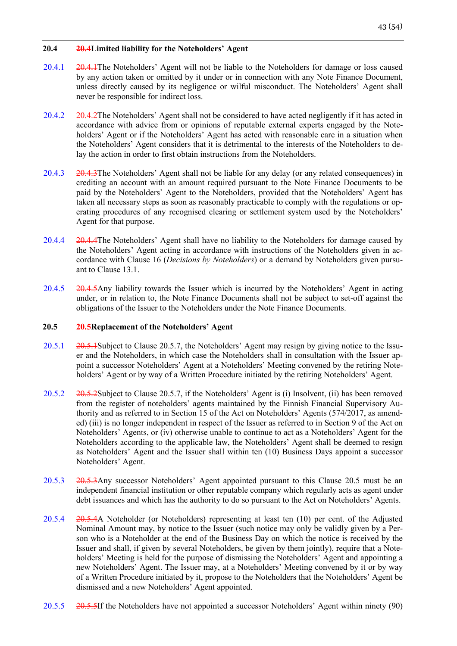## **20.4 20.4Limited liability for the Noteholders' Agent**

- 20.4.1 20.4.1The Noteholders' Agent will not be liable to the Noteholders for damage or loss caused by any action taken or omitted by it under or in connection with any Note Finance Document, unless directly caused by its negligence or wilful misconduct. The Noteholders' Agent shall never be responsible for indirect loss.
- 20.4.2 20.4.2The Noteholders' Agent shall not be considered to have acted negligently if it has acted in accordance with advice from or opinions of reputable external experts engaged by the Noteholders' Agent or if the Noteholders' Agent has acted with reasonable care in a situation when the Noteholders' Agent considers that it is detrimental to the interests of the Noteholders to delay the action in order to first obtain instructions from the Noteholders.
- 20.4.3 20.4.3The Noteholders' Agent shall not be liable for any delay (or any related consequences) in crediting an account with an amount required pursuant to the Note Finance Documents to be paid by the Noteholders' Agent to the Noteholders, provided that the Noteholders' Agent has taken all necessary steps as soon as reasonably practicable to comply with the regulations or operating procedures of any recognised clearing or settlement system used by the Noteholders' Agent for that purpose.
- 20.4.4 20.4.4The Noteholders' Agent shall have no liability to the Noteholders for damage caused by the Noteholders' Agent acting in accordance with instructions of the Noteholders given in accordance with Clause 16 (*Decisions by Noteholders*) or a demand by Noteholders given pursuant to Clause 13.1.
- 20.4.5 20.4.5Any liability towards the Issuer which is incurred by the Noteholders' Agent in acting under, or in relation to, the Note Finance Documents shall not be subject to set-off against the obligations of the Issuer to the Noteholders under the Note Finance Documents.

### **20.5 20.5Replacement of the Noteholders' Agent**

- $20.5.1\qquad$   $\frac{20.5.1}{20.5.1}$ Subject to Clause 20.5.7, the Noteholders' Agent may resign by giving notice to the Issuer and the Noteholders, in which case the Noteholders shall in consultation with the Issuer appoint a successor Noteholders' Agent at a Noteholders' Meeting convened by the retiring Noteholders' Agent or by way of a Written Procedure initiated by the retiring Noteholders' Agent.
- 20.5.2 20.5.2Subject to Clause 20.5.7, if the Noteholders' Agent is (i) Insolvent, (ii) has been removed from the register of noteholders' agents maintained by the Finnish Financial Supervisory Authority and as referred to in Section 15 of the Act on Noteholders' Agents (574/2017, as amended) (iii) is no longer independent in respect of the Issuer as referred to in Section 9 of the Act on Noteholders' Agents, or (iv) otherwise unable to continue to act as a Noteholders' Agent for the Noteholders according to the applicable law, the Noteholders' Agent shall be deemed to resign as Noteholders' Agent and the Issuer shall within ten (10) Business Days appoint a successor Noteholders' Agent.
- 20.5.3 20.5.3Any successor Noteholders' Agent appointed pursuant to this Clause 20.5 must be an independent financial institution or other reputable company which regularly acts as agent under debt issuances and which has the authority to do so pursuant to the Act on Noteholders' Agents.
- 20.5.4 20.5.4A Noteholder (or Noteholders) representing at least ten (10) per cent. of the Adjusted Nominal Amount may, by notice to the Issuer (such notice may only be validly given by a Person who is a Noteholder at the end of the Business Day on which the notice is received by the Issuer and shall, if given by several Noteholders, be given by them jointly), require that a Noteholders' Meeting is held for the purpose of dismissing the Noteholders' Agent and appointing a new Noteholders' Agent. The Issuer may, at a Noteholders' Meeting convened by it or by way of a Written Procedure initiated by it, propose to the Noteholders that the Noteholders' Agent be dismissed and a new Noteholders' Agent appointed.
- 20.5.5 20.5.5If the Noteholders have not appointed a successor Noteholders' Agent within ninety (90)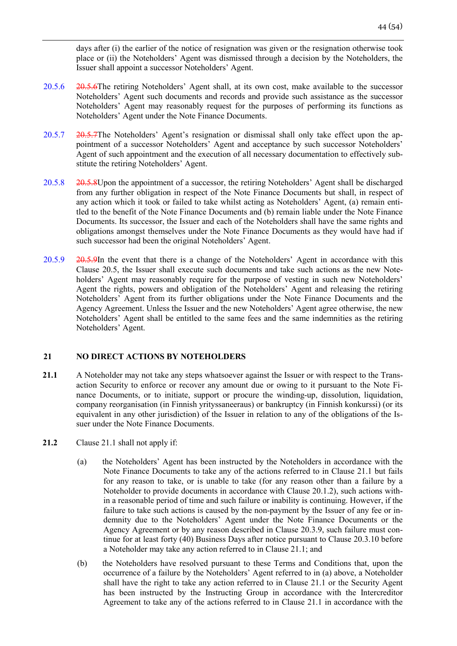days after (i) the earlier of the notice of resignation was given or the resignation otherwise took place or (ii) the Noteholders' Agent was dismissed through a decision by the Noteholders, the Issuer shall appoint a successor Noteholders' Agent.

- 20.5.6 20.5.6The retiring Noteholders' Agent shall, at its own cost, make available to the successor Noteholders' Agent such documents and records and provide such assistance as the successor Noteholders' Agent may reasonably request for the purposes of performing its functions as Noteholders' Agent under the Note Finance Documents.
- 20.5.7 20.5.7The Noteholders' Agent's resignation or dismissal shall only take effect upon the appointment of a successor Noteholders' Agent and acceptance by such successor Noteholders' Agent of such appointment and the execution of all necessary documentation to effectively substitute the retiring Noteholders' Agent.
- 20.5.8 20.5.8Upon the appointment of a successor, the retiring Noteholders' Agent shall be discharged from any further obligation in respect of the Note Finance Documents but shall, in respect of any action which it took or failed to take whilst acting as Noteholders' Agent, (a) remain entitled to the benefit of the Note Finance Documents and (b) remain liable under the Note Finance Documents. Its successor, the Issuer and each of the Noteholders shall have the same rights and obligations amongst themselves under the Note Finance Documents as they would have had if such successor had been the original Noteholders' Agent.
- $20.5.9$   $20.5.9$  In the event that there is a change of the Noteholders' Agent in accordance with this Clause 20.5, the Issuer shall execute such documents and take such actions as the new Noteholders' Agent may reasonably require for the purpose of vesting in such new Noteholders' Agent the rights, powers and obligation of the Noteholders' Agent and releasing the retiring Noteholders' Agent from its further obligations under the Note Finance Documents and the Agency Agreement. Unless the Issuer and the new Noteholders' Agent agree otherwise, the new Noteholders' Agent shall be entitled to the same fees and the same indemnities as the retiring Noteholders' Agent.

### **21 NO DIRECT ACTIONS BY NOTEHOLDERS**

- **21.1** A Noteholder may not take any steps whatsoever against the Issuer or with respect to the Transaction Security to enforce or recover any amount due or owing to it pursuant to the Note Finance Documents, or to initiate, support or procure the winding-up, dissolution, liquidation, company reorganisation (in Finnish yrityssaneeraus) or bankruptcy (in Finnish konkurssi) (or its equivalent in any other jurisdiction) of the Issuer in relation to any of the obligations of the Issuer under the Note Finance Documents.
- **21.2** Clause 21.1 shall not apply if:
	- (a) the Noteholders' Agent has been instructed by the Noteholders in accordance with the Note Finance Documents to take any of the actions referred to in Clause 21.1 but fails for any reason to take, or is unable to take (for any reason other than a failure by a Noteholder to provide documents in accordance with Clause 20.1.2), such actions within a reasonable period of time and such failure or inability is continuing. However, if the failure to take such actions is caused by the non-payment by the Issuer of any fee or indemnity due to the Noteholders' Agent under the Note Finance Documents or the Agency Agreement or by any reason described in Clause 20.3.9, such failure must continue for at least forty (40) Business Days after notice pursuant to Clause 20.3.10 before a Noteholder may take any action referred to in Clause 21.1; and
	- (b) the Noteholders have resolved pursuant to these Terms and Conditions that, upon the occurrence of a failure by the Noteholders' Agent referred to in (a) above, a Noteholder shall have the right to take any action referred to in Clause 21.1 or the Security Agent has been instructed by the Instructing Group in accordance with the Intercreditor Agreement to take any of the actions referred to in Clause 21.1 in accordance with the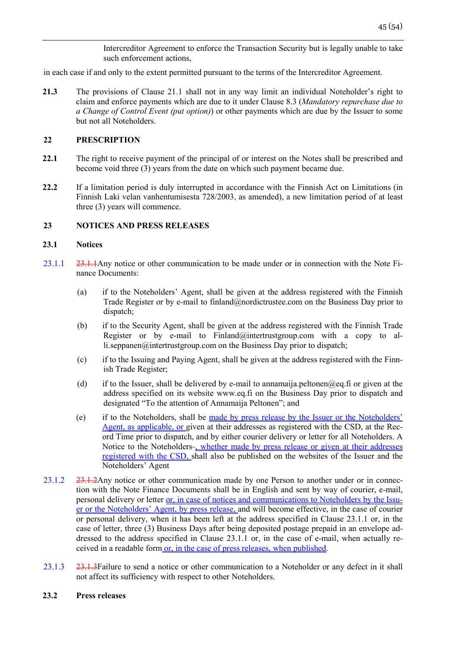Intercreditor Agreement to enforce the Transaction Security but is legally unable to take such enforcement actions,

in each case if and only to the extent permitted pursuant to the terms of the Intercreditor Agreement.

**21.3** The provisions of Clause 21.1 shall not in any way limit an individual Noteholder's right to claim and enforce payments which are due to it under Clause 8.3 (*Mandatory repurchase due to a Change of Control Event (put option)*) or other payments which are due by the Issuer to some but not all Noteholders.

## **22 PRESCRIPTION**

- **22.1** The right to receive payment of the principal of or interest on the Notes shall be prescribed and become void three (3) years from the date on which such payment became due.
- **22.2** If a limitation period is duly interrupted in accordance with the Finnish Act on Limitations (in Finnish Laki velan vanhentumisesta 728/2003, as amended), a new limitation period of at least three (3) years will commence.

## **23 NOTICES AND PRESS RELEASES**

### **23.1 Notices**

- 23.1.1 23.1.1Any notice or other communication to be made under or in connection with the Note Finance Documents:
	- (a) if to the Noteholders' Agent, shall be given at the address registered with the Finnish Trade Register or by e-mail to finland@nordictrustee.com on the Business Day prior to dispatch;
	- (b) if to the Security Agent, shall be given at the address registered with the Finnish Trade Register or by e-mail to Finland@intertrustgroup.com with a copy to alli.seppanen@intertrustgroup.com on the Business Day prior to dispatch;
	- (c) if to the Issuing and Paying Agent, shall be given at the address registered with the Finnish Trade Register;
	- (d) if to the Issuer, shall be delivered by e-mail to annamaija.peltonen@eq.fi or given at the address specified on its website www.eq.fi on the Business Day prior to dispatch and designated "To the attention of Annamaija Peltonen"; and
	- (e) if to the Noteholders, shall be made by press release by the Issuer or the Noteholders' Agent, as applicable, or given at their addresses as registered with the CSD, at the Record Time prior to dispatch, and by either courier delivery or letter for all Noteholders. A Notice to the Noteholders-, whether made by press release or given at their addresses registered with the CSD, shall also be published on the websites of the Issuer and the Noteholders' Agent
- 23.1.2  $\left| \frac{23.1.2}{23.1.2} \right|$  and  $\alpha$  other communication made by one Person to another under or in connection with the Note Finance Documents shall be in English and sent by way of courier, e-mail, personal delivery or letter or, in case of notices and communications to Noteholders by the Issuer or the Noteholders' Agent, by press release, and will become effective, in the case of courier or personal delivery, when it has been left at the address specified in Clause 23.1.1 or, in the case of letter, three (3) Business Days after being deposited postage prepaid in an envelope addressed to the address specified in Clause 23.1.1 or, in the case of e-mail, when actually received in a readable form or, in the case of press releases, when published.
- 23.1.3 23.1.3Failure to send a notice or other communication to a Noteholder or any defect in it shall not affect its sufficiency with respect to other Noteholders.

#### **23.2 Press releases**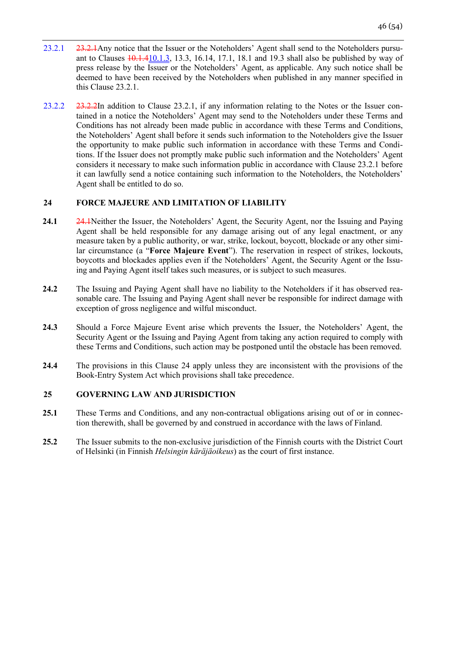- 23.2.1 23.2.1Any notice that the Issuer or the Noteholders' Agent shall send to the Noteholders pursuant to Clauses  $\frac{10.1.410.1.3}{13.3}$ , 13.3, 16.14, 17.1, 18.1 and 19.3 shall also be published by way of press release by the Issuer or the Noteholders' Agent, as applicable. Any such notice shall be deemed to have been received by the Noteholders when published in any manner specified in this Clause 23.2.1.
- 23.2.2 23.2.2In addition to Clause 23.2.1, if any information relating to the Notes or the Issuer contained in a notice the Noteholders' Agent may send to the Noteholders under these Terms and Conditions has not already been made public in accordance with these Terms and Conditions, the Noteholders' Agent shall before it sends such information to the Noteholders give the Issuer the opportunity to make public such information in accordance with these Terms and Conditions. If the Issuer does not promptly make public such information and the Noteholders' Agent considers it necessary to make such information public in accordance with Clause 23.2.1 before it can lawfully send a notice containing such information to the Noteholders, the Noteholders' Agent shall be entitled to do so.

## **24 FORCE MAJEURE AND LIMITATION OF LIABILITY**

- **24.1** 24.1Neither the Issuer, the Noteholders' Agent, the Security Agent, nor the Issuing and Paying Agent shall be held responsible for any damage arising out of any legal enactment, or any measure taken by a public authority, or war, strike, lockout, boycott, blockade or any other similar circumstance (a "**Force Majeure Event**"). The reservation in respect of strikes, lockouts, boycotts and blockades applies even if the Noteholders' Agent, the Security Agent or the Issuing and Paying Agent itself takes such measures, or is subject to such measures.
- **24.2** The Issuing and Paying Agent shall have no liability to the Noteholders if it has observed reasonable care. The Issuing and Paying Agent shall never be responsible for indirect damage with exception of gross negligence and wilful misconduct.
- **24.3** Should a Force Majeure Event arise which prevents the Issuer, the Noteholders' Agent, the Security Agent or the Issuing and Paying Agent from taking any action required to comply with these Terms and Conditions, such action may be postponed until the obstacle has been removed.
- **24.4** The provisions in this Clause 24 apply unless they are inconsistent with the provisions of the Book-Entry System Act which provisions shall take precedence.

### **25 GOVERNING LAW AND JURISDICTION**

- **25.1** These Terms and Conditions, and any non-contractual obligations arising out of or in connection therewith, shall be governed by and construed in accordance with the laws of Finland.
- **25.2** The Issuer submits to the non-exclusive jurisdiction of the Finnish courts with the District Court of Helsinki (in Finnish *Helsingin käräjäoikeus*) as the court of first instance.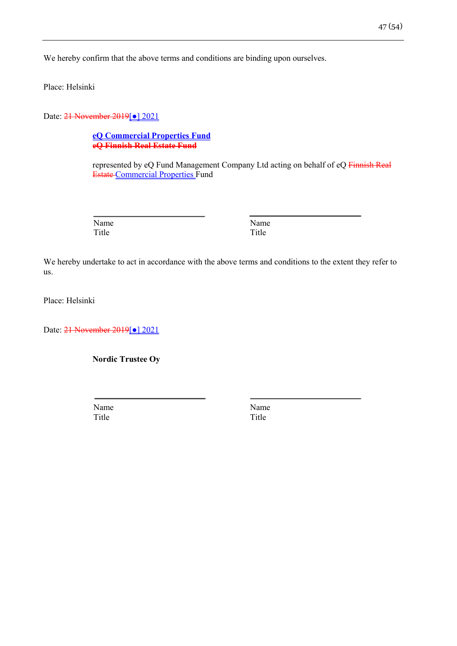We hereby confirm that the above terms and conditions are binding upon ourselves.

Place: Helsinki

Date: 21 November 2019[●] 2021

**eQ Commercial Properties Fund eQ Finnish Real Estate Fund** 

represented by eQ Fund Management Company Ltd acting on behalf of eQ Finnish Real Estate Commercial Properties Fund

Name<br>Title Title Title

Title Title Title

We hereby undertake to act in accordance with the above terms and conditions to the extent they refer to us.

Place: Helsinki

Date: 21 November 2019[ $\bullet$ ] 2021

**Nordic Trustee Oy** 

Name<br>Title Title Title Title Title Title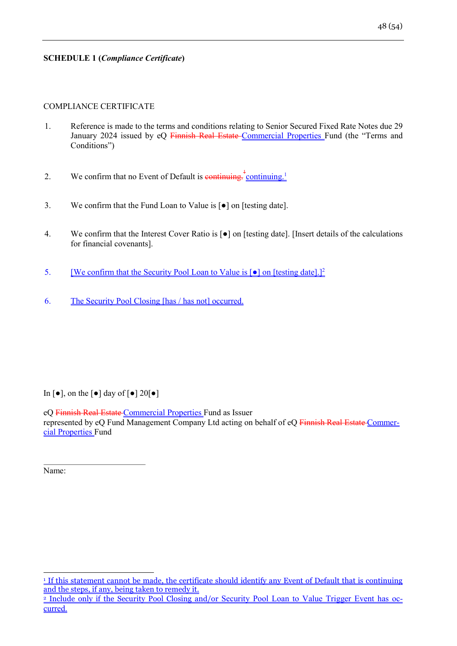## **SCHEDULE 1 (***Compliance Certificate***)**

## COMPLIANCE CERTIFICATE

- 1. Reference is made to the terms and conditions relating to Senior Secured Fixed Rate Notes due 29 January 2024 issued by eQ Finnish Real Estate Commercial Properties Fund (the "Terms and Conditions")
- 2. We confirm that no Event of Default is continuing.<sup>1</sup> continuing.<sup>1</sup>
- 3. We confirm that the Fund Loan to Value is [●] on [testing date].
- 4. We confirm that the Interest Cover Ratio is [●] on [testing date]. [Insert details of the calculations for financial covenants].
- 5. [We confirm that the Security Pool Loan to Value is  $\lceil \bullet \rceil$  on [testing date].]<sup>2</sup>
- 6. The Security Pool Closing [has / has not] occurred.

In  $\lceil \bullet \rceil$ , on the  $\lceil \bullet \rceil$  day of  $\lceil \bullet \rceil$  20 $\lceil \bullet \rceil$ 

eQ Finnish Real Estate Commercial Properties Fund as Issuer represented by eQ Fund Management Company Ltd acting on behalf of eQ Finnish Real Estate Commercial Properties Fund

Name:

 $\overline{a}$ 1 If this statement cannot be made, the certificate should identify any Event of Default that is continuing and the steps, if any, being taken to remedy it.

<sup>&</sup>lt;sup>2</sup> Include only if the Security Pool Closing and/or Security Pool Loan to Value Trigger Event has occurred.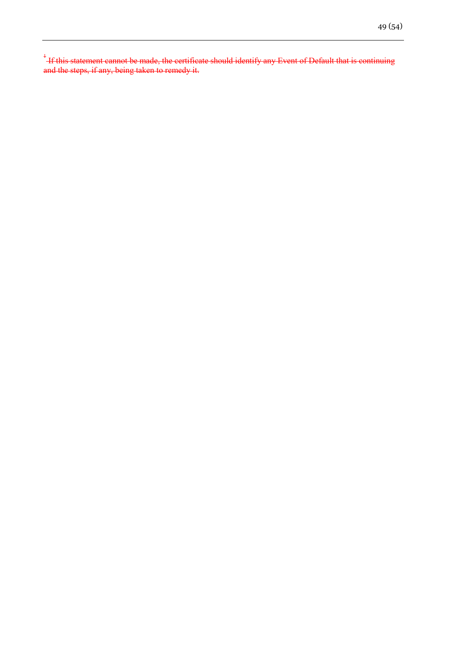<sup>+</sup> If this statement cannot be made, the certificate should identify any Event of Default that is continuing and the steps, if any, being taken to remedy it.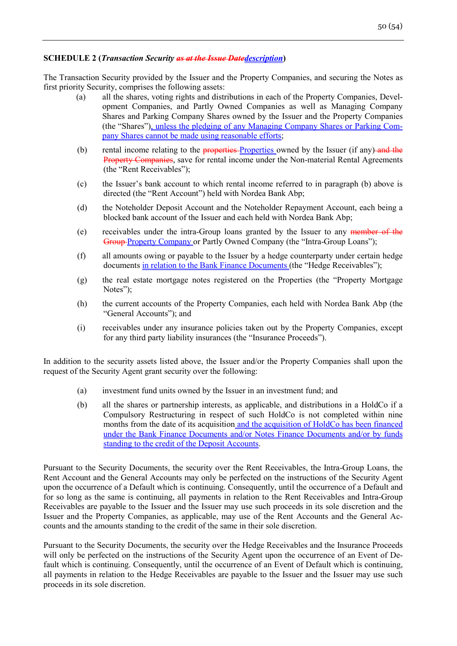## **SCHEDULE 2 (***Transaction Security as at the Issue Datedescription***)**

The Transaction Security provided by the Issuer and the Property Companies, and securing the Notes as first priority Security, comprises the following assets:

- (a) all the shares, voting rights and distributions in each of the Property Companies, Development Companies, and Partly Owned Companies as well as Managing Company Shares and Parking Company Shares owned by the Issuer and the Property Companies (the "Shares"), unless the pledging of any Managing Company Shares or Parking Company Shares cannot be made using reasonable efforts;
- (b) rental income relating to the properties-Properties owned by the Issuer (if any)-and the Property Companies, save for rental income under the Non-material Rental Agreements (the "Rent Receivables");
- (c) the Issuer's bank account to which rental income referred to in paragraph (b) above is directed (the "Rent Account") held with Nordea Bank Abp;
- (d) the Noteholder Deposit Account and the Noteholder Repayment Account, each being a blocked bank account of the Issuer and each held with Nordea Bank Abp;
- (e) receivables under the intra-Group loans granted by the Issuer to any member of the Group Property Company or Partly Owned Company (the "Intra-Group Loans");
- (f) all amounts owing or payable to the Issuer by a hedge counterparty under certain hedge documents in relation to the Bank Finance Documents (the "Hedge Receivables");
- (g) the real estate mortgage notes registered on the Properties (the "Property Mortgage Notes");
- (h) the current accounts of the Property Companies, each held with Nordea Bank Abp (the "General Accounts"); and
- (i) receivables under any insurance policies taken out by the Property Companies, except for any third party liability insurances (the "Insurance Proceeds").

In addition to the security assets listed above, the Issuer and/or the Property Companies shall upon the request of the Security Agent grant security over the following:

- (a) investment fund units owned by the Issuer in an investment fund; and
- (b) all the shares or partnership interests, as applicable, and distributions in a HoldCo if a Compulsory Restructuring in respect of such HoldCo is not completed within nine months from the date of its acquisition and the acquisition of HoldCo has been financed under the Bank Finance Documents and/or Notes Finance Documents and/or by funds standing to the credit of the Deposit Accounts.

Pursuant to the Security Documents, the security over the Rent Receivables, the Intra-Group Loans, the Rent Account and the General Accounts may only be perfected on the instructions of the Security Agent upon the occurrence of a Default which is continuing. Consequently, until the occurrence of a Default and for so long as the same is continuing, all payments in relation to the Rent Receivables and Intra-Group Receivables are payable to the Issuer and the Issuer may use such proceeds in its sole discretion and the Issuer and the Property Companies, as applicable, may use of the Rent Accounts and the General Accounts and the amounts standing to the credit of the same in their sole discretion.

Pursuant to the Security Documents, the security over the Hedge Receivables and the Insurance Proceeds will only be perfected on the instructions of the Security Agent upon the occurrence of an Event of Default which is continuing. Consequently, until the occurrence of an Event of Default which is continuing, all payments in relation to the Hedge Receivables are payable to the Issuer and the Issuer may use such proceeds in its sole discretion.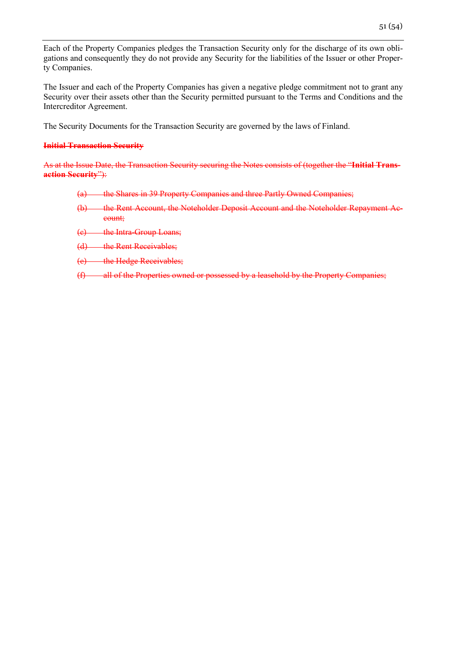Each of the Property Companies pledges the Transaction Security only for the discharge of its own obligations and consequently they do not provide any Security for the liabilities of the Issuer or other Property Companies.

The Issuer and each of the Property Companies has given a negative pledge commitment not to grant any Security over their assets other than the Security permitted pursuant to the Terms and Conditions and the Intercreditor Agreement.

The Security Documents for the Transaction Security are governed by the laws of Finland.

## **Initial Transaction Security**

As at the Issue Date, the Transaction Security securing the Notes consists of (together the "**Initial Transaction Security**"):

- (a) the Shares in 39 Property Companies and three Partly Owned Companies;
- (b) the Rent Account, the Noteholder Deposit Account and the Noteholder Repayment Account;
- (c) the Intra-Group Loans;
- (d) the Rent Receivables:
- (e) the Hedge Receivables;
- (f) all of the Properties owned or possessed by a leasehold by the Property Companies;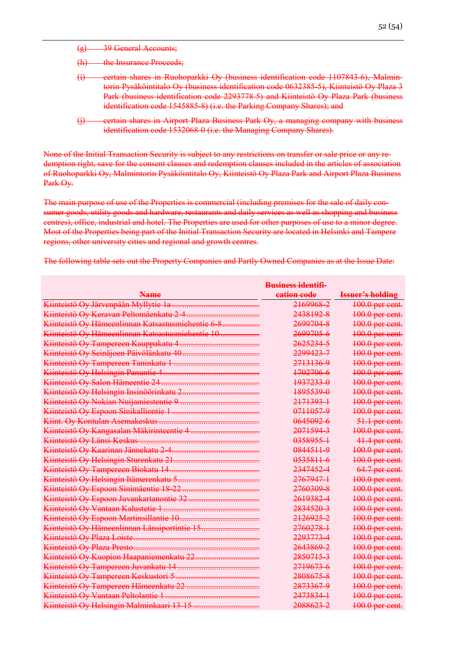- (g) 39 General Accounts;
- (h) the Insurance Proceeds;
- (i) certain shares in Ruohoparkki Oy (business identification code 1107843-6), Malmintorin Pysäköintitalo Oy (business identification code 0632385-5), Kiinteistö Oy Plaza 3 Park (business identification code 2293778-5) and Kiinteistö Oy Plaza Park (business identification code 1545885-8) (i.e. the Parking Company Shares); and
- (j) certain shares in Airport Plaza Business Park Oy, a managing company with business identification code 1532068-0 (i.e. the Managing Company Shares).

None of the Initial Transaction Security is subject to any restrictions on transfer or sale price or any redemption right, save for the consent clauses and redemption clauses included in the articles of association of Ruohoparkki Oy, Malmintorin Pysäköintitalo Oy, Kiinteistö Oy Plaza Park and Airport Plaza Business Park Oy.

The main purpose of use of the Properties is commercial (including premises for the sale of daily consumer goods, utility goods and hardware, restaurants and daily services as well as shopping and business centres), office, industrial and hotel. The Properties are used for other purposes of use to a minor degree. Most of the Properties being part of the Initial Transaction Security are located in Helsinki and Tampere regions, other university cities and regional and growth centres.

The following table sets out the Property Companies and Partly Owned Companies as at the Issue Date:

|                                                   | <b>Business identifi-</b> |                         |
|---------------------------------------------------|---------------------------|-------------------------|
| <b>Name</b>                                       | cation code               | <b>Issuer's holding</b> |
|                                                   | 2169968.2                 | 100.0 per cent.         |
|                                                   | 2438192.8                 | 100.0 per cent.         |
| Kiinteistö Oy Hämeenlinnan Katsastusmiehentie 6-8 | 2699704-8                 | 100.0 per cent.         |
| Kiinteistö Oy Hämeenlinnan Katsastusmiehentie 10  | <del>2699705-6</del>      | 100.0 per cent.         |
|                                                   | 2625234-5                 | 100.0 per cent.         |
|                                                   | 2299423-7                 | 100.0 per cent.         |
|                                                   | 2713136-9                 | 100.0 per cent.         |
|                                                   | <del>1702706-6</del>      | 100.0 per cent.         |
|                                                   | 1937233-0                 | 100.0 per cent.         |
|                                                   | <del>1895539-0</del>      | 100.0 per cent.         |
|                                                   | 2171393-1                 | 100.0 per cent.         |
|                                                   | 0711057-9                 | 100.0 per cent.         |
|                                                   | 0645092.6                 | 51.1 per cent.          |
|                                                   | 2071594-3                 | 100.0 per cent.         |
|                                                   | 0358955-1                 | 41.4 per cent.          |
|                                                   | 0844511-9                 | 100.0 per cent.         |
|                                                   | 0535811-6                 | 100.0 per cent.         |
|                                                   | 2347452-4                 | 64.7 per cent.          |
|                                                   | 2767947-1                 | 100.0 per cent.         |
|                                                   | 2760309-8                 | 100.0 per cent.         |
|                                                   | 2619382-4                 | 100.0 per cent.         |
|                                                   | 2834520-3                 | 100.0 per cent.         |
|                                                   | 2126925-2                 | 100.0 per cent.         |
|                                                   | 2760278-1                 | 100.0 per cent.         |
|                                                   | 2293773.4                 | 100.0 per cent.         |
|                                                   | 2643869.2                 | 100.0 per cent.         |
|                                                   | 2850715-3                 | 100.0 per cent.         |
|                                                   | 2719673-6                 | 100.0 per cent.         |
|                                                   | <del>2808675-8</del>      | 100.0 per cent.         |
|                                                   | <del>2873367-9</del>      | 100.0 per cent.         |
|                                                   | 2473834-1                 | 100.0 per cent.         |
|                                                   | 2088623-2                 | 100.0 per cent.         |